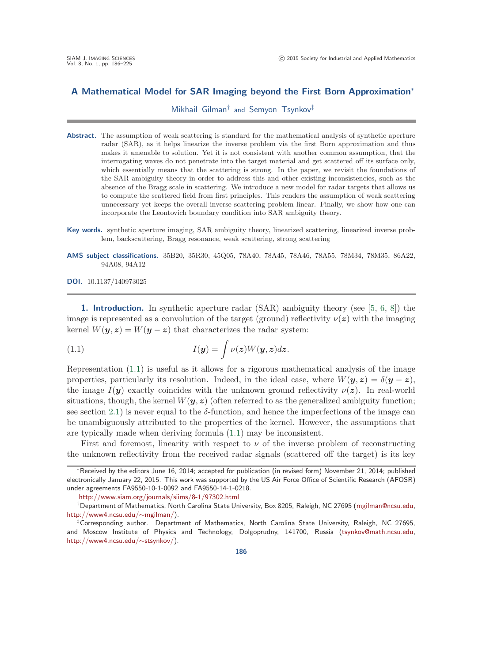## **A Mathematical Model for SAR Imaging beyond the First Born Approximation**<sup>∗</sup>

Mikhail Gilman† and Semyon Tsynkov‡

- **Abstract.** The assumption of weak scattering is standard for the mathematical analysis of synthetic aperture radar (SAR), as it helps linearize the inverse problem via the first Born approximation and thus makes it amenable to solution. Yet it is not consistent with another common assumption, that the interrogating waves do not penetrate into the target material and get scattered off its surface only, which essentially means that the scattering is strong. In the paper, we revisit the foundations of the SAR ambiguity theory in order to address this and other existing inconsistencies, such as the absence of the Bragg scale in scattering. We introduce a new model for radar targets that allows us to compute the scattered field from first principles. This renders the assumption of weak scattering unnecessary yet keeps the overall inverse scattering problem linear. Finally, we show how one can incorporate the Leontovich boundary condition into SAR ambiguity theory.
- **Key words.** synthetic aperture imaging, SAR ambiguity theory, linearized scattering, linearized inverse problem, backscattering, Bragg resonance, weak scattering, strong scattering
- **AMS subject classifications.** 35B20, 35R30, 45Q05, 78A40, 78A45, 78A46, 78A55, 78M34, 78M35, 86A22, 94A08, 94A12

**DOI.** 10.1137/140973025

<span id="page-0-1"></span>**1. Introduction.** In synthetic aperture radar (SAR) ambiguity theory (see [\[5,](#page-38-0) [6,](#page-38-1) [8\]](#page-38-2)) the image is represented as a convolution of the target (ground) reflectivity  $\nu(z)$  with the imaging kernel  $W(y, z) = W(y - z)$  that characterizes the radar system:

<span id="page-0-0"></span>(1.1) 
$$
I(\mathbf{y}) = \int \nu(\mathbf{z}) W(\mathbf{y}, \mathbf{z}) d\mathbf{z}.
$$

Representation [\(1.1\)](#page-0-0) is useful as it allows for a rigorous mathematical analysis of the image properties, particularly its resolution. Indeed, in the ideal case, where  $W(y, z) = \delta(y - z)$ , the image  $I(\mathbf{y})$  exactly coincides with the unknown ground reflectivity  $\nu(\mathbf{z})$ . In real-world situations, though, the kernel  $W(\mathbf{y}, z)$  (often referred to as the generalized ambiguity function; see section [2.1\)](#page-2-0) is never equal to the  $\delta$ -function, and hence the imperfections of the image can be unambiguously attributed to the properties of the kernel. However, the assumptions that are typically made when deriving formula [\(1.1\)](#page-0-0) may be inconsistent.

First and foremost, linearity with respect to  $\nu$  of the inverse problem of reconstructing the unknown reflectivity from the received radar signals (scattered off the target) is its key

<sup>∗</sup>Received by the editors June 16, 2014; accepted for publication (in revised form) November 21, 2014; published electronically January 22, 2015. This work was supported by the US Air Force Office of Scientific Research (AFOSR) under agreements FA9550-10-1-0092 and FA9550-14-1-0218.

<http://www.siam.org/journals/siims/8-1/97302.html>

<sup>†</sup>Department of Mathematics, North Carolina State University, Box 8205, Raleigh, NC 27695 [\(mgilman@ncsu.edu,](mailto:mgilman@ncsu.edu) [http://www4.ncsu.edu/](http://www4.ncsu.edu/~mgilman/)∼mgilman/).

<sup>‡</sup>Corresponding author. Department of Mathematics, North Carolina State University, Raleigh, NC 27695, and Moscow Institute of Physics and Technology, Dolgoprudny, 141700, Russia [\(tsynkov@math.ncsu.edu,](mailto:tsynkov@math.ncsu.edu) [http://www4.ncsu.edu/](http://www4.ncsu.edu/~stsynkov/)∼stsynkov/).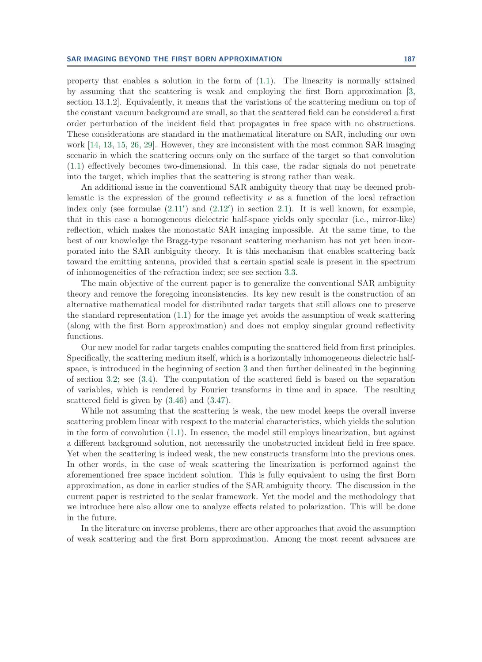property that enables a solution in the form of [\(1.1\)](#page-0-0). The linearity is normally attained by assuming that the scattering is weak and employing the first Born approximation [\[3,](#page-38-3) section 13.1.2]. Equivalently, it means that the variations of the scattering medium on top of the constant vacuum background are small, so that the scattered field can be considered a first order perturbation of the incident field that propagates in free space with no obstructions. These considerations are standard in the mathematical literature on SAR, including our own work [\[14,](#page-38-4) [13,](#page-38-5) [15,](#page-38-6) [26,](#page-38-7) [29\]](#page-39-0). However, they are inconsistent with the most common SAR imaging scenario in which the scattering occurs only on the surface of the target so that convolution [\(1.1\)](#page-0-0) effectively becomes two-dimensional. In this case, the radar signals do not penetrate into the target, which implies that the scattering is strong rather than weak.

An additional issue in the conventional SAR ambiguity theory that may be deemed problematic is the expression of the ground reflectivity  $\nu$  as a function of the local refraction index only (see formulae  $(2.11')$  $(2.11')$  and  $(2.12')$  $(2.12')$  in section [2.1\)](#page-2-0). It is well known, for example, that in this case a homogeneous dielectric half-space yields only specular (i.e., mirror-like) reflection, which makes the monostatic SAR imaging impossible. At the same time, to the best of our knowledge the Bragg-type resonant scattering mechanism has not yet been incorporated into the SAR ambiguity theory. It is this mechanism that enables scattering back toward the emitting antenna, provided that a certain spatial scale is present in the spectrum of inhomogeneities of the refraction index; see see section [3.3.](#page-17-0)

The main objective of the current paper is to generalize the conventional SAR ambiguity theory and remove the foregoing inconsistencies. Its key new result is the construction of an alternative mathematical model for distributed radar targets that still allows one to preserve the standard representation [\(1.1\)](#page-0-0) for the image yet avoids the assumption of weak scattering (along with the first Born approximation) and does not employ singular ground reflectivity functions.

Our new model for radar targets enables computing the scattered field from first principles. Specifically, the scattering medium itself, which is a horizontally inhomogeneous dielectric halfspace, is introduced in the beginning of section [3](#page-10-0) and then further delineated in the beginning of section [3.2;](#page-12-0) see [\(3.4\)](#page-12-1). The computation of the scattered field is based on the separation of variables, which is rendered by Fourier transforms in time and in space. The resulting scattered field is given by [\(3.46\)](#page-24-0) and [\(3.47\)](#page-25-0).

While not assuming that the scattering is weak, the new model keeps the overall inverse scattering problem linear with respect to the material characteristics, which yields the solution in the form of convolution [\(1.1\)](#page-0-0). In essence, the model still employs linearization, but against a different background solution, not necessarily the unobstructed incident field in free space. Yet when the scattering is indeed weak, the new constructs transform into the previous ones. In other words, in the case of weak scattering the linearization is performed against the aforementioned free space incident solution. This is fully equivalent to using the first Born approximation, as done in earlier studies of the SAR ambiguity theory. The discussion in the current paper is restricted to the scalar framework. Yet the model and the methodology that we introduce here also allow one to analyze effects related to polarization. This will be done in the future.

In the literature on inverse problems, there are other approaches that avoid the assumption of weak scattering and the first Born approximation. Among the most recent advances are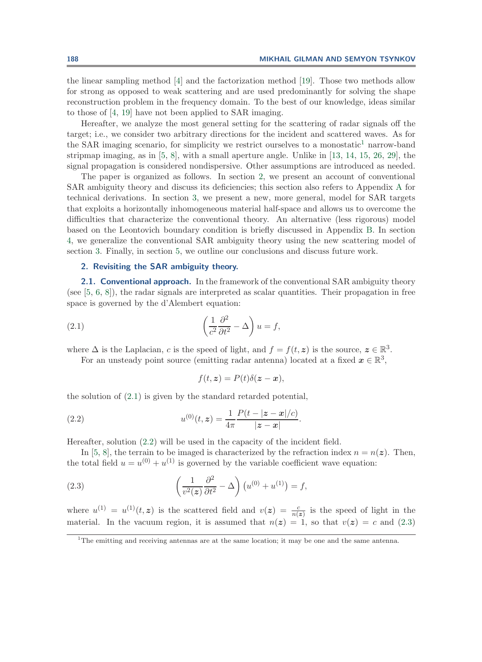the linear sampling method [\[4\]](#page-38-8) and the factorization method [\[19\]](#page-38-9). Those two methods allow for strong as opposed to weak scattering and are used predominantly for solving the shape reconstruction problem in the frequency domain. To the best of our knowledge, ideas similar to those of [\[4,](#page-38-8) [19\]](#page-38-9) have not been applied to SAR imaging.

Hereafter, we analyze the most general setting for the scattering of radar signals off the target; i.e., we consider two arbitrary directions for the incident and scattered waves. As for the SAR imaging scenario, for simplicity we restrict ourselves to a monostatic<sup>[1](#page-2-1)</sup> narrow-band stripmap imaging, as in  $[5, 8]$  $[5, 8]$  $[5, 8]$ , with a small aperture angle. Unlike in  $[13, 14, 15, 26, 29]$  $[13, 14, 15, 26, 29]$  $[13, 14, 15, 26, 29]$  $[13, 14, 15, 26, 29]$  $[13, 14, 15, 26, 29]$  $[13, 14, 15, 26, 29]$  $[13, 14, 15, 26, 29]$  $[13, 14, 15, 26, 29]$  $[13, 14, 15, 26, 29]$ , the signal propagation is considered nondispersive. Other assumptions are introduced as needed.

The paper is organized as follows. In section [2,](#page-2-2) we present an account of conventional SAR ambiguity theory and discuss its deficiencies; this section also refers to Appendix [A](#page-32-0) for technical derivations. In section [3,](#page-10-0) we present a new, more general, model for SAR targets that exploits a horizontally inhomogeneous material half-space and allows us to overcome the difficulties that characterize the conventional theory. An alternative (less rigorous) model based on the Leontovich boundary condition is briefly discussed in Appendix [B.](#page-35-0) In section [4,](#page-26-0) we generalize the conventional SAR ambiguity theory using the new scattering model of section [3.](#page-10-0) Finally, in section [5,](#page-30-0) we outline our conclusions and discuss future work.

## <span id="page-2-2"></span>**2. Revisiting the SAR ambiguity theory.**

<span id="page-2-0"></span>**2.1. Conventional approach.** In the framework of the conventional SAR ambiguity theory (see  $[5, 6, 8]$  $[5, 6, 8]$  $[5, 6, 8]$  $[5, 6, 8]$  $[5, 6, 8]$ ), the radar signals are interpreted as scalar quantities. Their propagation in free space is governed by the d'Alembert equation:

(2.1) 
$$
\left(\frac{1}{c^2}\frac{\partial^2}{\partial t^2} - \Delta\right)u = f,
$$

where  $\Delta$  is the Laplacian, *c* is the speed of light, and  $f = f(t, z)$  is the source,  $z \in \mathbb{R}^3$ .

For an unsteady point source (emitting radar antenna) located at a fixed  $x \in \mathbb{R}^3$ ,

<span id="page-2-5"></span><span id="page-2-4"></span><span id="page-2-3"></span>
$$
f(t, z) = P(t)\delta(z - x),
$$

the solution of [\(2.1\)](#page-2-3) is given by the standard retarded potential,

(2.2) 
$$
u^{(0)}(t,z) = \frac{1}{4\pi} \frac{P(t - |z - x|/c)}{|z - x|}.
$$

Hereafter, solution [\(2.2\)](#page-2-4) will be used in the capacity of the incident field.

In [\[5,](#page-38-0) [8\]](#page-38-2), the terrain to be imaged is characterized by the refraction index  $n = n(z)$ . Then, the total field  $u = u^{(0)} + u^{(1)}$  is governed by the variable coefficient wave equation:

(2.3) 
$$
\left(\frac{1}{v^2(z)}\frac{\partial^2}{\partial t^2} - \Delta\right)\left(u^{(0)} + u^{(1)}\right) = f,
$$

where  $u^{(1)} = u^{(1)}(t, z)$  is the scattered field and  $v(z) = \frac{c}{n(z)}$  is the speed of light in the material. In the vacuum region, it is assumed that  $n(z) = 1$ , so that  $v(z) = c$  and [\(2.3\)](#page-2-5)

<span id="page-2-1"></span><sup>&</sup>lt;sup>1</sup>The emitting and receiving antennas are at the same location; it may be one and the same antenna.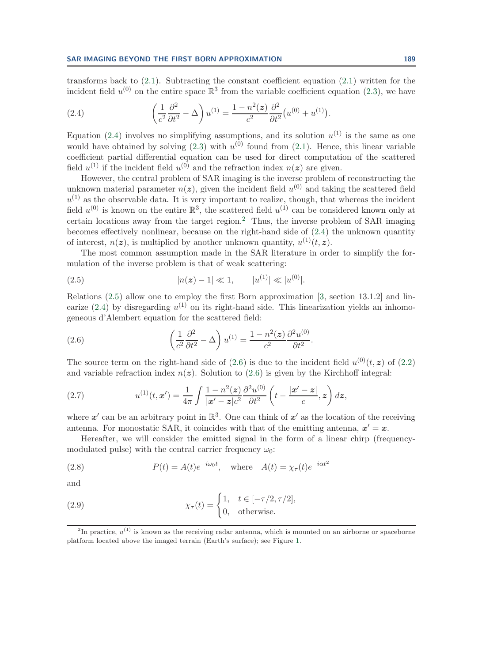transforms back to  $(2.1)$ . Subtracting the constant coefficient equation  $(2.1)$  written for the incident field  $u^{(0)}$  on the entire space  $\mathbb{R}^3$  from the variable coefficient equation [\(2.3\)](#page-2-5), we have

<span id="page-3-0"></span>(2.4) 
$$
\left(\frac{1}{c^2}\frac{\partial^2}{\partial t^2} - \Delta\right)u^{(1)} = \frac{1 - n^2(z)}{c^2}\frac{\partial^2}{\partial t^2}\left(u^{(0)} + u^{(1)}\right).
$$

Equation [\(2.4\)](#page-3-0) involves no simplifying assumptions, and its solution  $u^{(1)}$  is the same as one would have obtained by solving  $(2.3)$  with  $u^{(0)}$  found from  $(2.1)$ . Hence, this linear variable coefficient partial differential equation can be used for direct computation of the scattered field  $u^{(1)}$  if the incident field  $u^{(0)}$  and the refraction index  $n(z)$  are given.

However, the central problem of SAR imaging is the inverse problem of reconstructing the unknown material parameter  $n(z)$ , given the incident field  $u^{(0)}$  and taking the scattered field  $u^{(1)}$  as the observable data. It is very important to realize, though, that whereas the incident field  $u^{(0)}$  is known on the entire  $\mathbb{R}^3$ , the scattered field  $u^{(1)}$  can be considered known only at certain locations away from the target region.[2](#page-3-1) Thus, the inverse problem of SAR imaging becomes effectively nonlinear, because on the right-hand side of [\(2.4\)](#page-3-0) the unknown quantity of interest,  $n(z)$ , is multiplied by another unknown quantity,  $u^{(1)}(t, z)$ .

The most common assumption made in the SAR literature in order to simplify the formulation of the inverse problem is that of weak scattering:

<span id="page-3-2"></span>(2.5) 
$$
|n(z) - 1| \ll 1, \qquad |u^{(1)}| \ll |u^{(0)}|.
$$

Relations [\(2.5\)](#page-3-2) allow one to employ the first Born approximation [\[3,](#page-38-3) section 13.1.2] and lin-earize [\(2.4\)](#page-3-0) by disregarding  $u^{(1)}$  on its right-hand side. This linearization yields an inhomogeneous d'Alembert equation for the scattered field:

<span id="page-3-3"></span>(2.6) 
$$
\left(\frac{1}{c^2}\frac{\partial^2}{\partial t^2} - \Delta\right)u^{(1)} = \frac{1 - n^2(z)}{c^2}\frac{\partial^2 u^{(0)}}{\partial t^2}.
$$

<span id="page-3-5"></span>The source term on the right-hand side of [\(2.6\)](#page-3-3) is due to the incident field  $u^{(0)}(t, z)$  of [\(2.2\)](#page-2-4) and variable refraction index  $n(z)$ . Solution to [\(2.6\)](#page-3-3) is given by the Kirchhoff integral:

(2.7) 
$$
u^{(1)}(t, x') = \frac{1}{4\pi} \int \frac{1 - n^2(z)}{|x' - z|c^2} \frac{\partial^2 u^{(0)}}{\partial t^2} \left( t - \frac{|x' - z|}{c}, z \right) dz,
$$

where  $x'$  can be an arbitrary point in  $\mathbb{R}^3$ . One can think of  $x'$  as the location of the receiving antenna. For monostatic SAR, it coincides with that of the emitting antenna,  $x' = x$ .

Hereafter, we will consider the emitted signal in the form of a linear chirp (frequencymodulated pulse) with the central carrier frequency  $\omega_0$ :

<span id="page-3-4"></span>(2.8) 
$$
P(t) = A(t)e^{-i\omega_0 t}, \text{ where } A(t) = \chi_\tau(t)e^{-i\alpha t^2}
$$

<span id="page-3-6"></span>and

(2.9) 
$$
\chi_{\tau}(t) = \begin{cases} 1, & t \in [-\tau/2, \tau/2], \\ 0, & \text{otherwise.} \end{cases}
$$

<span id="page-3-1"></span> $^{2}$ In practice,  $u^{(1)}$  is known as the receiving radar antenna, which is mounted on an airborne or spaceborne platform located above the imaged terrain (Earth's surface); see Figure [1.](#page-4-0)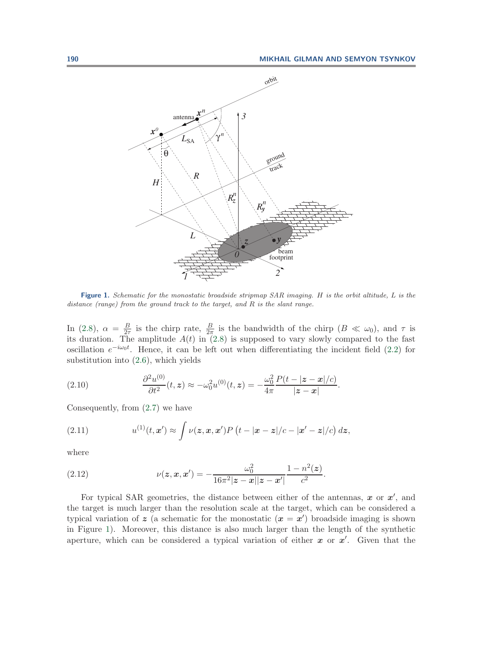

<span id="page-4-0"></span>**Figure 1.** Schematic for the monostatic broadside stripmap SAR imaging. H is the orbit altitude, L is the distance (range) from the ground track to the target, and R is the slant range.

In [\(2.8\)](#page-3-4),  $\alpha = \frac{B}{2\tau}$  is the chirp rate,  $\frac{B}{2\pi}$  is the bandwidth of the chirp  $(B \ll \omega_0)$ , and  $\tau$  is its duration. The amplitude  $A(t)$  in [\(2.8\)](#page-3-4) is supposed to vary slowly compared to the fast oscillation  $e^{-i\omega_0 t}$ . Hence, it can be left out when differentiating the incident field [\(2.2\)](#page-2-4) for substitution into [\(2.6\)](#page-3-3), which yields

(2.10) 
$$
\frac{\partial^2 u^{(0)}}{\partial t^2}(t,z) \approx -\omega_0^2 u^{(0)}(t,z) = -\frac{\omega_0^2}{4\pi} \frac{P(t-|z-x|/c)}{|z-x|}.
$$

<span id="page-4-2"></span>Consequently, from [\(2.7\)](#page-3-5) we have

(2.11) 
$$
u^{(1)}(t,\mathbf{x}') \approx \int \nu(\mathbf{z},\mathbf{x},\mathbf{x}')P\left(t-|\mathbf{x}-\mathbf{z}|/c-|\mathbf{x}'-\mathbf{z}|/c\right)d\mathbf{z},
$$

<span id="page-4-1"></span>where

(2.12) 
$$
\nu(z, x, x') = -\frac{\omega_0^2}{16\pi^2 |z - x||z - x'|} \frac{1 - n^2(z)}{c^2}.
$$

For typical SAR geometries, the distance between either of the antennas, *x* or *x* , and the target is much larger than the resolution scale at the target, which can be considered a typical variation of  $z$  (a schematic for the monostatic  $(x = x')$  broadside imaging is shown in Figure [1\)](#page-4-0). Moreover, this distance is also much larger than the length of the synthetic aperture, which can be considered a typical variation of either *x* or *x* . Given that the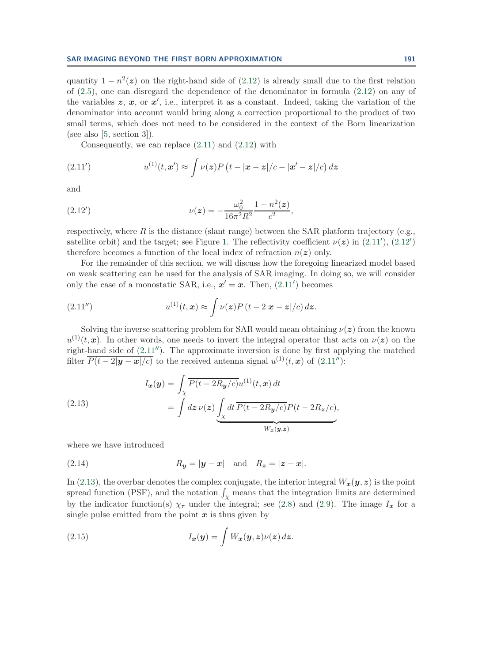quantity  $1 - n^2(z)$  on the right-hand side of [\(2.12\)](#page-4-1) is already small due to the first relation of [\(2.5\)](#page-3-2), one can disregard the dependence of the denominator in formula [\(2.12\)](#page-4-1) on any of the variables  $z, x, \text{ or } x'$ , i.e., interpret it as a constant. Indeed, taking the variation of the denominator into account would bring along a correction proportional to the product of two small terms, which does not need to be considered in the context of the Born linearization (see also [\[5,](#page-38-0) section 3]).

<span id="page-5-0"></span>Consequently, we can replace  $(2.11)$  and  $(2.12)$  with

(2.11') 
$$
u^{(1)}(t, x') \approx \int \nu(z) P(t - |x - z|/c - |x' - z|/c) dz
$$

<span id="page-5-1"></span>and

(2.12') 
$$
\nu(z) = -\frac{\omega_0^2}{16\pi^2 R^2} \frac{1 - n^2(z)}{c^2},
$$

respectively, where R is the distance (slant range) between the SAR platform trajectory (e.g., satellite orbit) and the target; see Figure [1.](#page-4-0) The reflectivity coefficient  $\nu(z)$  in [\(2.11](#page-5-0)'), [\(2.12](#page-5-1)') therefore becomes a function of the local index of refraction  $n(z)$  only.

For the remainder of this section, we will discuss how the foregoing linearized model based on weak scattering can be used for the analysis of SAR imaging. In doing so, we will consider only the case of a monostatic SAR, i.e.,  $x' = x$ . Then,  $(2.11')$  $(2.11')$  becomes

<span id="page-5-2"></span>(2.11'') 
$$
u^{(1)}(t,\mathbf{x}) \approx \int \nu(\mathbf{z}) P(t-2|\mathbf{x}-\mathbf{z}|/c) d\mathbf{z}.
$$

Solving the inverse scattering problem for SAR would mean obtaining  $\nu(z)$  from the known  $u^{(1)}(t, x)$ . In other words, one needs to invert the integral operator that acts on  $\nu(z)$  on the right-hand side of  $(2.11'')$  $(2.11'')$ . The approximate inversion is done by first applying the matched filter  $\overline{P(t-2|\mathbf{y}-\mathbf{x}|/c)}$  to the received antenna signal  $u^{(1)}(t,\mathbf{x})$  of [\(2.11](#page-5-2)"):

<span id="page-5-3"></span>(2.13)  

$$
I_{\mathbf{x}}(\mathbf{y}) = \int_{\chi} \overline{P(t - 2R_{\mathbf{y}}/c)} u^{(1)}(t, \mathbf{x}) dt
$$

$$
= \int dz \, \nu(\mathbf{z}) \underbrace{\int_{\chi} dt \, \overline{P(t - 2R_{\mathbf{y}}/c)} P(t - 2R_{\mathbf{z}}/c)}_{W_{\mathbf{x}}(\mathbf{y}, \mathbf{z})},
$$

where we have introduced

$$
(2.14) \t\t R_{\mathbf{y}} = |\mathbf{y} - \mathbf{x}| \text{ and } R_{\mathbf{z}} = |\mathbf{z} - \mathbf{x}|.
$$

In [\(2.13\)](#page-5-3), the overbar denotes the complex conjugate, the interior integral  $W_x(y, z)$  is the point spread function (PSF), and the notation  $\int_{\mathcal{X}}$  means that the integration limits are determined by the indicator function(s)  $\chi_{\tau}$  under the integral; see [\(2.8\)](#page-3-4) and [\(2.9\)](#page-3-6). The image  $I_x$  for a single pulse emitted from the point  $x$  is thus given by

<span id="page-5-4"></span>(2.15) 
$$
I_{\boldsymbol{x}}(\boldsymbol{y}) = \int W_{\boldsymbol{x}}(\boldsymbol{y}, \boldsymbol{z}) \nu(\boldsymbol{z}) d\boldsymbol{z}.
$$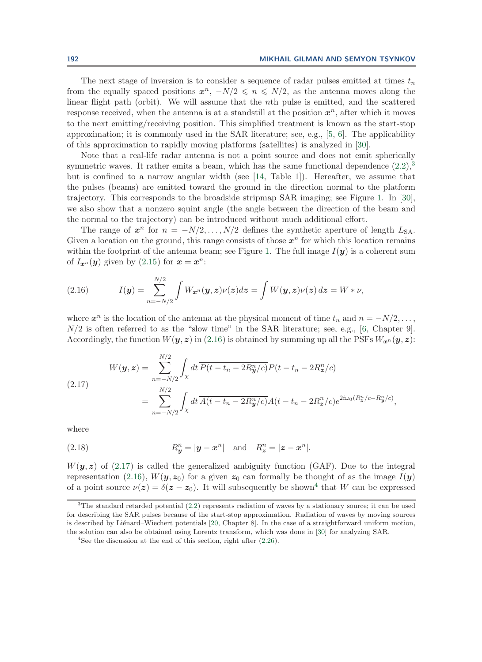The next stage of inversion is to consider a sequence of radar pulses emitted at times  $t_n$ from the equally spaced positions  $x^n$ ,  $-N/2 \leqslant n \leqslant N/2$ , as the antenna moves along the linear flight path (orbit). We will assume that the nth pulse is emitted, and the scattered response received, when the antenna is at a standstill at the position  $x^n$ , after which it moves to the next emitting/receiving position. This simplified treatment is known as the start-stop approximation; it is commonly used in the SAR literature; see, e.g., [\[5,](#page-38-0) [6\]](#page-38-1). The applicability of this approximation to rapidly moving platforms (satellites) is analyzed in [\[30\]](#page-39-1).

Note that a real-life radar antenna is not a point source and does not emit spherically symmetric waves. It rather emits a beam, which has the same functional dependence  $(2.2)$ ,<sup>[3](#page-6-0)</sup> but is confined to a narrow angular width (see [\[14,](#page-38-4) Table 1]). Hereafter, we assume that the pulses (beams) are emitted toward the ground in the direction normal to the platform trajectory. This corresponds to the broadside stripmap SAR imaging; see Figure [1.](#page-4-0) In [\[30\]](#page-39-1), we also show that a nonzero squint angle (the angle between the direction of the beam and the normal to the trajectory) can be introduced without much additional effort.

The range of  $x^n$  for  $n = -N/2, \ldots, N/2$  defines the synthetic aperture of length  $L_{SA}$ . Given a location on the ground, this range consists of those  $x^n$  for which this location remains within the footprint of the antenna beam; see Figure [1.](#page-4-0) The full image  $I(\mathbf{y})$  is a coherent sum of  $I_{\boldsymbol{x}^n}(\boldsymbol{y})$  given by [\(2.15\)](#page-5-4) for  $\boldsymbol{x} = \boldsymbol{x}^n$ :

<span id="page-6-1"></span>(2.16) 
$$
I(\mathbf{y}) = \sum_{n=-N/2}^{N/2} \int W_{\mathbf{x}^n}(\mathbf{y}, z) \nu(z) dz = \int W(\mathbf{y}, z) \nu(z) dz = W * \nu,
$$

where  $x^n$  is the location of the antenna at the physical moment of time  $t_n$  and  $n = -N/2, \ldots$ ,  $N/2$  is often referred to as the "slow time" in the SAR literature; see, e.g., [\[6,](#page-38-1) Chapter 9]. Accordingly, the function  $W(y, z)$  in [\(2.16\)](#page-6-1) is obtained by summing up all the PSFs  $W_{x^n}(y, z)$ :

<span id="page-6-2"></span>(2.17)  

$$
W(\mathbf{y}, \mathbf{z}) = \sum_{n=-N/2}^{N/2} \int_{\chi} dt \, \overline{P(t - t_n - 2R_{\mathbf{y}}^n/c)} P(t - t_n - 2R_{\mathbf{z}}^n/c)
$$

$$
= \sum_{n=-N/2}^{N/2} \int_{\chi} dt \, \overline{A(t - t_n - 2R_{\mathbf{y}}^n/c)} A(t - t_n - 2R_{\mathbf{z}}^n/c) e^{2i\omega_0 (R_{\mathbf{z}}^n/c - R_{\mathbf{y}}^n/c)},
$$

<span id="page-6-4"></span>where

(2.18) 
$$
R_y^n = |\mathbf{y} - \mathbf{x}^n|
$$
 and  $R_z^n = |\mathbf{z} - \mathbf{x}^n|$ .

 $W(y, z)$  of [\(2.17\)](#page-6-2) is called the generalized ambiguity function (GAF). Due to the integral representation [\(2.16\)](#page-6-1),  $W(y, z_0)$  for a given  $z_0$  can formally be thought of as the image  $I(y)$ of a point source  $\nu(z) = \delta(z - z_0)$ . It will subsequently be shown<sup>[4](#page-6-3)</sup> that W can be expressed

<span id="page-6-0"></span><sup>3</sup>The standard retarded potential [\(2.2\)](#page-2-4) represents radiation of waves by a stationary source; it can be used for describing the SAR pulses because of the start-stop approximation. Radiation of waves by moving sources is described by Liénard–Wiechert potentials [\[20,](#page-38-10) Chapter 8]. In the case of a straightforward uniform motion, the solution can also be obtained using Lorentz transform, which was done in [\[30\]](#page-39-1) for analyzing SAR.

<span id="page-6-3"></span><sup>&</sup>lt;sup>4</sup>See the discussion at the end of this section, right after  $(2.26)$ .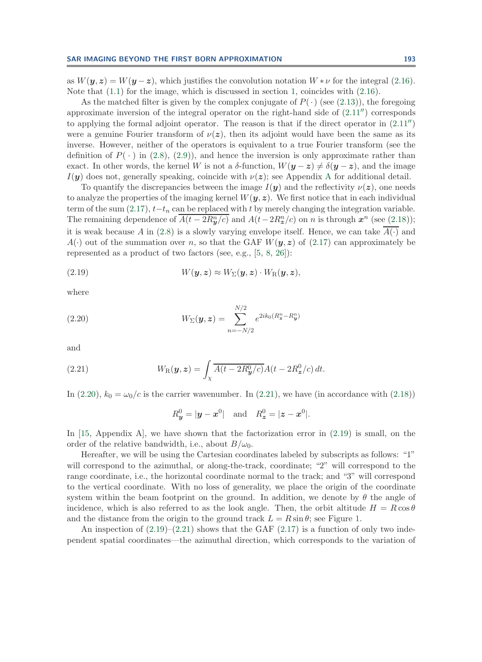as  $W(y, z) = W(y - z)$ , which justifies the convolution notation  $W * \nu$  for the integral [\(2.16\)](#page-6-1). Note that  $(1.1)$  for the image, which is discussed in section [1,](#page-0-1) coincides with  $(2.16)$ .

As the matched filter is given by the complex conjugate of  $P(\cdot)$  (see [\(2.13\)](#page-5-3)), the foregoing approximate inversion of the integral operator on the right-hand side of  $(2.11'')$  $(2.11'')$  corresponds to applying the formal adjoint operator. The reason is that if the direct operator in  $(2.11'')$  $(2.11'')$ were a genuine Fourier transform of  $\nu(z)$ , then its adjoint would have been the same as its inverse. However, neither of the operators is equivalent to a true Fourier transform (see the definition of  $P(\cdot)$  in [\(2.8\)](#page-3-4), [\(2.9\)](#page-3-6)), and hence the inversion is only approximate rather than exact. In other words, the kernel W is not a  $\delta$ -function,  $W(\mathbf{y}-\mathbf{z}) \neq \delta(\mathbf{y}-\mathbf{z})$ , and the image  $I(\mathbf{y})$  does not, generally speaking, coincide with  $\nu(\mathbf{z})$ ; see [A](#page-32-0)ppendix A for additional detail.

To quantify the discrepancies between the image  $I(\mathbf{y})$  and the reflectivity  $\nu(\mathbf{z})$ , one needs to analyze the properties of the imaging kernel  $W(y, z)$ . We first notice that in each individual term of the sum  $(2.17)$ ,  $t-t_n$  can be replaced with t by merely changing the integration variable. The remaining dependence of  $\overline{A(t-2R_{y}^{n}/c)}$  and  $A(t-2R_{z}^{n}/c)$  on *n* is through  $x^{n}$  (see [\(2.18\)](#page-6-4)); it is weak because A in [\(2.8\)](#page-3-4) is a slowly varying envelope itself. Hence, we can take  $A(\cdot)$  and  $A(\cdot)$  out of the summation over n, so that the GAF  $W(\mathbf{y}, z)$  of [\(2.17\)](#page-6-2) can approximately be represented as a product of two factors (see, e.g., [\[5,](#page-38-0) [8,](#page-38-2) [26\]](#page-38-7)):

(2.19) 
$$
W(\mathbf{y}, \mathbf{z}) \approx W_{\Sigma}(\mathbf{y}, \mathbf{z}) \cdot W_{\mathrm{R}}(\mathbf{y}, \mathbf{z}),
$$

<span id="page-7-0"></span>where

(2.20) 
$$
W_{\Sigma}(\mathbf{y}, \mathbf{z}) = \sum_{n=-N/2}^{N/2} e^{2ik_0(R_{\mathbf{z}}^n - R_{\mathbf{y}}^n)}
$$

<span id="page-7-1"></span>and

(2.21) 
$$
W_{\mathcal{R}}(\mathbf{y}, \mathbf{z}) = \int_{\chi} \overline{A(t - 2R_{\mathbf{y}}^0/c)} A(t - 2R_{\mathbf{z}}^0/c) dt.
$$

In [\(2.20\)](#page-7-0),  $k_0 = \omega_0/c$  is the carrier wavenumber. In [\(2.21\)](#page-7-1), we have (in accordance with [\(2.18\)](#page-6-4))

<span id="page-7-2"></span>
$$
R_y^0 = |\mathbf{y} - \mathbf{x}^0|
$$
 and  $R_z^0 = |\mathbf{z} - \mathbf{x}^0|$ .

In [\[15,](#page-38-6) Appendix A], we have shown that the factorization error in  $(2.19)$  is small, on the order of the relative bandwidth, i.e., about  $B/\omega_0$ .

Hereafter, we will be using the Cartesian coordinates labeled by subscripts as follows: "1" will correspond to the azimuthal, or along-the-track, coordinate; "2" will correspond to the range coordinate, i.e., the horizontal coordinate normal to the track; and "3" will correspond to the vertical coordinate. With no loss of generality, we place the origin of the coordinate system within the beam footprint on the ground. In addition, we denote by  $\theta$  the angle of incidence, which is also referred to as the look angle. Then, the orbit altitude  $H = R \cos \theta$ and the distance from the origin to the ground track  $L = R \sin \theta$ ; see Figure [1.](#page-4-0)

An inspection of  $(2.19)$ – $(2.21)$  shows that the GAF  $(2.17)$  is a function of only two independent spatial coordinates—the azimuthal direction, which corresponds to the variation of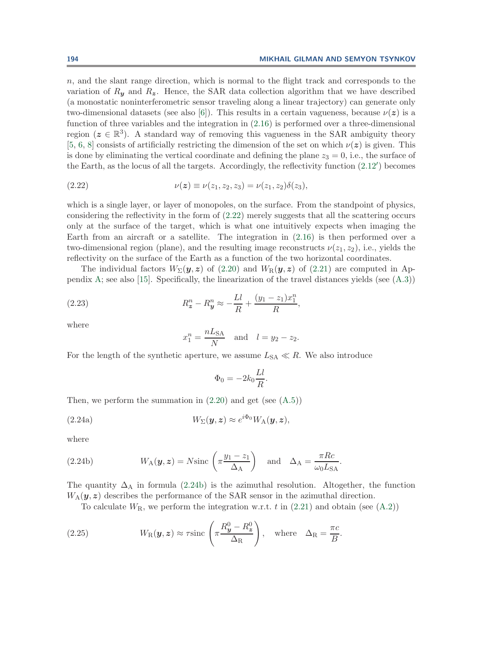n, and the slant range direction, which is normal to the flight track and corresponds to the variation of  $R_{\mathbf{y}}$  and  $R_{\mathbf{z}}$ . Hence, the SAR data collection algorithm that we have described (a monostatic noninterferometric sensor traveling along a linear trajectory) can generate only two-dimensional datasets (see also [\[6\]](#page-38-1)). This results in a certain vagueness, because  $\nu(z)$  is a function of three variables and the integration in [\(2.16\)](#page-6-1) is performed over a three-dimensional region ( $z \in \mathbb{R}^3$ ). A standard way of removing this vagueness in the SAR ambiguity theory [\[5,](#page-38-0) [6,](#page-38-1) [8\]](#page-38-2) consists of artificially restricting the dimension of the set on which  $\nu(z)$  is given. This is done by eliminating the vertical coordinate and defining the plane  $z_3 = 0$ , i.e., the surface of the Earth, as the locus of all the targets. Accordingly, the reflectivity function [\(2.12](#page-5-1) ) becomes

(2.22) 
$$
\nu(z) \equiv \nu(z_1, z_2, z_3) = \nu(z_1, z_2) \delta(z_3),
$$

which is a single layer, or layer of monopoles, on the surface. From the standpoint of physics, considering the reflectivity in the form of [\(2.22\)](#page-8-0) merely suggests that all the scattering occurs only at the surface of the target, which is what one intuitively expects when imaging the Earth from an aircraft or a satellite. The integration in [\(2.16\)](#page-6-1) is then performed over a two-dimensional region (plane), and the resulting image reconstructs  $\nu(z_1, z_2)$ , i.e., yields the reflectivity on the surface of the Earth as a function of the two horizontal coordinates.

The individual factors  $W_{\Sigma}(\mathbf{y}, \mathbf{z})$  of [\(2.20\)](#page-7-0) and  $W_{\mathcal{R}}(\mathbf{y}, \mathbf{z})$  of [\(2.21\)](#page-7-1) are computed in Ap-pendix [A;](#page-32-0) see also [\[15\]](#page-38-6). Specifically, the linearization of the travel distances yields (see  $(A.3)$ )

(2.23) 
$$
R_2^n - R_3^n \approx -\frac{Ll}{R} + \frac{(y_1 - z_1)x_1^n}{R},
$$

where

<span id="page-8-0"></span>
$$
x_1^n = \frac{nL_{\text{SA}}}{N} \quad \text{and} \quad l = y_2 - z_2.
$$

For the length of the synthetic aperture, we assume  $L<sub>SA</sub> \ll R$ . We also introduce

<span id="page-8-4"></span><span id="page-8-3"></span><span id="page-8-2"></span>
$$
\Phi_0 = -2k_0 \frac{Ll}{R}.
$$

Then, we perform the summation in  $(2.20)$  and get (see  $(A.5)$ )

(2.24a) 
$$
W_{\Sigma}(\mathbf{y},\mathbf{z}) \approx e^{i\Phi_0} W_{\mathbf{A}}(\mathbf{y},\mathbf{z}),
$$

<span id="page-8-1"></span>where

(2.24b) 
$$
W_A(\mathbf{y}, \mathbf{z}) = N \operatorname{sinc}\left(\pi \frac{y_1 - z_1}{\Delta_A}\right)
$$
 and  $\Delta_A = \frac{\pi R c}{\omega_0 L_{SA}}$ .

The quantity  $\Delta_A$  in formula [\(2.24b\)](#page-8-1) is the azimuthal resolution. Altogether, the function  $W_A(\mathbf{y}, \mathbf{z})$  describes the performance of the SAR sensor in the azimuthal direction.

To calculate  $W_{\rm R}$ , we perform the integration w.r.t. t in [\(2.21\)](#page-7-1) and obtain (see [\(A.2\)](#page-32-1))

(2.25) 
$$
W_{\rm R}(\mathbf{y}, \mathbf{z}) \approx \tau \text{sinc}\left(\pi \frac{R_{\mathbf{y}}^0 - R_{\mathbf{z}}^0}{\Delta_{\rm R}}\right), \text{ where } \Delta_{\rm R} = \frac{\pi c}{B}.
$$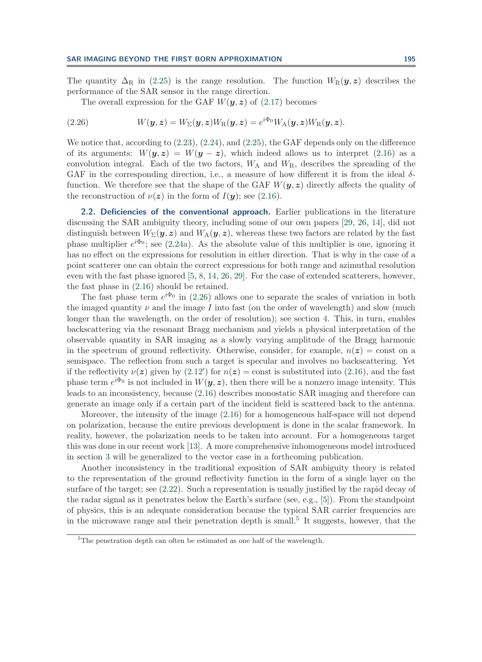The quantity  $\Delta_R$  in [\(2.25\)](#page-8-2) is the range resolution. The function  $W_R(\bm{y}, \bm{z})$  describes the performance of the SAR sensor in the range direction.

<span id="page-9-0"></span>The overall expression for the GAF  $W(y, z)$  of [\(2.17\)](#page-6-2) becomes

(2.26) 
$$
W(\mathbf{y}, \mathbf{z}) = W_{\Sigma}(\mathbf{y}, \mathbf{z}) W_{\mathrm{R}}(\mathbf{y}, \mathbf{z}) = e^{i\Phi_0} W_{\mathrm{A}}(\mathbf{y}, \mathbf{z}) W_{\mathrm{R}}(\mathbf{y}, \mathbf{z}).
$$

We notice that, according to [\(2.23\)](#page-8-3), [\(2.24\)](#page-8-4), and [\(2.25\)](#page-8-2), the GAF depends only on the difference of its arguments:  $W(y, z) = W(y - z)$ , which indeed allows us to interpret [\(2.16\)](#page-6-1) as a convolution integral. Each of the two factors,  $W_A$  and  $W_R$ , describes the spreading of the GAF in the corresponding direction, i.e., a measure of how different it is from the ideal  $\delta$ function. We therefore see that the shape of the GAF  $W(\mathbf{y}, z)$  directly affects the quality of the reconstruction of  $\nu(z)$  in the form of  $I(y)$ ; see [\(2.16\)](#page-6-1).

<span id="page-9-2"></span>**2.2. Deficiencies of the conventional approach.** Earlier publications in the literature discussing the SAR ambiguity theory, including some of our own papers [\[29,](#page-39-0) [26,](#page-38-7) [14\]](#page-38-4), did not distinguish between  $W_{\Sigma}(\mathbf{y}, \mathbf{z})$  and  $W_{\mathbf{A}}(\mathbf{y}, \mathbf{z})$ , whereas these two factors are related by the fast phase multiplier  $e^{i\Phi_0}$ ; see [\(2.24a\)](#page-8-4). As the absolute value of this multiplier is one, ignoring it has no effect on the expressions for resolution in either direction. That is why in the case of a point scatterer one can obtain the correct expressions for both range and azimuthal resolution even with the fast phase ignored [\[5,](#page-38-0) [8,](#page-38-2) [14,](#page-38-4) [26,](#page-38-7) [29\]](#page-39-0). For the case of extended scatterers, however, the fast phase in [\(2.16\)](#page-6-1) should be retained.

The fast phase term  $e^{i\Phi_0}$  in [\(2.26\)](#page-9-0) allows one to separate the scales of variation in both the imaged quantity  $\nu$  and the image I into fast (on the order of wavelength) and slow (much longer than the wavelength, on the order of resolution); see section [4.](#page-26-0) This, in turn, enables backscattering via the resonant Bragg mechanism and yields a physical interpretation of the observable quantity in SAR imaging as a slowly varying amplitude of the Bragg harmonic in the spectrum of ground reflectivity. Otherwise, consider, for example,  $n(z) = \text{const}$  on a semispace. The reflection from such a target is specular and involves no backscattering. Yet if the reflectivity  $\nu(z)$  given by  $(2.12')$  $(2.12')$  for  $n(z) = \text{const}$  is substituted into  $(2.16)$ , and the fast phase term  $e^{i\Phi_0}$  is not included in  $W(\mathbf{y}, \mathbf{z})$ , then there will be a nonzero image intensity. This leads to an inconsistency, because [\(2.16\)](#page-6-1) describes monostatic SAR imaging and therefore can generate an image only if a certain part of the incident field is scattered back to the antenna.

Moreover, the intensity of the image [\(2.16\)](#page-6-1) for a homogeneous half-space will not depend on polarization, because the entire previous development is done in the scalar framework. In reality, however, the polarization needs to be taken into account. For a homogeneous target this was done in our recent work [\[13\]](#page-38-5). A more comprehensive inhomogeneous model introduced in section [3](#page-10-0) will be generalized to the vector case in a forthcoming publication.

Another inconsistency in the traditional exposition of SAR ambiguity theory is related to the representation of the ground reflectivity function in the form of a single layer on the surface of the target; see [\(2.22\)](#page-8-0). Such a representation is usually justified by the rapid decay of the radar signal as it penetrates below the Earth's surface (see, e.g., [\[5\]](#page-38-0)). From the standpoint of physics, this is an adequate consideration because the typical SAR carrier frequencies are in the microwave range and their penetration depth is small.<sup>[5](#page-9-1)</sup> It suggests, however, that the

<span id="page-9-1"></span><sup>&</sup>lt;sup>5</sup>The penetration depth can often be estimated as one half of the wavelength.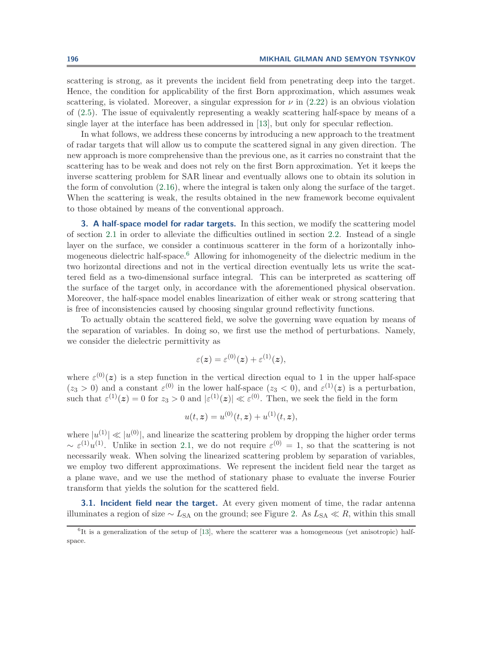scattering is strong, as it prevents the incident field from penetrating deep into the target. Hence, the condition for applicability of the first Born approximation, which assumes weak scattering, is violated. Moreover, a singular expression for  $\nu$  in [\(2.22\)](#page-8-0) is an obvious violation of [\(2.5\)](#page-3-2). The issue of equivalently representing a weakly scattering half-space by means of a single layer at the interface has been addressed in [\[13\]](#page-38-5), but only for specular reflection.

In what follows, we address these concerns by introducing a new approach to the treatment of radar targets that will allow us to compute the scattered signal in any given direction. The new approach is more comprehensive than the previous one, as it carries no constraint that the scattering has to be weak and does not rely on the first Born approximation. Yet it keeps the inverse scattering problem for SAR linear and eventually allows one to obtain its solution in the form of convolution [\(2.16\)](#page-6-1), where the integral is taken only along the surface of the target. When the scattering is weak, the results obtained in the new framework become equivalent to those obtained by means of the conventional approach.

<span id="page-10-0"></span>**3. A half-space model for radar targets.** In this section, we modify the scattering model of section [2.1](#page-2-0) in order to alleviate the difficulties outlined in section [2.2.](#page-9-2) Instead of a single layer on the surface, we consider a continuous scatterer in the form of a horizontally inhomogeneous dielectric half-space.[6](#page-10-1) Allowing for inhomogeneity of the dielectric medium in the two horizontal directions and not in the vertical direction eventually lets us write the scattered field as a two-dimensional surface integral. This can be interpreted as scattering off the surface of the target only, in accordance with the aforementioned physical observation. Moreover, the half-space model enables linearization of either weak or strong scattering that is free of inconsistencies caused by choosing singular ground reflectivity functions.

To actually obtain the scattered field, we solve the governing wave equation by means of the separation of variables. In doing so, we first use the method of perturbations. Namely, we consider the dielectric permittivity as

$$
\varepsilon(z) = \varepsilon^{(0)}(z) + \varepsilon^{(1)}(z),
$$

where  $\varepsilon^{(0)}(z)$  is a step function in the vertical direction equal to 1 in the upper half-space  $(z_3 > 0)$  and a constant  $\varepsilon^{(0)}$  in the lower half-space  $(z_3 < 0)$ , and  $\varepsilon^{(1)}(z)$  is a perturbation, such that  $\varepsilon^{(1)}(z) = 0$  for  $z_3 > 0$  and  $|\varepsilon^{(1)}(z)| \ll \varepsilon^{(0)}$ . Then, we seek the field in the form

$$
u(t, z) = u^{(0)}(t, z) + u^{(1)}(t, z),
$$

where  $|u^{(1)}| \ll |u^{(0)}|$ , and linearize the scattering problem by dropping the higher order terms  $\sim \varepsilon^{(1)}u^{(1)}$ . Unlike in section [2.1,](#page-2-0) we do not require  $\varepsilon^{(0)} = 1$ , so that the scattering is not necessarily weak. When solving the linearized scattering problem by separation of variables, we employ two different approximations. We represent the incident field near the target as a plane wave, and we use the method of stationary phase to evaluate the inverse Fourier transform that yields the solution for the scattered field.

<span id="page-10-2"></span>**3.1. Incident field near the target.** At every given moment of time, the radar antenna illuminates a region of size ∼ L<sub>SA</sub> on the ground; see Figure [2.](#page-11-0) As L<sub>SA</sub>  $\ll R$ , within this small

<span id="page-10-1"></span> ${}^{6}$ It is a generalization of the setup of [\[13\]](#page-38-5), where the scatterer was a homogeneous (yet anisotropic) halfspace.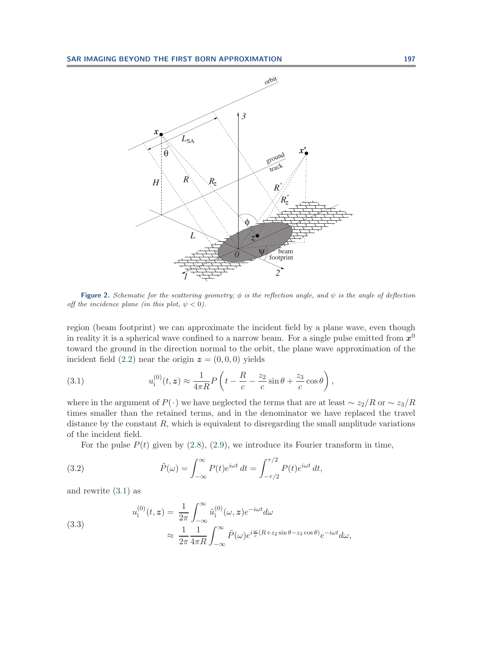

<span id="page-11-0"></span>**Figure 2.** Schematic for the scattering geometry;  $\phi$  is the reflection angle, and  $\psi$  is the angle of deflection off the incidence plane (in this plot,  $\psi < 0$ ).

region (beam footprint) we can approximate the incident field by a plane wave, even though in reality it is a spherical wave confined to a narrow beam. For a single pulse emitted from  $x^0$ toward the ground in the direction normal to the orbit, the plane wave approximation of the incident field  $(2.2)$  near the origin  $z = (0, 0, 0)$  yields

<span id="page-11-1"></span>(3.1) 
$$
u_1^{(0)}(t, z) \approx \frac{1}{4\pi R} P \left( t - \frac{R}{c} - \frac{z_2}{c} \sin \theta + \frac{z_3}{c} \cos \theta \right),
$$

where in the argument of  $P(\cdot)$  we have neglected the terms that are at least  $\sim z_2/R$  or  $\sim z_3/R$ times smaller than the retained terms, and in the denominator we have replaced the travel distance by the constant  $R$ , which is equivalent to disregarding the small amplitude variations of the incident field.

For the pulse  $P(t)$  given by [\(2.8\)](#page-3-4), [\(2.9\)](#page-3-6), we introduce its Fourier transform in time,

(3.2) 
$$
\tilde{P}(\omega) = \int_{-\infty}^{\infty} P(t)e^{i\omega t} dt = \int_{-\tau/2}^{\tau/2} P(t)e^{i\omega t} dt,
$$

<span id="page-11-2"></span>and rewrite [\(3.1\)](#page-11-1) as

(3.3)  

$$
u_1^{(0)}(t, z) = \frac{1}{2\pi} \int_{-\infty}^{\infty} \tilde{u}_1^{(0)}(\omega, z) e^{-i\omega t} d\omega
$$

$$
\approx \frac{1}{2\pi} \frac{1}{4\pi R} \int_{-\infty}^{\infty} \tilde{P}(\omega) e^{i\frac{\omega}{c}(R + z_2 \sin \theta - z_3 \cos \theta)} e^{-i\omega t} d\omega,
$$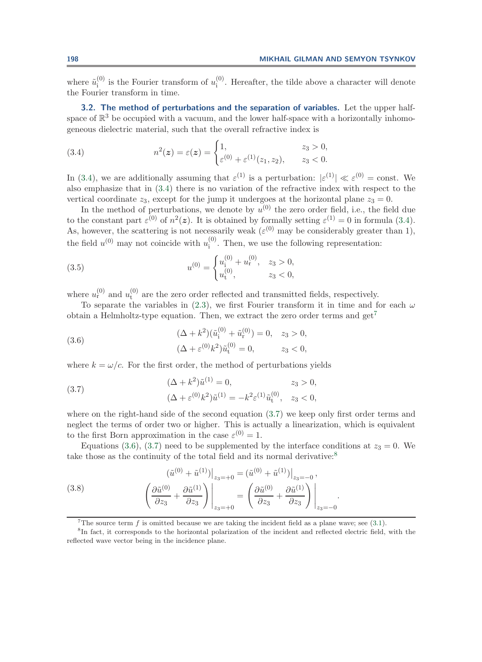where  $\tilde{u}_i^{(0)}$  is the Fourier transform of  $u_i^{(0)}$ . Hereafter, the tilde above a character will denote the Fourier transform in time.

<span id="page-12-0"></span>**3.2. The method of perturbations and the separation of variables.** Let the upper halfspace of  $\mathbb{R}^3$  be occupied with a vacuum, and the lower half-space with a horizontally inhomogeneous dielectric material, such that the overall refractive index is

<span id="page-12-1"></span>(3.4) 
$$
n^{2}(z) = \varepsilon(z) = \begin{cases} 1, & z_{3} > 0, \\ \varepsilon^{(0)} + \varepsilon^{(1)}(z_{1}, z_{2}), & z_{3} < 0. \end{cases}
$$

In [\(3.4\)](#page-12-1), we are additionally assuming that  $\varepsilon^{(1)}$  is a perturbation:  $|\varepsilon^{(1)}| \ll \varepsilon^{(0)} = \text{const.}$  We also emphasize that in [\(3.4\)](#page-12-1) there is no variation of the refractive index with respect to the vertical coordinate  $z_3$ , except for the jump it undergoes at the horizontal plane  $z_3 = 0$ .

In the method of perturbations, we denote by  $u^{(0)}$  the zero order field, i.e., the field due to the constant part  $\varepsilon^{(0)}$  of  $n^2(z)$ . It is obtained by formally setting  $\varepsilon^{(1)} = 0$  in formula [\(3.4\)](#page-12-1). As, however, the scattering is not necessarily weak ( $\varepsilon^{(0)}$  may be considerably greater than 1), the field  $u^{(0)}$  may not coincide with  $u_i^{(0)}$ . Then, we use the following representation:

<span id="page-12-7"></span>(3.5) 
$$
u^{(0)} = \begin{cases} u_1^{(0)} + u_1^{(0)}, & z_3 > 0, \\ u_1^{(0)}, & z_3 < 0, \end{cases}
$$

where  $u_{\rm r}^{(0)}$  and  $u_{\rm t}^{(0)}$  are the zero order reflected and transmitted fields, respectively.

To separate the variables in [\(2.3\)](#page-2-5), we first Fourier transform it in time and for each  $\omega$ obtain a Helmholtz-type equation. Then, we extract the zero order terms and  $get^7$  $get^7$ 

<span id="page-12-4"></span>(3.6) 
$$
(\Delta + k^2)(\tilde{u}_i^{(0)} + \tilde{u}_r^{(0)}) = 0, \quad z_3 > 0,
$$

$$
(\Delta + \varepsilon^{(0)}k^2)\tilde{u}_t^{(0)} = 0, \qquad z_3 < 0,
$$

<span id="page-12-3"></span>where  $k = \omega/c$ . For the first order, the method of perturbations yields

(3.7) 
$$
(\Delta + k^2)\tilde{u}^{(1)} = 0, \qquad z_3 > 0,
$$

$$
(\Delta + \varepsilon^{(0)}k^2)\tilde{u}^{(1)} = -k^2\varepsilon^{(1)}\tilde{u}^{(0)}_t, \quad z_3 < 0,
$$

where on the right-hand side of the second equation [\(3.7\)](#page-12-3) we keep only first order terms and neglect the terms of order two or higher. This is actually a linearization, which is equivalent to the first Born approximation in the case  $\varepsilon^{(0)} = 1$ .

Equations [\(3.6\)](#page-12-4), [\(3.7\)](#page-12-3) need to be supplemented by the interface conditions at  $z_3 = 0$ . We take those as the continuity of the total field and its normal derivative:<sup>[8](#page-12-5)</sup>

(3.8) 
$$
(\tilde{u}^{(0)} + \tilde{u}^{(1)})|_{z_3 = +0} = (\tilde{u}^{(0)} + \tilde{u}^{(1)})|_{z_3 = -0},
$$

$$
\left(\frac{\partial \tilde{u}^{(0)}}{\partial z_3} + \frac{\partial \tilde{u}^{(1)}}{\partial z_3}\right)\Big|_{z_3 = +0} = \left(\frac{\partial \tilde{u}^{(0)}}{\partial z_3} + \frac{\partial \tilde{u}^{(1)}}{\partial z_3}\right)\Big|_{z_3 = -0}.
$$

<span id="page-12-6"></span><span id="page-12-2"></span><sup>7</sup>The source term f is omitted because we are taking the incident field as a plane wave; see  $(3.1)$ .

<span id="page-12-5"></span><sup>8</sup>In fact, it corresponds to the horizontal polarization of the incident and reflected electric field, with the reflected wave vector being in the incidence plane.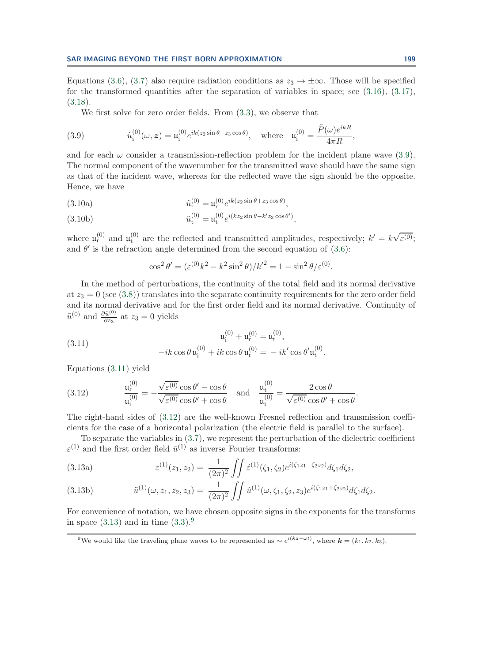Equations [\(3.6\)](#page-12-4), [\(3.7\)](#page-12-3) also require radiation conditions as  $z_3 \to \pm \infty$ . Those will be specified for the transformed quantities after the separation of variables in space; see [\(3.16\)](#page-14-0), [\(3.17\)](#page-15-0), [\(3.18\)](#page-15-1).

We first solve for zero order fields. From [\(3.3\)](#page-11-2), we observe that

(3.9) 
$$
\tilde{u}_i^{(0)}(\omega, z) = \mathfrak{u}_i^{(0)} e^{ik(z_2 \sin \theta - z_3 \cos \theta)}, \text{ where } \mathfrak{u}_i^{(0)} = \frac{\tilde{P}(\omega) e^{ikR}}{4\pi R},
$$

and for each  $\omega$  consider a transmission-reflection problem for the incident plane wave [\(3.9\)](#page-13-0). The normal component of the wavenumber for the transmitted wave should have the same sign as that of the incident wave, whereas for the reflected wave the sign should be the opposite. Hence, we have

(3.10a) 
$$
\tilde{u}_{\mathbf{r}}^{(0)} = \mathfrak{u}_{\mathbf{r}}^{(0)} e^{ik(z_2 \sin \theta + z_3 \cos \theta)},
$$

<span id="page-13-5"></span>(3.10b) 
$$
\tilde{u}_t^{(0)} = u_t^{(0)} e^{i(kz_2 \sin \theta - k'z_3 \cos \theta')},
$$

where  $\mathfrak{u}_{r}^{(0)}$  and  $\mathfrak{u}_{t}^{(0)}$  are the reflected and transmitted amplitudes, respectively;  $k' = k\sqrt{\varepsilon^{(0)}}$ ; and  $\theta'$  is the refraction angle determined from the second equation of [\(3.6\)](#page-12-4):

<span id="page-13-1"></span><span id="page-13-0"></span>
$$
\cos^2 \theta' = (\varepsilon^{(0)} k^2 - k^2 \sin^2 \theta) / k'^2 = 1 - \sin^2 \theta / \varepsilon^{(0)}.
$$

In the method of perturbations, the continuity of the total field and its normal derivative at  $z_3 = 0$  (see [\(3.8\)](#page-12-6)) translates into the separate continuity requirements for the zero order field and its normal derivative and for the first order field and its normal derivative. Continuity of  $\tilde{u}^{(0)}$  and  $\frac{\partial \tilde{u}^{(0)}}{\partial z_3}$  at  $z_3 = 0$  yields

(3.11) 
$$
u_i^{(0)} + u_r^{(0)} = u_t^{(0)},
$$

$$
-ik \cos \theta u_i^{(0)} + ik \cos \theta u_r^{(0)} = -ik' \cos \theta' u_t^{(0)}.
$$

<span id="page-13-2"></span>Equations [\(3.11\)](#page-13-1) yield

(3.12) 
$$
\frac{\mathfrak{u}_{r}^{(0)}}{\mathfrak{u}_{i}^{(0)}} = -\frac{\sqrt{\varepsilon^{(0)}}\cos\theta' - \cos\theta}{\sqrt{\varepsilon^{(0)}}\cos\theta' + \cos\theta} \text{ and } \frac{\mathfrak{u}_{t}^{(0)}}{\mathfrak{u}_{i}^{(0)}} = \frac{2\cos\theta}{\sqrt{\varepsilon^{(0)}}\cos\theta' + \cos\theta}.
$$

The right-hand sides of [\(3.12\)](#page-13-2) are the well-known Fresnel reflection and transmission coefficients for the case of a horizontal polarization (the electric field is parallel to the surface).

To separate the variables in [\(3.7\)](#page-12-3), we represent the perturbation of the dielectric coefficient  $\varepsilon^{(1)}$  and the first order field  $\tilde{u}^{(1)}$  as inverse Fourier transforms:

<span id="page-13-6"></span><span id="page-13-3"></span>(3.13a) 
$$
\varepsilon^{(1)}(z_1, z_2) = \frac{1}{(2\pi)^2} \iint \hat{\varepsilon}^{(1)}(\zeta_1, \zeta_2) e^{i(\zeta_1 z_1 + \zeta_2 z_2)} d\zeta_1 d\zeta_2,
$$

<span id="page-13-7"></span>(3.13b) 
$$
\tilde{u}^{(1)}(\omega, z_1, z_2, z_3) = \frac{1}{(2\pi)^2} \iint \hat{u}^{(1)}(\omega, \zeta_1, \zeta_2, z_3) e^{i(\zeta_1 z_1 + \zeta_2 z_2)} d\zeta_1 d\zeta_2.
$$

For convenience of notation, we have chosen opposite signs in the exponents for the transforms in space  $(3.13)$  and in time  $(3.3).<sup>9</sup>$  $(3.3).<sup>9</sup>$  $(3.3).<sup>9</sup>$  $(3.3).<sup>9</sup>$ 

<span id="page-13-4"></span><sup>&</sup>lt;sup>9</sup>We would like the traveling plane waves to be represented as  $\sim e^{i(kz-\omega t)}$ , where  $\mathbf{k} = (k_1, k_2, k_3)$ .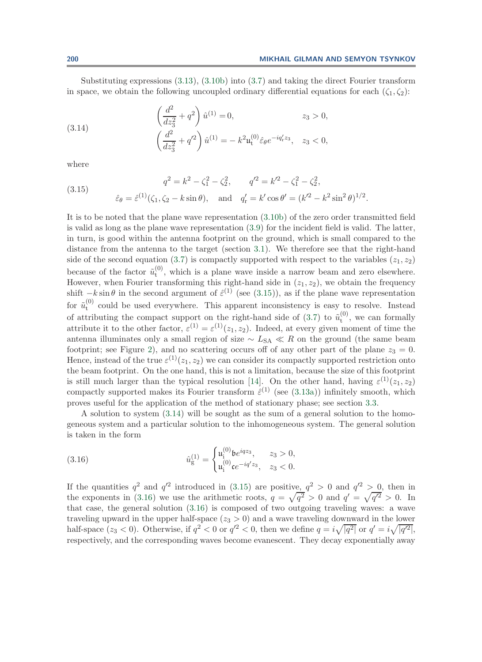Substituting expressions [\(3.13\)](#page-13-3), [\(3.10b\)](#page-13-5) into [\(3.7\)](#page-12-3) and taking the direct Fourier transform in space, we obtain the following uncoupled ordinary differential equations for each  $(\zeta_1, \zeta_2)$ :

<span id="page-14-2"></span>(3.14) 
$$
\left(\frac{d^2}{dz_3^2} + q^2\right) \hat{u}^{(1)} = 0, \qquad z_3 > 0,
$$

$$
\left(\frac{d^2}{dz_3^2} + q'^2\right) \hat{u}^{(1)} = -k^2 \mathfrak{u}_t^{(0)} \hat{\varepsilon}_{\theta} e^{-iq'_r z_3}, \quad z_3 < 0,
$$

<span id="page-14-1"></span>where

(3.15) 
$$
q^{2} = k^{2} - \zeta_{1}^{2} - \zeta_{2}^{2}, \qquad q'^{2} = k'^{2} - \zeta_{1}^{2} - \zeta_{2}^{2},
$$

$$
\hat{\varepsilon}_{\theta} = \hat{\varepsilon}^{(1)}(\zeta_{1}, \zeta_{2} - k \sin \theta), \text{ and } q'_{r} = k' \cos \theta' = (k'^{2} - k^{2} \sin^{2} \theta)^{1/2}.
$$

It is to be noted that the plane wave representation [\(3.10b\)](#page-13-5) of the zero order transmitted field is valid as long as the plane wave representation [\(3.9\)](#page-13-0) for the incident field is valid. The latter, in turn, is good within the antenna footprint on the ground, which is small compared to the distance from the antenna to the target (section [3.1\)](#page-10-2). We therefore see that the right-hand side of the second equation [\(3.7\)](#page-12-3) is compactly supported with respect to the variables  $(z_1, z_2)$ because of the factor  $\tilde{u}_t^{(0)}$ , which is a plane wave inside a narrow beam and zero elsewhere. However, when Fourier transforming this right-hand side in  $(z_1, z_2)$ , we obtain the frequency shift  $-k \sin \theta$  in the second argument of  $\hat{\epsilon}^{(1)}$  (see [\(3.15\)](#page-14-1)), as if the plane wave representation for  $\tilde{u}_t^{(0)}$  could be used everywhere. This apparent inconsistency is easy to resolve. Instead of attributing the compact support on the right-hand side of [\(3.7\)](#page-12-3) to  $\tilde{u}_t^{(0)}$ , we can formally attribute it to the other factor,  $\varepsilon^{(1)} = \varepsilon^{(1)}(z_1, z_2)$ . Indeed, at every given moment of time the antenna illuminates only a small region of size  $\sim L_{SA} \ll R$  on the ground (the same beam footprint; see Figure [2\)](#page-11-0), and no scattering occurs off of any other part of the plane  $z_3 = 0$ . Hence, instead of the true  $\varepsilon^{(1)}(z_1, z_2)$  we can consider its compactly supported restriction onto the beam footprint. On the one hand, this is not a limitation, because the size of this footprint is still much larger than the typical resolution [\[14\]](#page-38-4). On the other hand, having  $\varepsilon^{(1)}(z_1, z_2)$ compactly supported makes its Fourier transform  $\hat{\varepsilon}^{(1)}$  (see [\(3.13a\)](#page-13-6)) infinitely smooth, which proves useful for the application of the method of stationary phase; see section [3.3.](#page-17-0)

A solution to system [\(3.14\)](#page-14-2) will be sought as the sum of a general solution to the homogeneous system and a particular solution to the inhomogeneous system. The general solution is taken in the form

<span id="page-14-0"></span>(3.16) 
$$
\hat{u}_{g}^{(1)} = \begin{cases} u_{i}^{(0)} be^{iqz_{3}}, & z_{3} > 0, \\ u_{i}^{(0)} ce^{-iq'z_{3}}, & z_{3} < 0. \end{cases}
$$

If the quantities  $q^2$  and  $q'^2$  introduced in [\(3.15\)](#page-14-1) are positive,  $q^2 > 0$  and  $q'^2 > 0$ , then in the exponents in [\(3.16\)](#page-14-0) we use the arithmetic roots,  $q = \sqrt{q^2} > 0$  and  $q' = \sqrt{q'^2} > 0$ . In that case, the general solution [\(3.16\)](#page-14-0) is composed of two outgoing traveling waves: a wave traveling upward in the upper half-space  $(z_3 > 0)$  and a wave traveling downward in the lower half-space  $(z_3 < 0)$ . Otherwise, if  $q^2 < 0$  or  $q'^2 < 0$ , then we define  $q = i\sqrt{|q^2|}$  or  $q' = i\sqrt{|q'^2|}$ , respectively, and the corresponding waves become evanescent. They decay exponentially away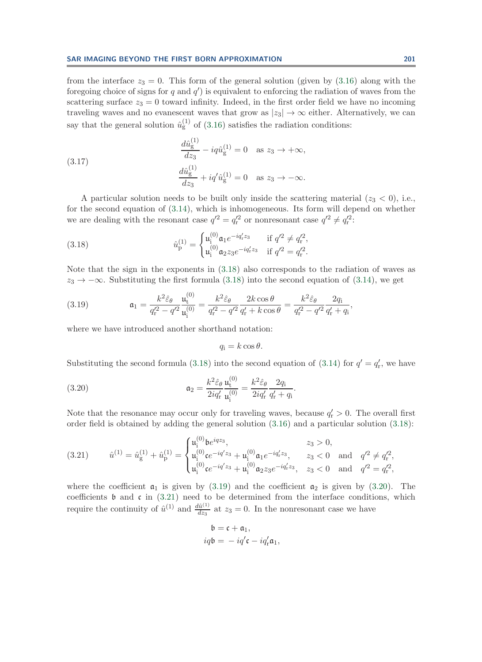from the interface  $z_3 = 0$ . This form of the general solution (given by  $(3.16)$ ) along with the foregoing choice of signs for q and  $q'$ ) is equivalent to enforcing the radiation of waves from the scattering surface  $z_3 = 0$  toward infinity. Indeed, in the first order field we have no incoming traveling waves and no evanescent waves that grow as  $|z_3|\to\infty$  either. Alternatively, we can say that the general solution  $\hat{u}_{g}^{(1)}$  of [\(3.16\)](#page-14-0) satisfies the radiation conditions:

(3.17) 
$$
\frac{d\hat{u}_{g}^{(1)}}{dz_{3}} - iq\hat{u}_{g}^{(1)} = 0 \text{ as } z_{3} \to +\infty,
$$

$$
\frac{d\hat{u}_{g}^{(1)}}{dz_{3}} + iq'\hat{u}_{g}^{(1)} = 0 \text{ as } z_{3} \to -\infty.
$$

A particular solution needs to be built only inside the scattering material  $(z_3 < 0)$ , i.e., for the second equation of [\(3.14\)](#page-14-2), which is inhomogeneous. Its form will depend on whether we are dealing with the resonant case  $q'^2 = q'^2_{\rm r}$  or nonresonant case  $q'^2 \neq q'^2_{\rm r}$ :

(3.18) 
$$
\hat{u}_{\mathrm{p}}^{(1)} = \begin{cases} u_{\mathrm{i}}^{(0)} \mathfrak{a}_{1} e^{-i q_{\mathrm{r}}^{\prime} z_{3}} & \text{if } q^{\prime 2} \neq q_{\mathrm{r}}^{\prime 2}, \\ u_{\mathrm{i}}^{(0)} \mathfrak{a}_{2} z_{3} e^{-i q_{\mathrm{r}}^{\prime} z_{3}} & \text{if } q^{\prime 2} = q_{\mathrm{r}}^{\prime 2}. \end{cases}
$$

Note that the sign in the exponents in [\(3.18\)](#page-15-1) also corresponds to the radiation of waves as  $z_3 \rightarrow -\infty$ . Substituting the first formula [\(3.18\)](#page-15-1) into the second equation of [\(3.14\)](#page-14-2), we get

(3.19) 
$$
\mathfrak{a}_1 = \frac{k^2 \hat{\varepsilon}_{\theta}}{q_r'^2 - q'^2} \frac{\mathfrak{u}_t^{(0)}}{\mathfrak{u}_i^{(0)}} = \frac{k^2 \hat{\varepsilon}_{\theta}}{q_r'^2 - q'^2} \frac{2k \cos \theta}{q_r' + k \cos \theta} = \frac{k^2 \hat{\varepsilon}_{\theta}}{q_r'^2 - q'^2} \frac{2q_i}{q_r' + q_i},
$$

where we have introduced another shorthand notation:

<span id="page-15-4"></span><span id="page-15-3"></span><span id="page-15-2"></span><span id="page-15-1"></span><span id="page-15-0"></span>
$$
q_{\rm i}=k\cos\theta.
$$

Substituting the second formula [\(3.18\)](#page-15-1) into the second equation of [\(3.14\)](#page-14-2) for  $q' = q'_r$ , we have

(3.20) 
$$
\mathfrak{a}_2 = \frac{k^2 \hat{\varepsilon}_{\theta}}{2i q'_{r}} \frac{\mathfrak{u}_{t}^{(0)}}{\mathfrak{u}_{t}^{(0)}} = \frac{k^2 \hat{\varepsilon}_{\theta}}{2i q'_{r}} \frac{2q_{i}}{q'_{r} + q_{i}}.
$$

Note that the resonance may occur only for traveling waves, because  $q'_r > 0$ . The overall first order field is obtained by adding the general solution [\(3.16\)](#page-14-0) and a particular solution [\(3.18\)](#page-15-1):

(3.21) 
$$
\hat{u}^{(1)} = \hat{u}^{(1)}_{g} + \hat{u}^{(1)}_{p} = \begin{cases} u^{(0)}_{i}b e^{iqz_{3}}, & z_{3} > 0, \\ u^{(0)}_{i}c e^{-iq'z_{3}} + u^{(0)}_{i}a_{1}e^{-iq'z_{3}}, & z_{3} < 0 \text{ and } q'^{2} \neq q'^{2}_{r}, \\ u^{(0)}_{i}c e^{-iq'z_{3}} + u^{(0)}_{i}a_{2}z_{3}e^{-iq'z_{3}}, & z_{3} < 0 \text{ and } q'^{2} = q'^{2}_{r}, \end{cases}
$$

where the coefficient  $a_1$  is given by [\(3.19\)](#page-15-2) and the coefficient  $a_2$  is given by [\(3.20\)](#page-15-3). The coefficients  $\mathfrak b$  and  $\mathfrak c$  in [\(3.21\)](#page-15-4) need to be determined from the interface conditions, which require the continuity of  $\hat{u}^{(1)}$  and  $\frac{d\hat{u}^{(1)}}{dz_3}$  at  $z_3 = 0$ . In the nonresonant case we have

$$
\begin{aligned} \mathfrak{b} &= \mathfrak{c} + \mathfrak{a}_1, \\ iq\mathfrak{b} &= -iq'\mathfrak{c} - iq'_r\mathfrak{a}_1, \end{aligned}
$$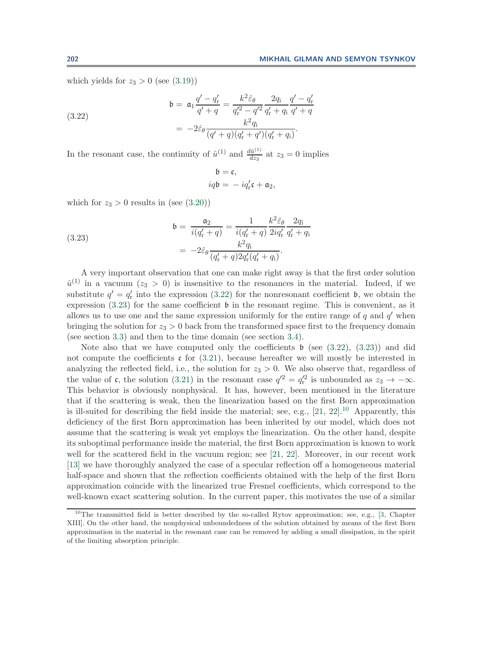which yields for  $z_3 > 0$  (see [\(3.19\)](#page-15-2))

(3.22)  
\n
$$
\mathfrak{b} = \mathfrak{a}_1 \frac{q' - q'_r}{q' + q} = \frac{k^2 \hat{\varepsilon}_{\theta}}{q_r'^2 - q'^2} \frac{2q_i}{q'_r + q_i} \frac{q' - q'_r}{q' + q}
$$
\n
$$
= -2\hat{\varepsilon}_{\theta} \frac{k^2 q_i}{(q' + q)(q'_r + q')(q'_r + q_i)}.
$$

In the resonant case, the continuity of  $\hat{u}^{(1)}$  and  $\frac{d\hat{u}^{(1)}}{dz_3}$  at  $z_3 = 0$  implies

<span id="page-16-1"></span><span id="page-16-0"></span>
$$
\begin{aligned} \mathfrak{b}&=\mathfrak{c},\\ i q\mathfrak{b}&=-i q'_{\rm r}\mathfrak{c}+\mathfrak{a}_2, \end{aligned}
$$

which for  $z_3 > 0$  results in (see [\(3.20\)](#page-15-3))

(3.23)  

$$
\mathfrak{b} = \frac{\mathfrak{a}_2}{i(q'_r + q)} = \frac{1}{i(q'_r + q)} \frac{k^2 \hat{\varepsilon}_{\theta}}{2iq'_r} \frac{2q_i}{q'_r + q_i}
$$

$$
= -2\hat{\varepsilon}_{\theta} \frac{k^2 q_i}{(q'_r + q)2q'_r(q'_r + q_i)}.
$$

A very important observation that one can make right away is that the first order solution  $\hat{u}^{(1)}$  in a vacuum  $(z_3 > 0)$  is insensitive to the resonances in the material. Indeed, if we substitute  $q' = q'_{\rm r}$  into the expression [\(3.22\)](#page-16-0) for the nonresonant coefficient b, we obtain the expression  $(3.23)$  for the same coefficient  $\mathfrak b$  in the resonant regime. This is convenient, as it allows us to use one and the same expression uniformly for the entire range of  $q$  and  $q'$  when bringing the solution for  $z_3 > 0$  back from the transformed space first to the frequency domain (see section [3.3\)](#page-17-0) and then to the time domain (see section [3.4\)](#page-23-0).

Note also that we have computed only the coefficients  $\mathfrak b$  (see [\(3.22\)](#page-16-0), [\(3.23\)](#page-16-1)) and did not compute the coefficients  $\mathfrak c$  for [\(3.21\)](#page-15-4), because hereafter we will mostly be interested in analyzing the reflected field, i.e., the solution for  $z_3 > 0$ . We also observe that, regardless of the value of c, the solution [\(3.21\)](#page-15-4) in the resonant case  $q'^2 = q'^2$  is unbounded as  $z_3 \to -\infty$ . This behavior is obviously nonphysical. It has, however, been mentioned in the literature that if the scattering is weak, then the linearization based on the first Born approximation is ill-suited for describing the field inside the material; see, e.g.,  $[21, 22]$  $[21, 22]$  $[21, 22]$ .<sup>[10](#page-16-2)</sup> Apparently, this deficiency of the first Born approximation has been inherited by our model, which does not assume that the scattering is weak yet employs the linearization. On the other hand, despite its suboptimal performance inside the material, the first Born approximation is known to work well for the scattered field in the vacuum region; see [\[21,](#page-38-11) [22\]](#page-38-12). Moreover, in our recent work [\[13\]](#page-38-5) we have thoroughly analyzed the case of a specular reflection off a homogeneous material half-space and shown that the reflection coefficients obtained with the help of the first Born approximation coincide with the linearized true Fresnel coefficients, which correspond to the well-known exact scattering solution. In the current paper, this motivates the use of a similar

<span id="page-16-2"></span><sup>&</sup>lt;sup>10</sup>The transmitted field is better described by the so-called Rytov approximation; see, e.g., [\[3,](#page-38-3) Chapter] XIII]. On the other hand, the nonphysical unboundedness of the solution obtained by means of the first Born approximation in the material in the resonant case can be removed by adding a small dissipation, in the spirit of the limiting absorption principle.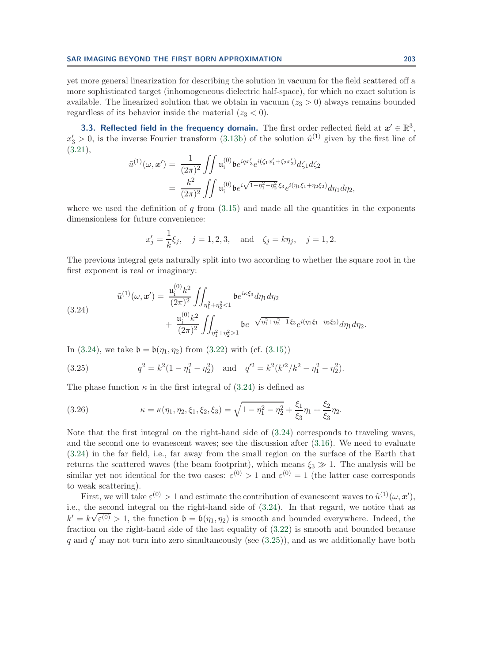yet more general linearization for describing the solution in vacuum for the field scattered off a more sophisticated target (inhomogeneous dielectric half-space), for which no exact solution is available. The linearized solution that we obtain in vacuum  $(z_3 > 0)$  always remains bounded regardless of its behavior inside the material  $(z_3 < 0)$ .

<span id="page-17-0"></span>**3.3. Reflected field in the frequency domain.** The first order reflected field at  $x' \in \mathbb{R}^3$ ,  $x_3' > 0$ , is the inverse Fourier transform [\(3.13b\)](#page-13-7) of the solution  $\hat{u}^{(1)}$  given by the first line of [\(3.21\)](#page-15-4),

$$
\tilde{u}^{(1)}(\omega, x') = \frac{1}{(2\pi)^2} \iint \mathfrak{u}_i^{(0)} b e^{iqx_3'} e^{i(\zeta_1 x'_1 + \zeta_2 x'_2)} d\zeta_1 d\zeta_2
$$
  
= 
$$
\frac{k^2}{(2\pi)^2} \iint \mathfrak{u}_i^{(0)} b e^{i\sqrt{1 - \eta_1^2 - \eta_2^2}} \zeta_3 e^{i(\eta_1 \xi_1 + \eta_2 \xi_2)} d\eta_1 d\eta_2,
$$

where we used the definition of  $q$  from  $(3.15)$  and made all the quantities in the exponents dimensionless for future convenience:

$$
x'_j = \frac{1}{k}\xi_j
$$
,  $j = 1, 2, 3$ , and  $\zeta_j = k\eta_j$ ,  $j = 1, 2$ .

The previous integral gets naturally split into two according to whether the square root in the first exponent is real or imaginary:

(3.24)  

$$
\tilde{u}^{(1)}(\omega, \boldsymbol{x}') = \frac{\mathfrak{u}_i^{(0)} k^2}{(2\pi)^2} \iint_{\eta_1^2 + \eta_2^2 < 1} \mathfrak{b} e^{i\kappa \xi_3} d\eta_1 d\eta_2 + \frac{\mathfrak{u}_i^{(0)} k^2}{(2\pi)^2} \iint_{\eta_1^2 + \eta_2^2 > 1} \mathfrak{b} e^{-\sqrt{\eta_1^2 + \eta_2^2 - 1} \xi_3} e^{i(\eta_1 \xi_1 + \eta_2 \xi_2)} d\eta_1 d\eta_2.
$$

In [\(3.24\)](#page-17-1), we take  $\mathfrak{b} = \mathfrak{b}(\eta_1, \eta_2)$  from [\(3.22\)](#page-16-0) with (cf. [\(3.15\)](#page-14-1))

<span id="page-17-3"></span><span id="page-17-2"></span><span id="page-17-1"></span> $(0)$ 

(3.25) 
$$
q^2 = k^2(1 - \eta_1^2 - \eta_2^2) \text{ and } q'^2 = k^2(k'^2/k^2 - \eta_1^2 - \eta_2^2).
$$

The phase function  $\kappa$  in the first integral of [\(3.24\)](#page-17-1) is defined as

(3.26) 
$$
\kappa = \kappa(\eta_1, \eta_2, \xi_1, \xi_2, \xi_3) = \sqrt{1 - \eta_1^2 - \eta_2^2} + \frac{\xi_1}{\xi_3} \eta_1 + \frac{\xi_2}{\xi_3} \eta_2.
$$

Note that the first integral on the right-hand side of [\(3.24\)](#page-17-1) corresponds to traveling waves, and the second one to evanescent waves; see the discussion after [\(3.16\)](#page-14-0). We need to evaluate [\(3.24\)](#page-17-1) in the far field, i.e., far away from the small region on the surface of the Earth that returns the scattered waves (the beam footprint), which means  $\xi_3 \gg 1$ . The analysis will be similar yet not identical for the two cases:  $\varepsilon^{(0)} > 1$  and  $\varepsilon^{(0)} = 1$  (the latter case corresponds to weak scattering).

First, we will take  $\varepsilon^{(0)} > 1$  and estimate the contribution of evanescent waves to  $\tilde{u}^{(1)}(\omega, x')$ , i.e., the second integral on the right-hand side of  $(3.24)$ . In that regard, we notice that as  $k' = k\sqrt{\varepsilon^{(0)}} > 1$ , the function  $\mathfrak{b} = \mathfrak{b}(\eta_1, \eta_2)$  is smooth and bounded everywhere. Indeed, the fraction on the right-hand side of the last equality of [\(3.22\)](#page-16-0) is smooth and bounded because q and  $q'$  may not turn into zero simultaneously (see  $(3.25)$ ), and as we additionally have both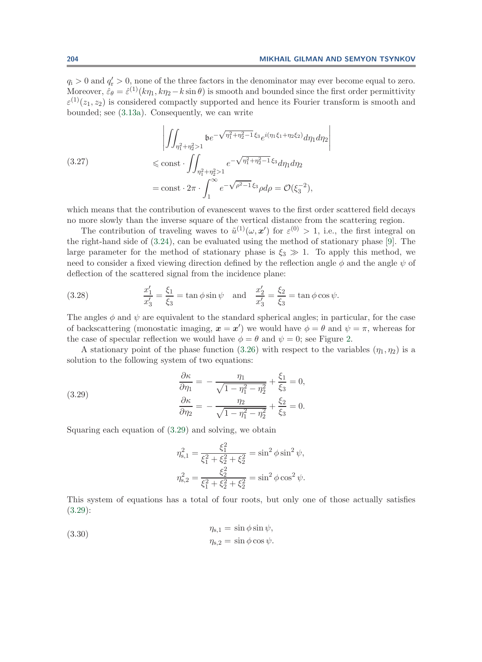$q_i > 0$  and  $q'_r > 0$ , none of the three factors in the denominator may ever become equal to zero. Moreover,  $\hat{\varepsilon}_{\theta} = \hat{\varepsilon}^{(1)}(k\eta_1, k\eta_2 - k\sin\theta)$  is smooth and bounded since the first order permittivity  $\varepsilon^{(1)}(z_1, z_2)$  is considered compactly supported and hence its Fourier transform is smooth and bounded; see [\(3.13a\)](#page-13-6). Consequently, we can write

<span id="page-18-2"></span>
$$
\left| \iint_{\eta_1^2 + \eta_2^2 > 1} b e^{-\sqrt{\eta_1^2 + \eta_2^2 - 1} \xi_3} e^{i(\eta_1 \xi_1 + \eta_2 \xi_2)} d\eta_1 d\eta_2 \right|
$$
  
(3.27)  

$$
\leq \text{const} \cdot \iint_{\eta_1^2 + \eta_2^2 > 1} e^{-\sqrt{\eta_1^2 + \eta_2^2 - 1} \xi_3} d\eta_1 d\eta_2
$$

$$
= \text{const} \cdot 2\pi \cdot \int_1^\infty e^{-\sqrt{\rho^2 - 1} \xi_3} \rho d\rho = \mathcal{O}(\xi_3^{-2}),
$$

which means that the contribution of evanescent waves to the first order scattered field decays no more slowly than the inverse square of the vertical distance from the scattering region.

The contribution of traveling waves to  $\tilde{u}^{(1)}(\omega, x')$  for  $\varepsilon^{(0)} > 1$ , i.e., the first integral on the right-hand side of [\(3.24\)](#page-17-1), can be evaluated using the method of stationary phase [\[9\]](#page-38-13). The large parameter for the method of stationary phase is  $\xi_3 \gg 1$ . To apply this method, we need to consider a fixed viewing direction defined by the reflection angle  $\phi$  and the angle  $\psi$  of deflection of the scattered signal from the incidence plane:

(3.28) 
$$
\frac{x'_1}{x'_3} = \frac{\xi_1}{\xi_3} = \tan \phi \sin \psi \text{ and } \frac{x'_2}{x'_3} = \frac{\xi_2}{\xi_3} = \tan \phi \cos \psi.
$$

The angles  $\phi$  and  $\psi$  are equivalent to the standard spherical angles; in particular, for the case of backscattering (monostatic imaging,  $x = x'$ ) we would have  $\phi = \theta$  and  $\psi = \pi$ , whereas for the case of specular reflection we would have  $\phi = \theta$  and  $\psi = 0$ ; see Figure [2.](#page-11-0)

A stationary point of the phase function [\(3.26\)](#page-17-3) with respect to the variables  $(\eta_1, \eta_2)$  is a solution to the following system of two equations:

(3.29)  
\n
$$
\frac{\partial \kappa}{\partial \eta_1} = -\frac{\eta_1}{\sqrt{1 - \eta_1^2 - \eta_2^2}} + \frac{\xi_1}{\xi_3} = 0,
$$
\n
$$
\frac{\partial \kappa}{\partial \eta_2} = -\frac{\eta_2}{\sqrt{1 - \eta_1^2 - \eta_2^2}} + \frac{\xi_2}{\xi_3} = 0.
$$

Squaring each equation of [\(3.29\)](#page-18-0) and solving, we obtain

<span id="page-18-3"></span><span id="page-18-0"></span>
$$
\eta_{s,1}^2 = \frac{\xi_1^2}{\xi_1^2 + \xi_2^2 + \xi_2^2} = \sin^2 \phi \sin^2 \psi,
$$
  

$$
\eta_{s,2}^2 = \frac{\xi_2^2}{\xi_1^2 + \xi_2^2 + \xi_2^2} = \sin^2 \phi \cos^2 \psi.
$$

<span id="page-18-1"></span>This system of equations has a total of four roots, but only one of those actually satisfies [\(3.29\)](#page-18-0):

(3.30) 
$$
\eta_{s,1} = \sin \phi \sin \psi, \eta_{s,2} = \sin \phi \cos \psi.
$$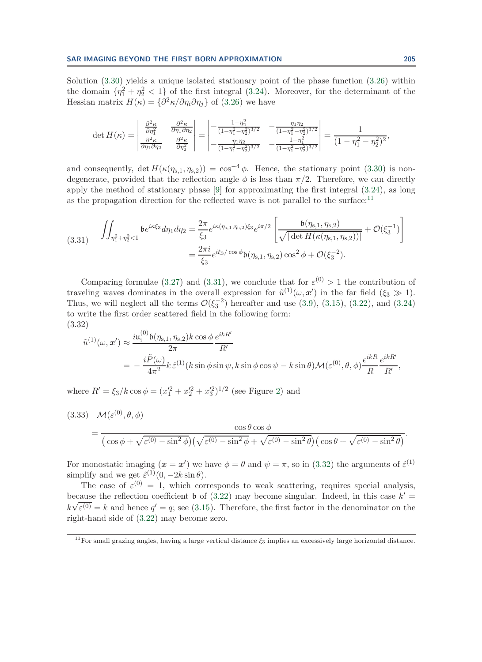Solution [\(3.30\)](#page-18-1) yields a unique isolated stationary point of the phase function [\(3.26\)](#page-17-3) within the domain  $\{\eta_1^2 + \eta_2^2 < 1\}$  of the first integral [\(3.24\)](#page-17-1). Moreover, for the determinant of the Hessian matrix  $H(\kappa) = \{\partial^2 \kappa / \partial \eta_i \partial \eta_j\}$  of [\(3.26\)](#page-17-3) we have

<span id="page-19-1"></span>
$$
\det H(\kappa) = \begin{vmatrix} \frac{\partial^2 \kappa}{\partial \eta_1^2} & \frac{\partial^2 \kappa}{\partial \eta_1 \partial \eta_2} \\ \frac{\partial^2 \kappa}{\partial \eta_1 \partial \eta_2} & \frac{\partial^2 \kappa}{\partial \eta_2^2} \end{vmatrix} = \begin{vmatrix} -\frac{1 - \eta_2^2}{(1 - \eta_1^2 - \eta_2^2)^{3/2}} & -\frac{\eta_1 \eta_2}{(1 - \eta_1^2 - \eta_2^2)^{3/2}} \\ -\frac{\eta_1 \eta_2}{(1 - \eta_1^2 - \eta_2^2)^{3/2}} & -\frac{1 - \eta_1^2}{(1 - \eta_1^2 - \eta_2^2)^{3/2}} \end{vmatrix} = \frac{1}{(1 - \eta_1^2 - \eta_2^2)^2},
$$

and consequently, det  $H(\kappa(\eta_{s,1}, \eta_{s,2})) = \cos^{-4} \phi$ . Hence, the stationary point [\(3.30\)](#page-18-1) is nondegenerate, provided that the reflection angle  $\phi$  is less than  $\pi/2$ . Therefore, we can directly apply the method of stationary phase [\[9\]](#page-38-13) for approximating the first integral [\(3.24\)](#page-17-1), as long as the propagation direction for the reflected wave is not parallel to the surface: $11$ 

$$
(3.31) \quad \iint_{\eta_1^2 + \eta_2^2 < 1} \mathfrak{b} e^{i\kappa \xi_3} d\eta_1 d\eta_2 = \frac{2\pi}{\xi_3} e^{i\kappa(\eta_{\mathbf{s},1}, \eta_{\mathbf{s},2})\xi_3} e^{i\pi/2} \left[ \frac{\mathfrak{b}(\eta_{\mathbf{s},1}, \eta_{\mathbf{s},2})}{\sqrt{|\det H(\kappa(\eta_{\mathbf{s},1}, \eta_{\mathbf{s},2}))|}} + \mathcal{O}(\xi_3^{-1}) \right]
$$
\n
$$
= \frac{2\pi i}{\xi_3} e^{i\xi_3/\cos\phi} \mathfrak{b}(\eta_{\mathbf{s},1}, \eta_{\mathbf{s},2}) \cos^2\phi + \mathcal{O}(\xi_3^{-2}).
$$

Comparing formulae [\(3.27\)](#page-18-2) and [\(3.31\)](#page-19-1), we conclude that for  $\varepsilon^{(0)} > 1$  the contribution of traveling waves dominates in the overall expression for  $\tilde{u}^{(1)}(\omega, x')$  in the far field  $(\xi_3 \gg 1)$ . Thus, we will neglect all the terms  $\mathcal{O}(\xi_3^{-2})$  hereafter and use [\(3.9\)](#page-13-0), [\(3.15\)](#page-14-1), [\(3.22\)](#page-16-0), and [\(3.24\)](#page-17-1) to write the first order scattered field in the following form: (3.32)

<span id="page-19-2"></span>
$$
\tilde{u}^{(1)}(\omega, \mathbf{x}') \approx \frac{i\mathfrak{u}_{i}^{(0)}\mathfrak{b}(\eta_{s,1}, \eta_{s,2})k\cos\phi}{2\pi} \frac{e^{ikR'}}{R'}
$$
\n
$$
= -\frac{i\tilde{P}(\omega)}{4\pi^2} k \,\hat{\varepsilon}^{(1)}(k\sin\phi\sin\psi, k\sin\phi\cos\psi - k\sin\theta)\mathcal{M}(\varepsilon^{(0)}, \theta, \phi) \frac{e^{ikR}}{R} \frac{e^{ikR'}}{R'},
$$

where  $R' = \xi_3/k \cos \phi = (x_1'^2 + x_2'^2 + x_3'^2)^{1/2}$  $R' = \xi_3/k \cos \phi = (x_1'^2 + x_2'^2 + x_3'^2)^{1/2}$  $R' = \xi_3/k \cos \phi = (x_1'^2 + x_2'^2 + x_3'^2)^{1/2}$  (see Figure 2) and

<span id="page-19-3"></span>(3.33) 
$$
\mathcal{M}(\varepsilon^{(0)}, \theta, \phi) = \frac{\cos \theta \cos \phi}{\left(\cos \phi + \sqrt{\varepsilon^{(0)} - \sin^2 \phi}\right) \left(\sqrt{\varepsilon^{(0)} - \sin^2 \phi} + \sqrt{\varepsilon^{(0)} - \sin^2 \theta}\right) \left(\cos \theta + \sqrt{\varepsilon^{(0)} - \sin^2 \theta}\right)}.
$$

For monostatic imaging  $(\mathbf{x} = \mathbf{x}')$  we have  $\phi = \theta$  and  $\psi = \pi$ , so in [\(3.32\)](#page-19-2) the arguments of  $\hat{\varepsilon}^{(1)}$ simplify and we get  $\hat{\varepsilon}^{(1)}(0, -2k \sin \theta)$ .

The case of  $\varepsilon^{(0)} = 1$ , which corresponds to weak scattering, requires special analysis, because the reflection coefficient  $\mathfrak b$  of [\(3.22\)](#page-16-0) may become singular. Indeed, in this case  $k' = \sqrt{3}$  $k\sqrt{\varepsilon^{(0)}} = k$  and hence  $q' = q$ ; see [\(3.15\)](#page-14-1). Therefore, the first factor in the denominator on the right-hand side of [\(3.22\)](#page-16-0) may become zero.

<span id="page-19-0"></span><sup>&</sup>lt;sup>11</sup>For small grazing angles, having a large vertical distance  $\xi_3$  implies an excessively large horizontal distance.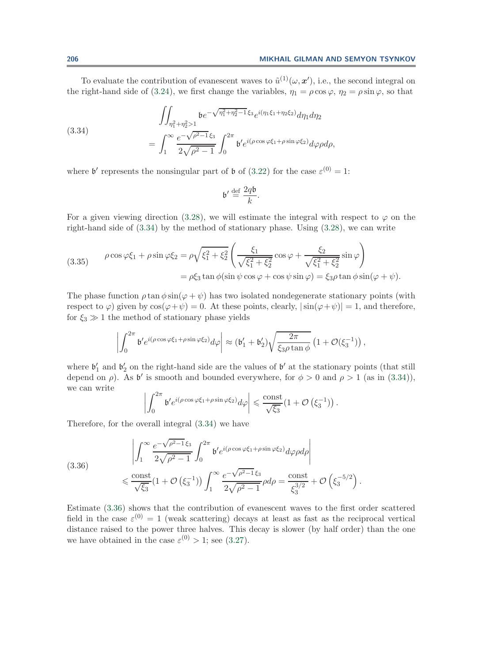.

To evaluate the contribution of evanescent waves to  $\tilde{u}^{(1)}(\omega, x')$ , i.e., the second integral on the right-hand side of [\(3.24\)](#page-17-1), we first change the variables,  $\eta_1 = \rho \cos \varphi$ ,  $\eta_2 = \rho \sin \varphi$ , so that

(3.34)  
\n
$$
\iint_{\eta_1^2 + \eta_2^2 > 1} b e^{-\sqrt{\eta_1^2 + \eta_2^2 - 1} \xi_3} e^{i(\eta_1 \xi_1 + \eta_2 \xi_2)} d\eta_1 d\eta_2
$$
\n
$$
= \int_1^\infty \frac{e^{-\sqrt{\rho^2 - 1} \xi_3}}{2\sqrt{\rho^2 - 1}} \int_0^{2\pi} b' e^{i(\rho \cos \varphi \xi_1 + \rho \sin \varphi \xi_2)} d\varphi \rho d\rho,
$$

where  $\mathfrak{b}'$  represents the nonsingular part of  $\mathfrak b$  of [\(3.22\)](#page-16-0) for the case  $\varepsilon^{(0)} = 1$ :

<span id="page-20-2"></span><span id="page-20-0"></span>
$$
\mathfrak{b}' \stackrel{\text{def}}{=} \frac{2q\mathfrak{b}}{k}.
$$

For a given viewing direction [\(3.28\)](#page-18-3), we will estimate the integral with respect to  $\varphi$  on the right-hand side of  $(3.34)$  by the method of stationary phase. Using  $(3.28)$ , we can write

(3.35) 
$$
\rho \cos \varphi \xi_1 + \rho \sin \varphi \xi_2 = \rho \sqrt{\xi_1^2 + \xi_2^2} \left( \frac{\xi_1}{\sqrt{\xi_1^2 + \xi_2^2}} \cos \varphi + \frac{\xi_2}{\sqrt{\xi_1^2 + \xi_2^2}} \sin \varphi \right)
$$

$$
= \rho \xi_3 \tan \varphi (\sin \psi \cos \varphi + \cos \psi \sin \varphi) = \xi_3 \rho \tan \phi \sin(\varphi + \psi).
$$

The phase function  $\rho \tan \phi \sin(\varphi + \psi)$  has two isolated nondegenerate stationary points (with respect to  $\varphi$ ) given by  $\cos(\varphi + \psi) = 0$ . At these points, clearly,  $|\sin(\varphi + \psi)| = 1$ , and therefore, for  $\xi_3 \gg 1$  the method of stationary phase yields

$$
\left| \int_0^{2\pi} \mathfrak{b}' e^{i(\rho \cos \varphi \xi_1 + \rho \sin \varphi \xi_2)} d\varphi \right| \approx (\mathfrak{b}'_1 + \mathfrak{b}'_2) \sqrt{\frac{2\pi}{\xi_3 \rho \tan \phi}} \left(1 + \mathcal{O}(\xi_3^{-1})\right),
$$

where  $\mathfrak{b}'_1$  and  $\mathfrak{b}'_2$  on the right-hand side are the values of  $\mathfrak{b}'$  at the stationary points (that still depend on  $\rho$ ). As  $\mathfrak{b}'$  is smooth and bounded everywhere, for  $\phi > 0$  and  $\rho > 1$  (as in [\(3.34\)](#page-20-0)), we can write

<span id="page-20-1"></span>
$$
\left|\int_0^{2\pi} {\mathfrak b}' e^{i(\rho\cos\varphi\xi_1+\rho\sin\varphi\xi_2)}d\varphi\right|\leqslant \frac{\text{const}}{\sqrt{\xi_3}}(1+\mathcal{O}\left(\xi_3^{-1}\right))\,.
$$

Therefore, for the overall integral [\(3.34\)](#page-20-0) we have

(3.36) 
$$
\left| \int_{1}^{\infty} \frac{e^{-\sqrt{\rho^2 - 1} \xi_3}}{2\sqrt{\rho^2 - 1}} \int_{0}^{2\pi} b' e^{i(\rho \cos \varphi \xi_1 + \rho \sin \varphi \xi_2)} d\varphi \rho d\rho \right|
$$
  

$$
\leq \frac{\text{const}}{\sqrt{\xi_3}} (1 + \mathcal{O}(\xi_3^{-1})) \int_{1}^{\infty} \frac{e^{-\sqrt{\rho^2 - 1} \xi_3}}{2\sqrt{\rho^2 - 1}} \rho d\rho = \frac{\text{const}}{\xi_3^{3/2}} + \mathcal{O}(\xi_3^{-5/2})
$$

Estimate [\(3.36\)](#page-20-1) shows that the contribution of evanescent waves to the first order scattered field in the case  $\varepsilon^{(0)} = 1$  (weak scattering) decays at least as fast as the reciprocal vertical distance raised to the power three halves. This decay is slower (by half order) than the one we have obtained in the case  $\varepsilon^{(0)} > 1$ ; see [\(3.27\)](#page-18-2).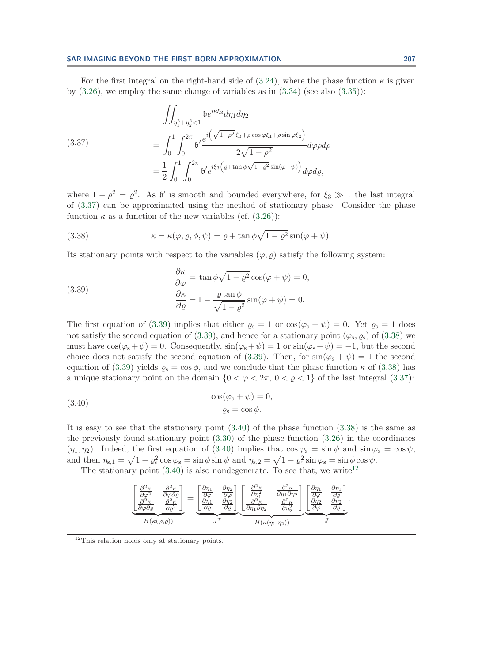<span id="page-21-0"></span>For the first integral on the right-hand side of  $(3.24)$ , where the phase function  $\kappa$  is given by  $(3.26)$ , we employ the same change of variables as in  $(3.34)$  (see also  $(3.35)$ ):

(3.37)  
\n
$$
\begin{aligned}\n\iint_{\eta_1^2 + \eta_2^2 < 1} & b e^{i\kappa \xi_3} d\eta_1 d\eta_2 \\
= \int_0^1 \int_0^{2\pi} b' \frac{e^{i\left(\sqrt{1 - \rho^2} \xi_3 + \rho \cos \varphi \xi_1 + \rho \sin \varphi \xi_2\right)}}{2\sqrt{1 - \rho^2}} d\varphi \rho d\rho \\
= \frac{1}{2} \int_0^1 \int_0^{2\pi} b' e^{i\xi_3 \left(\varrho + \tan \phi \sqrt{1 - \varrho^2} \sin(\varphi + \psi)\right)} d\varphi d\varrho,\n\end{aligned}
$$

where  $1 - \rho^2 = \rho^2$ . As b' is smooth and bounded everywhere, for  $\xi_3 \gg 1$  the last integral of [\(3.37\)](#page-21-0) can be approximated using the method of stationary phase. Consider the phase function  $\kappa$  as a function of the new variables (cf. [\(3.26\)](#page-17-3)):

<span id="page-21-2"></span><span id="page-21-1"></span>(3.38) 
$$
\kappa = \kappa(\varphi, \varrho, \phi, \psi) = \varrho + \tan \phi \sqrt{1 - \varrho^2} \sin(\varphi + \psi).
$$

Its stationary points with respect to the variables  $(\varphi, \varrho)$  satisfy the following system:

(3.39) 
$$
\begin{aligned}\n\frac{\partial \kappa}{\partial \varphi} &= \tan \phi \sqrt{1 - \varrho^2} \cos(\varphi + \psi) = 0, \\
\frac{\partial \kappa}{\partial \varrho} &= 1 - \frac{\varrho \tan \phi}{\sqrt{1 - \varrho^2}} \sin(\varphi + \psi) = 0.\n\end{aligned}
$$

The first equation of [\(3.39\)](#page-21-1) implies that either  $\varrho_s = 1$  or  $\cos(\varphi_s + \psi) = 0$ . Yet  $\varrho_s = 1$  does not satisfy the second equation of [\(3.39\)](#page-21-1), and hence for a stationary point ( $\varphi$ <sub>s</sub>,  $\varrho$ <sub>s</sub>) of [\(3.38\)](#page-21-2) we must have  $\cos(\varphi_s + \psi) = 0$ . Consequently,  $\sin(\varphi_s + \psi) = 1$  or  $\sin(\varphi_s + \psi) = -1$ , but the second choice does not satisfy the second equation of [\(3.39\)](#page-21-1). Then, for  $sin(\varphi_s + \psi) = 1$  the second equation of [\(3.39\)](#page-21-1) yields  $\rho_s = \cos \phi$ , and we conclude that the phase function  $\kappa$  of [\(3.38\)](#page-21-2) has a unique stationary point on the domain  $\{0 < \varphi < 2\pi, 0 < \varrho < 1\}$  of the last integral [\(3.37\)](#page-21-0):

(3.40) 
$$
\cos(\varphi_s + \psi) = 0,
$$

$$
\varrho_s = \cos \phi.
$$

It is easy to see that the stationary point  $(3.40)$  of the phase function  $(3.38)$  is the same as the previously found stationary point  $(3.30)$  of the phase function  $(3.26)$  in the coordinates  $(\eta_1, \eta_2)$ . Indeed, the first equation of [\(3.40\)](#page-21-3) implies that  $\cos \varphi_s = \sin \psi$  and  $\sin \varphi_s = \cos \psi$ , and then  $\eta_{s,1} = \sqrt{1 - \varrho_s^2} \cos \varphi_s = \sin \phi \sin \psi$  and  $\eta_{s,2} = \sqrt{1 - \varrho_s^2} \sin \varphi_s = \sin \phi \cos \psi$ .

The stationary point  $(3.40)$  is also nondegenerate. To see that, we write<sup>[12](#page-21-4)</sup>

<span id="page-21-3"></span>
$$
\underbrace{\begin{bmatrix}\n\frac{\partial^2 \kappa}{\partial \varphi^2} & \frac{\partial^2 \kappa}{\partial \varphi \partial \varrho} \\
\frac{\partial^2 \kappa}{\partial \varphi \partial \varrho} & \frac{\partial^2 \kappa}{\partial \varrho^2}\n\end{bmatrix}}_{H(\kappa(\varphi,\varrho))} = \underbrace{\begin{bmatrix}\n\frac{\partial \eta_1}{\partial \varphi} & \frac{\partial \eta_2}{\partial \varphi} \\
\frac{\partial \eta_1}{\partial \varrho} & \frac{\partial \eta_2}{\partial \varrho}\n\end{bmatrix}}_{J^T} \underbrace{\begin{bmatrix}\n\frac{\partial^2 \kappa}{\partial \eta_1^2} & \frac{\partial^2 \kappa}{\partial \eta_1 \partial \eta_2} \\
\frac{\partial^2 \kappa}{\partial \eta_1 \partial \eta_2} & \frac{\partial^2 \kappa}{\partial \eta_2^2}\n\end{bmatrix}}_{J^T} \underbrace{\begin{bmatrix}\n\frac{\partial \eta_1}{\partial \varphi} & \frac{\partial \eta_1}{\partial \varrho} \\
\frac{\partial \eta_2}{\partial \varphi} & \frac{\partial \eta_2}{\partial \varrho}\n\end{bmatrix}}_{J^T},
$$

<span id="page-21-4"></span><sup>12</sup>This relation holds only at stationary points.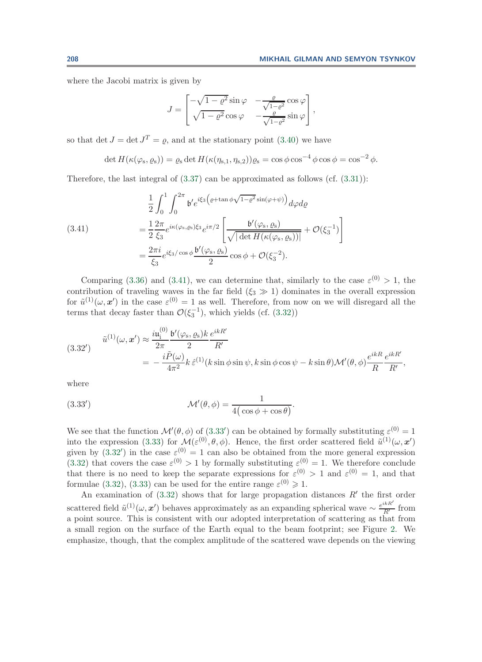where the Jacobi matrix is given by

<span id="page-22-0"></span>
$$
J = \begin{bmatrix} -\sqrt{1-\varrho^2}\sin\varphi & -\frac{\varrho}{\sqrt{1-\varrho^2}}\cos\varphi \\ \sqrt{1-\varrho^2}\cos\varphi & -\frac{\varrho}{\sqrt{1-\varrho^2}}\sin\varphi \end{bmatrix},
$$

so that det  $J = \det J^T = \rho$ , and at the stationary point [\(3.40\)](#page-21-3) we have

$$
\det H(\kappa(\varphi_{s},\varrho_{s})) = \varrho_{s} \det H(\kappa(\eta_{s,1},\eta_{s,2}))\varrho_{s} = \cos \phi \cos^{-4} \phi \cos \phi = \cos^{-2} \phi.
$$

Therefore, the last integral of  $(3.37)$  can be approximated as follows  $(cf. (3.31))$  $(cf. (3.31))$  $(cf. (3.31))$ :

(3.41) 
$$
\frac{1}{2} \int_0^1 \int_0^{2\pi} \mathfrak{b}' e^{i\xi_3 \left(\varrho + \tan \phi \sqrt{1 - \varrho^2} \sin(\varphi + \psi)\right)} d\varphi d\varrho
$$

$$
= \frac{1}{2} \frac{2\pi}{\xi_3} e^{i\kappa(\varphi_s, \varrho_s)\xi_3} e^{i\pi/2} \left[ \frac{\mathfrak{b}'(\varphi_s, \varrho_s)}{\sqrt{|\det H(\kappa(\varphi_s, \varrho_s))|}} + \mathcal{O}(\xi_3^{-1}) \right]
$$

$$
= \frac{2\pi i}{\xi_3} e^{i\xi_3/\cos\phi} \frac{\mathfrak{b}'(\varphi_s, \varrho_s)}{2} \cos\phi + \mathcal{O}(\xi_3^{-2}).
$$

Comparing [\(3.36\)](#page-20-1) and [\(3.41\)](#page-22-0), we can determine that, similarly to the case  $\varepsilon^{(0)} > 1$ , the contribution of traveling waves in the far field  $(\xi_3 \gg 1)$  dominates in the overall expression for  $\tilde{u}^{(1)}(\omega, x')$  in the case  $\varepsilon^{(0)} = 1$  as well. Therefore, from now on we will disregard all the terms that decay faster than  $\mathcal{O}(\xi_3^{-1})$ , which yields (cf. [\(3.32\)](#page-19-2))

<span id="page-22-2"></span>
$$
(3.32') \qquad \tilde{u}^{(1)}(\omega, \mathbf{x}') \approx \frac{i\mathfrak{u}_i^{(0)}}{2\pi} \frac{\mathfrak{b}'(\varphi_s, \varrho_s)k}{2} \frac{e^{ikR'}}{R'}
$$
\n
$$
= -\frac{i\tilde{P}(\omega)}{4\pi^2} k \hat{\varepsilon}^{(1)}(k \sin \phi \sin \psi, k \sin \phi \cos \psi - k \sin \theta) \mathcal{M}'(\theta, \phi) \frac{e^{ikR}}{R} \frac{e^{ikR'}}{R'},
$$

<span id="page-22-1"></span>where

(3.33') 
$$
\mathcal{M}'(\theta,\phi) = \frac{1}{4(\cos\phi + \cos\theta)}.
$$

We see that the function  $\mathcal{M}'(\theta,\phi)$  of [\(3.33](#page-22-1)') can be obtained by formally substituting  $\varepsilon^{(0)} = 1$ into the expression [\(3.33\)](#page-19-3) for  $\mathcal{M}(\varepsilon^{(0)}, \theta, \phi)$ . Hence, the first order scattered field  $\tilde{u}^{(1)}(\omega, x')$ given by  $(3.32')$  $(3.32')$  in the case  $\varepsilon^{(0)} = 1$  can also be obtained from the more general expression [\(3.32\)](#page-19-2) that covers the case  $\varepsilon^{(0)} > 1$  by formally substituting  $\varepsilon^{(0)} = 1$ . We therefore conclude that there is no need to keep the separate expressions for  $\varepsilon^{(0)} > 1$  and  $\varepsilon^{(0)} = 1$ , and that formulae [\(3.32\)](#page-19-2), [\(3.33\)](#page-19-3) can be used for the entire range  $\varepsilon^{(0)} \geq 1$ .

An examination of  $(3.32)$  shows that for large propagation distances  $R'$  the first order scattered field  $\tilde{u}^{(1)}(\omega, x')$  behaves approximately as an expanding spherical wave  $\sim \frac{e^{ikR'}}{R'}$  from a point source. This is consistent with our adopted interpretation of scattering as that from a small region on the surface of the Earth equal to the beam footprint; see Figure [2.](#page-11-0) We emphasize, though, that the complex amplitude of the scattered wave depends on the viewing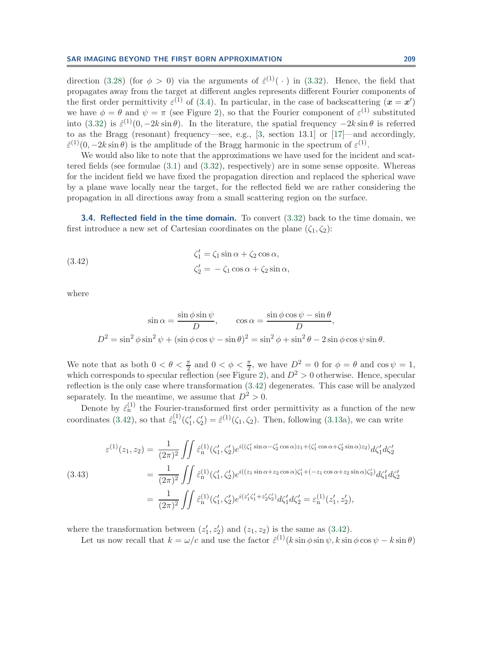direction [\(3.28\)](#page-18-3) (for  $\phi > 0$ ) via the arguments of  $\hat{\varepsilon}^{(1)}(\cdot)$  in [\(3.32\)](#page-19-2). Hence, the field that propagates away from the target at different angles represents different Fourier components of the first order permittivity  $\varepsilon^{(1)}$  of [\(3.4\)](#page-12-1). In particular, in the case of backscattering  $(\mathbf{x} = \mathbf{x}')$ we have  $\phi = \theta$  and  $\psi = \pi$  (see Figure [2\)](#page-11-0), so that the Fourier component of  $\varepsilon^{(1)}$  substituted into [\(3.32\)](#page-19-2) is  $\hat{\epsilon}^{(1)}(0, -2k \sin \theta)$ . In the literature, the spatial frequency  $-2k \sin \theta$  is referred to as the Bragg (resonant) frequency—see, e.g., [\[3,](#page-38-3) section 13.1] or [\[17\]](#page-38-14)—and accordingly,  $\hat{\epsilon}^{(1)}(0, -2k \sin \theta)$  is the amplitude of the Bragg harmonic in the spectrum of  $\epsilon^{(1)}$ .

We would also like to note that the approximations we have used for the incident and scattered fields (see formulae [\(3.1\)](#page-11-1) and [\(3.32\)](#page-19-2), respectively) are in some sense opposite. Whereas for the incident field we have fixed the propagation direction and replaced the spherical wave by a plane wave locally near the target, for the reflected field we are rather considering the propagation in all directions away from a small scattering region on the surface.

<span id="page-23-0"></span>**3.4. Reflected field in the time domain.** To convert [\(3.32\)](#page-19-2) back to the time domain, we first introduce a new set of Cartesian coordinates on the plane  $(\zeta_1, \zeta_2)$ :

(3.42)  
\n
$$
\zeta_1' = \zeta_1 \sin \alpha + \zeta_2 \cos \alpha,
$$
\n
$$
\zeta_2' = -\zeta_1 \cos \alpha + \zeta_2 \sin \alpha,
$$

where

<span id="page-23-2"></span><span id="page-23-1"></span>
$$
\sin \alpha = \frac{\sin \phi \sin \psi}{D}, \qquad \cos \alpha = \frac{\sin \phi \cos \psi - \sin \theta}{D},
$$

$$
D^2 = \sin^2 \phi \sin^2 \psi + (\sin \phi \cos \psi - \sin \theta)^2 = \sin^2 \phi + \sin^2 \theta - 2 \sin \phi \cos \psi \sin \theta.
$$

We note that as both  $0 < \theta < \frac{\pi}{2}$  and  $0 < \phi < \frac{\pi}{2}$ , we have  $D^2 = 0$  for  $\phi = \theta$  and  $\cos \psi = 1$ , which corresponds to specular reflection (see Figure [2\)](#page-11-0), and  $D^2 > 0$  otherwise. Hence, specular reflection is the only case where transformation [\(3.42\)](#page-23-1) degenerates. This case will be analyzed separately. In the meantime, we assume that  $D^2 > 0$ .

Denote by  $\hat{\varepsilon}_n^{(1)}$  the Fourier-transformed first order permittivity as a function of the new coordinates [\(3.42\)](#page-23-1), so that  $\hat{\varepsilon}_n^{(1)}(\zeta_1', \zeta_2') = \hat{\varepsilon}^{(1)}(\zeta_1, \zeta_2)$ . Then, following [\(3.13a\)](#page-13-6), we can write

$$
\varepsilon^{(1)}(z_1, z_2) = \frac{1}{(2\pi)^2} \iint \hat{\varepsilon}_n^{(1)}(\zeta_1', \zeta_2') e^{i((\zeta_1' \sin \alpha - \zeta_2' \cos \alpha)z_1 + (\zeta_1' \cos \alpha + \zeta_2' \sin \alpha)z_2)} d\zeta_1' d\zeta_2'
$$
\n
$$
(3.43)
$$
\n
$$
= \frac{1}{(2\pi)^2} \iint \hat{\varepsilon}_n^{(1)}(\zeta_1', \zeta_2') e^{i((z_1 \sin \alpha + z_2 \cos \alpha)\zeta_1' + (-z_1 \cos \alpha + z_2 \sin \alpha)\zeta_2')} d\zeta_1' d\zeta_2'
$$
\n
$$
= \frac{1}{(2\pi)^2} \iint \hat{\varepsilon}_n^{(1)}(\zeta_1', \zeta_2') e^{i(z_1'\zeta_1' + z_2'\zeta_2')} d\zeta_1' d\zeta_2' = \varepsilon_n^{(1)}(z_1', z_2'),
$$

where the transformation between  $(z'_1, z'_2)$  and  $(z_1, z_2)$  is the same as  $(3.42)$ .

Let us now recall that  $k = \omega/c$  and use the factor  $\hat{\varepsilon}^{(1)}(k \sin \phi \sin \psi, k \sin \phi \cos \psi - k \sin \theta)$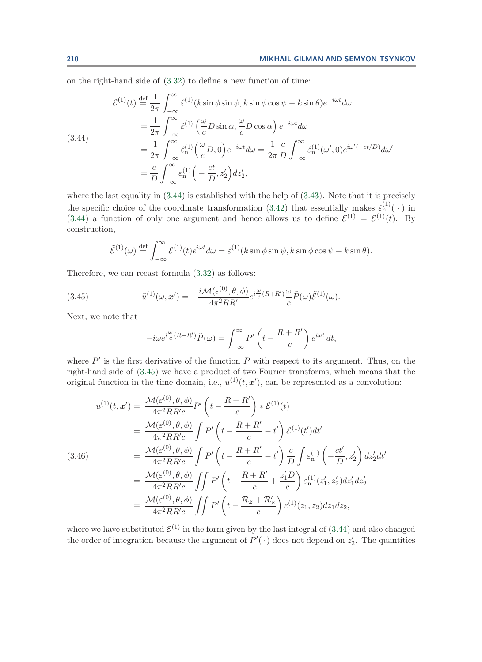on the right-hand side of [\(3.32\)](#page-19-2) to define a new function of time:

<span id="page-24-1"></span>(3.44)  
\n
$$
\mathcal{E}^{(1)}(t) \stackrel{\text{def}}{=} \frac{1}{2\pi} \int_{-\infty}^{\infty} \hat{\varepsilon}^{(1)}(k \sin \phi \sin \psi, k \sin \phi \cos \psi - k \sin \theta) e^{-i\omega t} d\omega
$$
\n
$$
= \frac{1}{2\pi} \int_{-\infty}^{\infty} \hat{\varepsilon}^{(1)}(\frac{\omega}{c}D \sin \alpha, \frac{\omega}{c}D \cos \alpha) e^{-i\omega t} d\omega
$$
\n
$$
= \frac{1}{2\pi} \int_{-\infty}^{\infty} \hat{\varepsilon}^{(1)}_{n}(\frac{\omega}{c}D, 0) e^{-i\omega t} d\omega = \frac{1}{2\pi} \frac{c}{D} \int_{-\infty}^{\infty} \hat{\varepsilon}^{(1)}_{n}(\omega', 0) e^{i\omega'(-ct/D)} d\omega'
$$
\n
$$
= \frac{c}{D} \int_{-\infty}^{\infty} \hat{\varepsilon}^{(1)}_{n}(-\frac{ct}{D}, z_{2}') dz_{2}',
$$

where the last equality in  $(3.44)$  is established with the help of  $(3.43)$ . Note that it is precisely the specific choice of the coordinate transformation [\(3.42\)](#page-23-1) that essentially makes  $\hat{\epsilon}_n^{(1)}(\cdot)$  in [\(3.44\)](#page-24-1) a function of only one argument and hence allows us to define  $\mathcal{E}^{(1)} = \mathcal{E}^{(1)}(t)$ . By construction,

$$
\tilde{\mathcal{E}}^{(1)}(\omega) \stackrel{\text{def}}{=} \int_{-\infty}^{\infty} \mathcal{E}^{(1)}(t) e^{i\omega t} d\omega = \hat{\varepsilon}^{(1)}(k \sin \phi \sin \psi, k \sin \phi \cos \psi - k \sin \theta).
$$

Therefore, we can recast formula [\(3.32\)](#page-19-2) as follows:

(3.45) 
$$
\tilde{u}^{(1)}(\omega, x') = -\frac{i\mathcal{M}(\varepsilon^{(0)}, \theta, \phi)}{4\pi^2 RR'} e^{i\frac{\omega}{c}(R+R')}\frac{\omega}{c}\tilde{P}(\omega)\tilde{\mathcal{E}}^{(1)}(\omega).
$$

Next, we note that

<span id="page-24-2"></span>
$$
-i\omega e^{i\frac{\omega}{c}(R+R')}\tilde{P}(\omega) = \int_{-\infty}^{\infty} P'\left(t - \frac{R+R'}{c}\right) e^{i\omega t} dt,
$$

where  $P'$  is the first derivative of the function P with respect to its argument. Thus, on the right-hand side of [\(3.45\)](#page-24-2) we have a product of two Fourier transforms, which means that the original function in the time domain, i.e.,  $u^{(1)}(t, x')$ , can be represented as a convolution:

<span id="page-24-0"></span>
$$
u^{(1)}(t, \mathbf{x}') = \frac{\mathcal{M}(\varepsilon^{(0)}, \theta, \phi)}{4\pi^2 RR'c} P' \left( t - \frac{R + R'}{c} \right) * \mathcal{E}^{(1)}(t)
$$
  
\n
$$
= \frac{\mathcal{M}(\varepsilon^{(0)}, \theta, \phi)}{4\pi^2 RR'c} \int P' \left( t - \frac{R + R'}{c} - t' \right) \mathcal{E}^{(1)}(t') dt'
$$
  
\n
$$
= \frac{\mathcal{M}(\varepsilon^{(0)}, \theta, \phi)}{4\pi^2 RR'c} \int P' \left( t - \frac{R + R'}{c} - t' \right) \frac{c}{D} \int \varepsilon_n^{(1)} \left( -\frac{ct'}{D}, z'_2 \right) dz'_2 dt'
$$
  
\n
$$
= \frac{\mathcal{M}(\varepsilon^{(0)}, \theta, \phi)}{4\pi^2 RR'c} \iint P' \left( t - \frac{R + R'}{c} + \frac{z'_1 D}{c} \right) \varepsilon_n^{(1)}(z'_1, z'_2) dz'_1 dz'_2
$$
  
\n
$$
= \frac{\mathcal{M}(\varepsilon^{(0)}, \theta, \phi)}{4\pi^2 RR'c} \iint P' \left( t - \frac{\mathcal{R}_z + \mathcal{R}'_z}{c} \right) \varepsilon^{(1)}(z_1, z_2) dz_1 dz_2,
$$

where we have substituted  $\mathcal{E}^{(1)}$  in the form given by the last integral of [\(3.44\)](#page-24-1) and also changed the order of integration because the argument of  $P'(\cdot)$  does not depend on  $z'_2$ . The quantities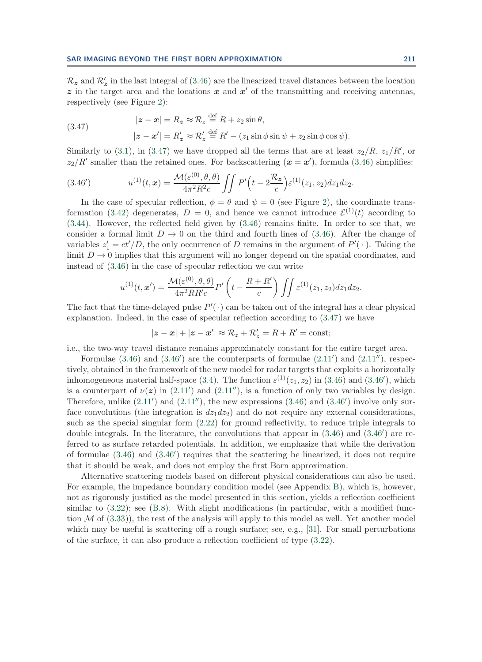$\mathcal{R}_z$  and  $\mathcal{R}'_z$  in the last integral of [\(3.46\)](#page-24-0) are the linearized travel distances between the location  $z$  in the target area and the locations  $x$  and  $x'$  of the transmitting and receiving antennas, respectively (see Figure [2\)](#page-11-0):

<span id="page-25-0"></span>(3.47) 
$$
|z - x| = R_z \approx R_z \stackrel{\text{def}}{=} R + z_2 \sin \theta,
$$

$$
|z - x'| = R'_z \approx R'_z \stackrel{\text{def}}{=} R' - (z_1 \sin \phi \sin \psi + z_2 \sin \phi \cos \psi).
$$

Similarly to [\(3.1\)](#page-11-1), in [\(3.47\)](#page-25-0) we have dropped all the terms that are at least  $z_2/R$ ,  $z_1/R'$ , or  $z_2/R'$  smaller than the retained ones. For backscattering  $(\mathbf{x} = \mathbf{x}')$ , formula [\(3.46\)](#page-24-0) simplifies:

(3.46') 
$$
u^{(1)}(t,x) = \frac{\mathcal{M}(\varepsilon^{(0)}, \theta, \theta)}{4\pi^2 R^2 c} \iint P'\Big(t - 2\frac{\mathcal{R}_z}{c}\Big) \varepsilon^{(1)}(z_1, z_2) dz_1 dz_2.
$$

In the case of specular reflection,  $\phi = \theta$  and  $\psi = 0$  (see Figure [2\)](#page-11-0), the coordinate trans-formation [\(3.42\)](#page-23-1) degenerates,  $D = 0$ , and hence we cannot introduce  $\mathcal{E}^{(1)}(t)$  according to [\(3.44\)](#page-24-1). However, the reflected field given by [\(3.46\)](#page-24-0) remains finite. In order to see that, we consider a formal limit  $D \to 0$  on the third and fourth lines of [\(3.46\)](#page-24-0). After the change of variables  $z_1' = ct'/D$ , the only occurrence of D remains in the argument of  $P'(\cdot)$ . Taking the limit  $D \to 0$  implies that this argument will no longer depend on the spatial coordinates, and instead of [\(3.46\)](#page-24-0) in the case of specular reflection we can write

$$
u^{(1)}(t,\boldsymbol{x}')=\frac{\mathcal{M}(\varepsilon^{(0)},\theta,\theta)}{4\pi^2RR'c}P'\left(t-\frac{R+R'}{c}\right)\iint \varepsilon^{(1)}(z_1,z_2)dz_1dz_2.
$$

The fact that the time-delayed pulse  $P'(\cdot)$  can be taken out of the integral has a clear physical explanation. Indeed, in the case of specular reflection according to [\(3.47\)](#page-25-0) we have

<span id="page-25-1"></span>
$$
|z-x|+|z-x'| \approx \mathcal{R}_z+\mathcal{R}'_z=R+R'=\text{const};
$$

i.e., the two-way travel distance remains approximately constant for the entire target area.

Formulae  $(3.46)$  and  $(3.46')$  $(3.46')$  are the counterparts of formulae  $(2.11')$  $(2.11')$  and  $(2.11'')$ , respectively, obtained in the framework of the new model for radar targets that exploits a horizontally inhomogeneous material half-space [\(3.4\)](#page-12-1). The function  $\varepsilon^{(1)}(z_1, z_2)$  in [\(3.46\)](#page-24-0) and [\(3.46](#page-25-1)'), which is a counterpart of  $\nu(z)$  in [\(2.11](#page-5-2)') and (2.11''), is a function of only two variables by design. Therefore, unlike  $(2.11')$  $(2.11')$  and  $(2.11'')$ , the new expressions  $(3.46)$  and  $(3.46')$  $(3.46')$  involve only surface convolutions (the integration is  $dz_1dz_2$ ) and do not require any external considerations, such as the special singular form [\(2.22\)](#page-8-0) for ground reflectivity, to reduce triple integrals to double integrals. In the literature, the convolutions that appear in  $(3.46)$  and  $(3.46')$  $(3.46')$  are referred to as surface retarded potentials. In addition, we emphasize that while the derivation of formulae  $(3.46)$  and  $(3.46')$  $(3.46')$  requires that the scattering be linearized, it does not require that it should be weak, and does not employ the first Born approximation.

Alternative scattering models based on different physical considerations can also be used. For example, the impedance boundary condition model (see Appendix [B\)](#page-35-0), which is, however, not as rigorously justified as the model presented in this section, yields a reflection coefficient similar to  $(3.22)$ ; see  $(B.8)$ . With slight modifications (in particular, with a modified function  $\mathcal M$  of  $(3.33)$ , the rest of the analysis will apply to this model as well. Yet another model which may be useful is scattering off a rough surface; see, e.g., [\[31\]](#page-39-2). For small perturbations of the surface, it can also produce a reflection coefficient of type [\(3.22\)](#page-16-0).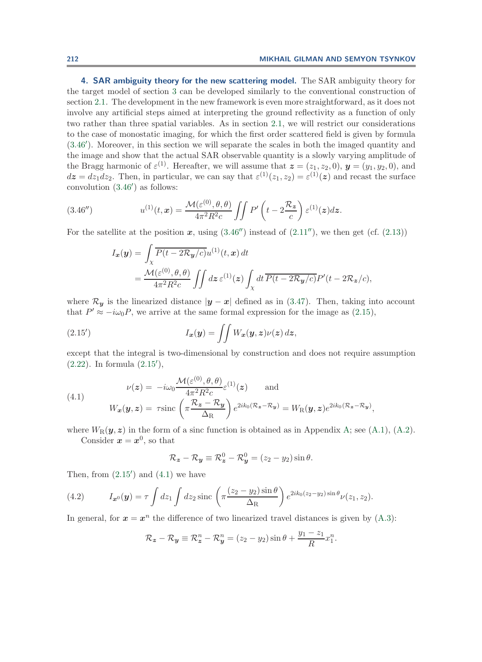<span id="page-26-0"></span>**4. SAR ambiguity theory for the new scattering model.** The SAR ambiguity theory for the target model of section [3](#page-10-0) can be developed similarly to the conventional construction of section [2.1.](#page-2-0) The development in the new framework is even more straightforward, as it does not involve any artificial steps aimed at interpreting the ground reflectivity as a function of only two rather than three spatial variables. As in section [2.1,](#page-2-0) we will restrict our considerations to the case of monostatic imaging, for which the first order scattered field is given by formula [\(3.46](#page-25-1) ). Moreover, in this section we will separate the scales in both the imaged quantity and the image and show that the actual SAR observable quantity is a slowly varying amplitude of the Bragg harmonic of  $\varepsilon^{(1)}$ . Hereafter, we will assume that  $\boldsymbol{z} = (z_1, z_2, 0), \boldsymbol{y} = (y_1, y_2, 0),$  and  $dz = dz_1 dz_2$ . Then, in particular, we can say that  $\varepsilon^{(1)}(z_1, z_2) = \varepsilon^{(1)}(z)$  and recast the surface convolution [\(3.46](#page-25-1) ) as follows:

(3.46'') 
$$
u^{(1)}(t,x) = \frac{\mathcal{M}(\varepsilon^{(0)}, \theta, \theta)}{4\pi^2 R^2 c} \iint P' \left( t - 2 \frac{\mathcal{R}_z}{c} \right) \varepsilon^{(1)}(z) dz.
$$

For the satellite at the position  $x$ , using  $(3.46'')$  $(3.46'')$  instead of  $(2.11'')$  $(2.11'')$ , we then get (cf.  $(2.13)$ )

<span id="page-26-1"></span>
$$
I_{\mathbf{x}}(\mathbf{y}) = \int_{\chi} \overline{P(t - 2\mathcal{R}_{\mathbf{y}}/c)} u^{(1)}(t, \mathbf{x}) dt
$$
  
= 
$$
\frac{\mathcal{M}(\varepsilon^{(0)}, \theta, \theta)}{4\pi^2 R^2 c} \iint dz \, \varepsilon^{(1)}(\mathbf{z}) \int_{\chi} dt \, \overline{P(t - 2\mathcal{R}_{\mathbf{y}}/c)} P'(t - 2\mathcal{R}_{\mathbf{z}}/c),
$$

where  $\mathcal{R}_{y}$  is the linearized distance  $|y - x|$  defined as in [\(3.47\)](#page-25-0). Then, taking into account that  $P' \approx -i\omega_0 P$ , we arrive at the same formal expression for the image as [\(2.15\)](#page-5-4),

(2.15') 
$$
I_{\boldsymbol{x}}(\boldsymbol{y}) = \iint W_{\boldsymbol{x}}(\boldsymbol{y}, \boldsymbol{z}) \nu(\boldsymbol{z}) d\boldsymbol{z},
$$

except that the integral is two-dimensional by construction and does not require assumption [\(2.22\)](#page-8-0). In formula [\(2.15](#page-26-2) ),

(4.1) 
$$
\nu(z) = -i\omega_0 \frac{\mathcal{M}(\varepsilon^{(0)}, \theta, \theta)}{4\pi^2 R^2 c} \varepsilon^{(1)}(z) \quad \text{and} \quad W_x(\mathbf{y}, z) = \tau \text{sinc}\left(\pi \frac{\mathcal{R}_z - \mathcal{R}_y}{\Delta_R}\right) e^{2ik_0(\mathcal{R}_z - \mathcal{R}_y)} = W_R(\mathbf{y}, z) e^{2ik_0(\mathcal{R}_z - \mathcal{R}_y)},
$$

where  $W_R(\mathbf{y}, \mathbf{z})$  in the form of a sinc function is obtained as in Appendix [A;](#page-32-0) see [\(A.1\)](#page-32-2), [\(A.2\)](#page-32-1). Consider  $x = x^0$ , so that

<span id="page-26-4"></span><span id="page-26-3"></span><span id="page-26-2"></span>
$$
\mathcal{R}_z - \mathcal{R}_y \equiv \mathcal{R}_z^0 - \mathcal{R}_y^0 = (z_2 - y_2) \sin \theta.
$$

Then, from  $(2.15')$  $(2.15')$  and  $(4.1)$  we have

(4.2) 
$$
I_{\mathbf{x}^0}(\mathbf{y}) = \tau \int dz_1 \int dz_2 \operatorname{sinc} \left( \pi \frac{(z_2 - y_2) \sin \theta}{\Delta_R} \right) e^{2ik_0(z_2 - y_2) \sin \theta} \nu(z_1, z_2).
$$

In general, for  $x = x^n$  the difference of two linearized travel distances is given by  $(A.3)$ :

$$
\mathcal{R}_z - \mathcal{R}_y \equiv \mathcal{R}_z^n - \mathcal{R}_y^n = (z_2 - y_2) \sin \theta + \frac{y_1 - z_1}{R} x_1^n.
$$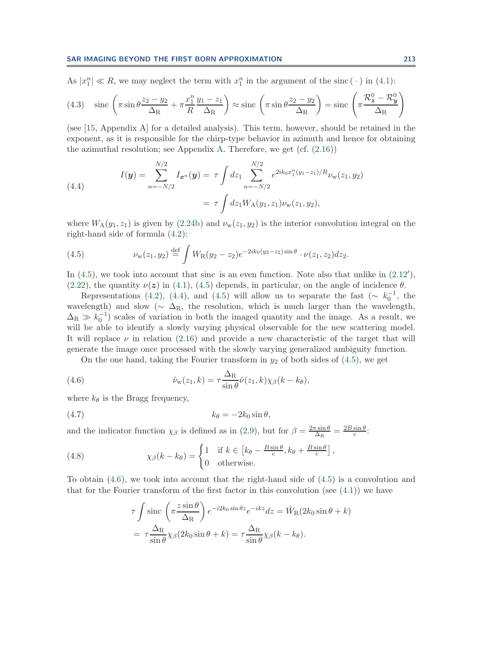<span id="page-27-5"></span>As  $|x_1^n| \ll R$ , we may neglect the term with  $x_1^n$  in the argument of the sinc ( $\cdot$ ) in [\(4.1\)](#page-26-3):

(4.3) 
$$
\sin \left( \pi \sin \theta \frac{z_2 - y_2}{\Delta_R} + \pi \frac{x_1^n}{R} \frac{y_1 - z_1}{\Delta_R} \right) \approx \text{sinc} \left( \pi \sin \theta \frac{z_2 - y_2}{\Delta_R} \right) = \text{sinc} \left( \pi \frac{\mathcal{R}_2^0 - \mathcal{R}_y^0}{\Delta_R} \right)
$$

(see [\[15,](#page-38-6) Appendix A] for a detailed analysis). This term, however, should be retained in the exponent, as it is responsible for the chirp-type behavior in azimuth and hence for obtaining the azimuthal resolution; see Appendix [A.](#page-32-0) Therefore, we get  $(cf. (2.16))$  $(cf. (2.16))$  $(cf. (2.16))$ 

<span id="page-27-1"></span>(4.4) 
$$
I(\mathbf{y}) = \sum_{n=-N/2}^{N/2} I_{\mathbf{x}^n}(\mathbf{y}) = \tau \int dz_1 \sum_{n=-N/2}^{N/2} e^{2ik_0x_1^n(y_1-z_1)/R} \nu_{\mathbf{w}}(z_1, y_2)
$$

$$
= \tau \int dz_1 W_A(y_1, z_1) \nu_{\mathbf{w}}(z_1, y_2),
$$

where  $W_A(y_1, z_1)$  is given by [\(2.24b\)](#page-8-1) and  $\nu_w(z_1, y_2)$  is the interior convolution integral on the right-hand side of formula [\(4.2\)](#page-26-4):

<span id="page-27-0"></span>(4.5) 
$$
\nu_{\mathbf{w}}(z_1, y_2) \stackrel{\text{def}}{=} \int W_{\mathbf{R}}(y_2 - z_2) e^{-2ik_0(y_2 - z_2)\sin\theta} \cdot \nu(z_1, z_2) dz_2.
$$

In  $(4.5)$ , we took into account that sinc is an even function. Note also that unlike in  $(2.12')$  $(2.12')$ , [\(2.22\)](#page-8-0), the quantity  $\nu(z)$  in [\(4.1\)](#page-26-3), [\(4.5\)](#page-27-0) depends, in particular, on the angle of incidence  $\theta$ .

Representations [\(4.2\)](#page-26-4), [\(4.4\)](#page-27-1), and [\(4.5\)](#page-27-0) will allow us to separate the fast ( $\sim k_0^{-1}$ , the wavelength) and slow ( $\sim \Delta_{\rm R}$ , the resolution, which is much larger than the wavelength,  $\Delta_R \gg k_0^{-1}$ ) scales of variation in both the imaged quantity and the image. As a result, we will be able to identify a slowly varying physical observable for the new scattering model. It will replace  $\nu$  in relation [\(2.16\)](#page-6-1) and provide a new characteristic of the target that will generate the image once processed with the slowly varying generalized ambiguity function.

<span id="page-27-4"></span>On the one hand, taking the Fourier transform in  $y_2$  of both sides of  $(4.5)$ , we get

(4.6) 
$$
\hat{\nu}_{w}(z_1,k) = \tau \frac{\Delta_{R}}{\sin \theta} \hat{\nu}(z_1,k) \chi_{\beta}(k-k_{\theta}),
$$

where  $k_{\theta}$  is the Bragg frequency,

$$
(4.7) \t\t k_{\theta} = -2k_0 \sin \theta,
$$

and the indicator function  $\chi_{\beta}$  is defined as in [\(2.9\)](#page-3-6), but for  $\beta = \frac{2\pi \sin \theta}{\Delta_{\rm R}} = \frac{2B \sin \theta}{c}$ .

(4.8) 
$$
\chi_{\beta}(k - k_{\theta}) = \begin{cases} 1 & \text{if } k \in [k_{\theta} - \frac{B \sin \theta}{c}, k_{\theta} + \frac{B \sin \theta}{c}] \\ 0 & \text{otherwise.} \end{cases}
$$

To obtain [\(4.6\)](#page-27-2), we took into account that the right-hand side of [\(4.5\)](#page-27-0) is a convolution and that for the Fourier transform of the first factor in this convolution (see  $(4.1)$ ) we have

<span id="page-27-3"></span><span id="page-27-2"></span>
$$
\tau \int \operatorname{sinc}\left(\pi \frac{z \sin \theta}{\Delta_{\mathrm{R}}}\right) e^{-i2k_0 \sin \theta z} e^{-ikz} dz = \hat{W}_{\mathrm{R}}(2k_0 \sin \theta + k)
$$

$$
= \tau \frac{\Delta_{\mathrm{R}}}{\sin \theta} \chi_{\beta}(2k_0 \sin \theta + k) = \tau \frac{\Delta_{\mathrm{R}}}{\sin \theta} \chi_{\beta}(k - k_{\theta}).
$$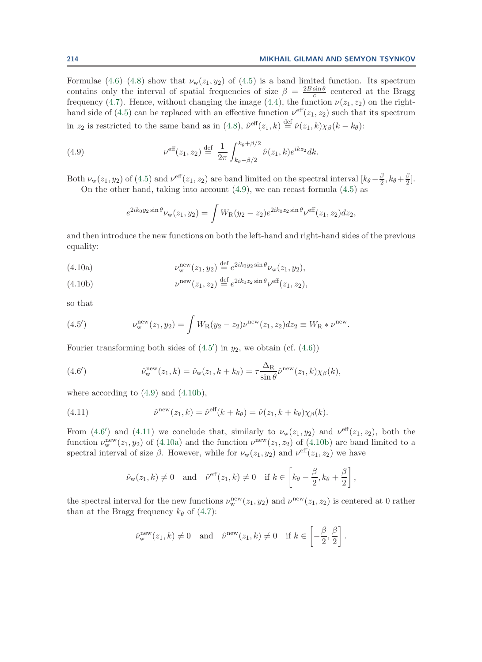Formulae  $(4.6)$ – $(4.8)$  show that  $\nu_w(z_1, y_2)$  of  $(4.5)$  is a band limited function. Its spectrum contains only the interval of spatial frequencies of size  $\beta = \frac{2B\sin\theta}{c}$  centered at the Bragg frequency [\(4.7\)](#page-27-4). Hence, without changing the image [\(4.4\)](#page-27-1), the function  $\nu(z_1, z_2)$  on the right-hand side of [\(4.5\)](#page-27-0) can be replaced with an effective function  $\nu^{\text{eff}}(z_1, z_2)$  such that its spectrum in  $z_2$  is restricted to the same band as in [\(4.8\)](#page-27-3),  $\hat{\nu}^{\text{eff}}(z_1, k) \stackrel{\text{def}}{=} \hat{\nu}(z_1, k) \chi_{\beta}(k - k_{\theta})$ :

(4.9) 
$$
\nu^{\text{eff}}(z_1, z_2) \stackrel{\text{def}}{=} \frac{1}{2\pi} \int_{k_{\theta} - \beta/2}^{k_{\theta} + \beta/2} \hat{\nu}(z_1, k) e^{ikz_2} dk.
$$

Both  $\nu_w(z_1, y_2)$  of [\(4.5\)](#page-27-0) and  $\nu^{\text{eff}}(z_1, z_2)$  are band limited on the spectral interval  $[k_\theta - \frac{\beta}{2}, k_\theta + \frac{\beta}{2}]$ . On the other hand, taking into account  $(4.9)$ , we can recast formula  $(4.5)$  as

<span id="page-28-0"></span>
$$
e^{2ik_0y_2\sin\theta}\nu_{\mathbf{w}}(z_1,y_2) = \int W_{\mathbf{R}}(y_2-z_2)e^{2ik_0z_2\sin\theta}\nu^{\text{eff}}(z_1,z_2)dz_2,
$$

and then introduce the new functions on both the left-hand and right-hand sides of the previous equality:

<span id="page-28-5"></span>(4.10a) 
$$
\nu_{\mathbf{w}}^{\text{new}}(z_1, y_2) \stackrel{\text{def}}{=} e^{2ik_0y_2 \sin \theta} \nu_{\mathbf{w}}(z_1, y_2),
$$

<span id="page-28-2"></span>(4.10b) 
$$
\nu^{\text{new}}(z_1, z_2) \stackrel{\text{def}}{=} e^{2ik_0z_2\sin\theta} \nu^{\text{eff}}(z_1, z_2),
$$

<span id="page-28-1"></span>so that

(4.5') 
$$
\nu_{w}^{\text{new}}(z_1, y_2) = \int W_{R}(y_2 - z_2) \nu^{\text{new}}(z_1, z_2) dz_2 \equiv W_{R} * \nu^{\text{new}}.
$$

Fourier transforming both sides of  $(4.5')$  $(4.5')$  in  $y_2$ , we obtain (cf.  $(4.6)$ )

(4.6') 
$$
\hat{\nu}_{\mathbf{w}}^{\text{new}}(z_1,k) = \hat{\nu}_{\mathbf{w}}(z_1,k+k_{\theta}) = \tau \frac{\Delta_{\mathbf{R}}}{\sin \theta} \hat{\nu}^{\text{new}}(z_1,k) \chi_{\beta}(k),
$$

where according to  $(4.9)$  and  $(4.10b)$ ,

(4.11) 
$$
\hat{\nu}^{\text{new}}(z_1,k) = \hat{\nu}^{\text{eff}}(k+k_{\theta}) = \hat{\nu}(z_1,k+k_{\theta})\chi_{\beta}(k).
$$

From [\(4.6](#page-28-3)') and [\(4.11\)](#page-28-4) we conclude that, similarly to  $\nu_w(z_1, y_2)$  and  $\nu^{\text{eff}}(z_1, z_2)$ , both the function  $\nu_{\rm w}^{\rm new}(z_1, y_2)$  of [\(4.10a\)](#page-28-5) and the function  $\nu^{\rm new}(z_1, z_2)$  of [\(4.10b\)](#page-28-2) are band limited to a spectral interval of size  $\beta$ . However, while for  $\nu_w(z_1, y_2)$  and  $\nu^{\text{eff}}(z_1, z_2)$  we have

<span id="page-28-4"></span><span id="page-28-3"></span>
$$
\hat{\nu}_{w}(z_1, k) \neq 0
$$
 and  $\hat{\nu}^{\text{eff}}(z_1, k) \neq 0$  if  $k \in \left[k_{\theta} - \frac{\beta}{2}, k_{\theta} + \frac{\beta}{2}\right]$ ,

the spectral interval for the new functions  $\nu_w^{\text{new}}(z_1, y_2)$  and  $\nu^{\text{new}}(z_1, z_2)$  is centered at 0 rather than at the Bragg frequency  $k_{\theta}$  of [\(4.7\)](#page-27-4):

$$
\hat{\nu}_{\mathbf{w}}^{\text{new}}(z_1, k) \neq 0
$$
 and  $\hat{\nu}^{\text{new}}(z_1, k) \neq 0$  if  $k \in \left[-\frac{\beta}{2}, \frac{\beta}{2}\right]$ .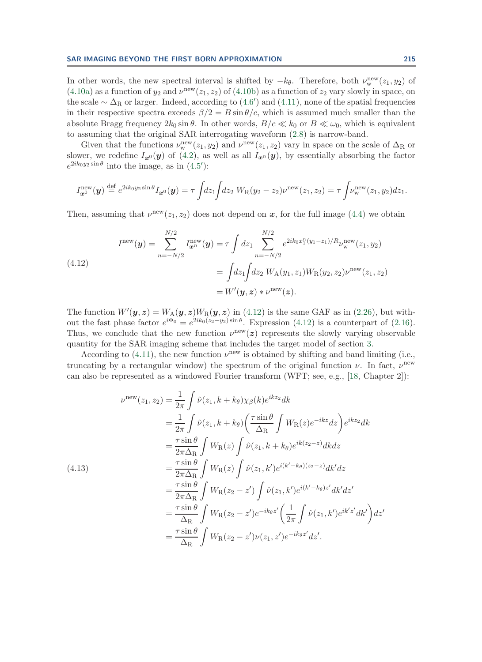In other words, the new spectral interval is shifted by  $-k_{\theta}$ . Therefore, both  $\nu_{w}^{\text{new}}(z_1, y_2)$  of  $(4.10a)$  as a function of  $y_2$  and  $\nu^{\text{new}}(z_1, z_2)$  of  $(4.10b)$  as a function of  $z_2$  vary slowly in space, on the scale  $\sim \Delta_R$  or larger. Indeed, according to [\(4.6](#page-28-3)') and [\(4.11\)](#page-28-4), none of the spatial frequencies in their respective spectra exceeds  $\beta/2 = B \sin \theta/c$ , which is assumed much smaller than the absolute Bragg frequency  $2k_0 \sin \theta$ . In other words,  $B/c \ll k_0$  or  $B \ll \omega_0$ , which is equivalent to assuming that the original SAR interrogating waveform [\(2.8\)](#page-3-4) is narrow-band.

Given that the functions  $\nu_w^{\text{new}}(z_1, y_2)$  and  $\nu^{\text{new}}(z_1, z_2)$  vary in space on the scale of  $\Delta_R$  or slower, we redefine  $I_{x^0}(\mathbf{y})$  of [\(4.2\)](#page-26-4), as well as all  $I_{x^n}(\mathbf{y})$ , by essentially absorbing the factor  $e^{2ik_0y_2\sin\theta}$  into the image, as in  $(4.5')$  $(4.5')$ :

<span id="page-29-0"></span>
$$
I_{\bm{x}^{0}}^{\text{new}}(\bm{y}) \stackrel{\text{def}}{=} e^{2ik_0y_2\sin\theta} I_{\bm{x}^{0}}(\bm{y}) = \tau \int dz_1 \int dz_2 W_{\text{R}}(y_2 - z_2) \nu^{\text{new}}(z_1, z_2) = \tau \int \nu^{\text{new}}_{\text{w}}(z_1, y_2) dz_1.
$$

Then, assuming that  $\nu^{\text{new}}(z_1, z_2)$  does not depend on x, for the full image [\(4.4\)](#page-27-1) we obtain

(4.12)  

$$
I^{\text{new}}(\mathbf{y}) = \sum_{n=-N/2}^{N/2} I^{\text{new}}_{\mathbf{x}^n}(\mathbf{y}) = \tau \int dz_1 \sum_{n=-N/2}^{N/2} e^{2ik_0x_1^n(y_1-z_1)/R} \nu_{\text{w}}^{\text{new}}(z_1, y_2)
$$

$$
= \int dz_1 \int dz_2 W_{\text{A}}(y_1, z_1) W_{\text{R}}(y_2, z_2) \nu^{\text{new}}(z_1, z_2)
$$

$$
= W'(\mathbf{y}, \mathbf{z}) * \nu^{\text{new}}(\mathbf{z}).
$$

The function  $W'(\bm{y}, \bm{z}) = W_A(\bm{y}, \bm{z})W_B(\bm{y}, \bm{z})$  in [\(4.12\)](#page-29-0) is the same GAF as in [\(2.26\)](#page-9-0), but without the fast phase factor  $e^{i\Phi_0} = e^{2ik_0(z_2-y_2)\sin\theta}$ . Expression [\(4.12\)](#page-29-0) is a counterpart of [\(2.16\)](#page-6-1). Thus, we conclude that the new function  $\nu^{\text{new}}(z)$  represents the slowly varying observable quantity for the SAR imaging scheme that includes the target model of section [3.](#page-10-0)

According to [\(4.11\)](#page-28-4), the new function  $\nu^{\text{new}}$  is obtained by shifting and band limiting (i.e., truncating by a rectangular window) the spectrum of the original function  $\nu$ . In fact,  $\nu^{\text{new}}$ can also be represented as a windowed Fourier transform (WFT; see, e.g., [\[18,](#page-38-15) Chapter 2]):

<span id="page-29-1"></span>
$$
\nu^{\text{new}}(z_1, z_2) = \frac{1}{2\pi} \int \hat{\nu}(z_1, k + k_\theta) \chi_\beta(k) e^{ikz_2} dk
$$
  
\n
$$
= \frac{1}{2\pi} \int \hat{\nu}(z_1, k + k_\theta) \left(\frac{\tau \sin \theta}{\Delta_R} \int W_R(z) e^{-ikz} dz\right) e^{ikz_2} dk
$$
  
\n
$$
= \frac{\tau \sin \theta}{2\pi \Delta_R} \int W_R(z) \int \hat{\nu}(z_1, k + k_\theta) e^{ik(z_2 - z)} dk dz
$$
  
\n(4.13)  
\n
$$
= \frac{\tau \sin \theta}{2\pi \Delta_R} \int W_R(z) \int \hat{\nu}(z_1, k') e^{i(k' - k_\theta)(z_2 - z)} dk' dz
$$
  
\n
$$
= \frac{\tau \sin \theta}{2\pi \Delta_R} \int W_R(z_2 - z') \int \hat{\nu}(z_1, k') e^{i(k' - k_\theta)z'} dk' dz'
$$
  
\n
$$
= \frac{\tau \sin \theta}{\Delta_R} \int W_R(z_2 - z') e^{-ik_\theta z'} \left(\frac{1}{2\pi} \int \hat{\nu}(z_1, k') e^{ik'z'} dk'\right) dz'
$$
  
\n
$$
= \frac{\tau \sin \theta}{\Delta_R} \int W_R(z_2 - z') \nu(z_1, z') e^{-ik_\theta z'} dz'.
$$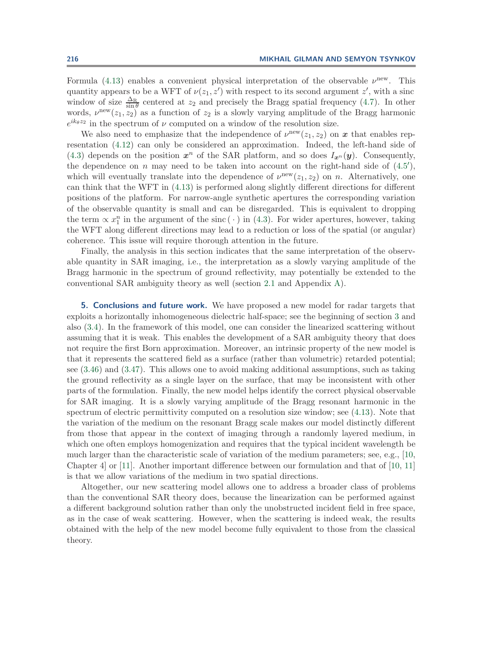Formula [\(4.13\)](#page-29-1) enables a convenient physical interpretation of the observable  $\nu^{\text{new}}$ . This quantity appears to be a WFT of  $\nu(z_1, z')$  with respect to its second argument  $z'$ , with a sinc window of size  $\frac{\Delta_R}{\sin \theta}$  centered at  $z_2$  and precisely the Bragg spatial frequency [\(4.7\)](#page-27-4). In other words,  $\nu^{\text{new}}(z_1, z_2)$  as a function of  $z_2$  is a slowly varying amplitude of the Bragg harmonic  $e^{ik_\theta z_2}$  in the spectrum of  $\nu$  computed on a window of the resolution size.

We also need to emphasize that the independence of  $\nu^{\text{new}}(z_1, z_2)$  on x that enables representation [\(4.12\)](#page-29-0) can only be considered an approximation. Indeed, the left-hand side of [\(4.3\)](#page-27-5) depends on the position  $x^n$  of the SAR platform, and so does  $I_{x^n}(y)$ . Consequently, the dependence on n may need to be taken into account on the right-hand side of  $(4.5')$  $(4.5')$ , which will eventually translate into the dependence of  $\nu^{\text{new}}(z_1, z_2)$  on n. Alternatively, one can think that the WFT in [\(4.13\)](#page-29-1) is performed along slightly different directions for different positions of the platform. For narrow-angle synthetic apertures the corresponding variation of the observable quantity is small and can be disregarded. This is equivalent to dropping the term  $\propto x_1^n$  in the argument of the sinc ( · ) in [\(4.3\)](#page-27-5). For wider apertures, however, taking the WFT along different directions may lead to a reduction or loss of the spatial (or angular) coherence. This issue will require thorough attention in the future.

Finally, the analysis in this section indicates that the same interpretation of the observable quantity in SAR imaging, i.e., the interpretation as a slowly varying amplitude of the Bragg harmonic in the spectrum of ground reflectivity, may potentially be extended to the conventional SAR ambiguity theory as well (section [2.1](#page-2-0) and Appendix [A\)](#page-32-0).

<span id="page-30-0"></span>**5. Conclusions and future work.** We have proposed a new model for radar targets that exploits a horizontally inhomogeneous dielectric half-space; see the beginning of section [3](#page-10-0) and also [\(3.4\)](#page-12-1). In the framework of this model, one can consider the linearized scattering without assuming that it is weak. This enables the development of a SAR ambiguity theory that does not require the first Born approximation. Moreover, an intrinsic property of the new model is that it represents the scattered field as a surface (rather than volumetric) retarded potential; see [\(3.46\)](#page-24-0) and [\(3.47\)](#page-25-0). This allows one to avoid making additional assumptions, such as taking the ground reflectivity as a single layer on the surface, that may be inconsistent with other parts of the formulation. Finally, the new model helps identify the correct physical observable for SAR imaging. It is a slowly varying amplitude of the Bragg resonant harmonic in the spectrum of electric permittivity computed on a resolution size window; see [\(4.13\)](#page-29-1). Note that the variation of the medium on the resonant Bragg scale makes our model distinctly different from those that appear in the context of imaging through a randomly layered medium, in which one often employs homogenization and requires that the typical incident wavelength be much larger than the characteristic scale of variation of the medium parameters; see, e.g., [\[10,](#page-38-16) Chapter 4] or [\[11\]](#page-38-17). Another important difference between our formulation and that of [\[10,](#page-38-16) [11\]](#page-38-17) is that we allow variations of the medium in two spatial directions.

Altogether, our new scattering model allows one to address a broader class of problems than the conventional SAR theory does, because the linearization can be performed against a different background solution rather than only the unobstructed incident field in free space, as in the case of weak scattering. However, when the scattering is indeed weak, the results obtained with the help of the new model become fully equivalent to those from the classical theory.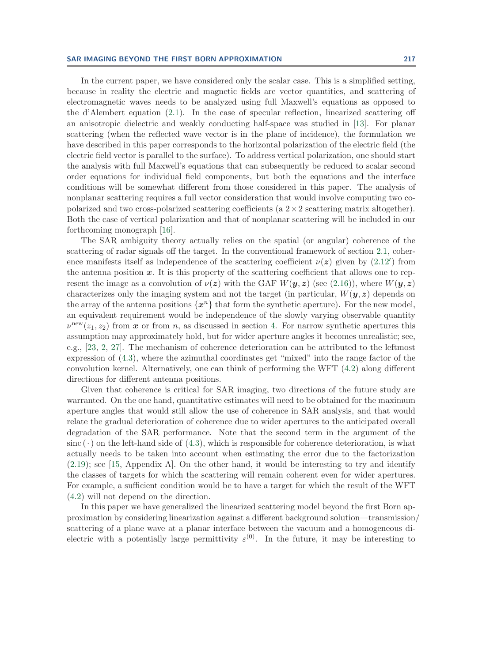In the current paper, we have considered only the scalar case. This is a simplified setting, because in reality the electric and magnetic fields are vector quantities, and scattering of electromagnetic waves needs to be analyzed using full Maxwell's equations as opposed to the d'Alembert equation [\(2.1\)](#page-2-3). In the case of specular reflection, linearized scattering off an anisotropic dielectric and weakly conducting half-space was studied in [\[13\]](#page-38-5). For planar scattering (when the reflected wave vector is in the plane of incidence), the formulation we have described in this paper corresponds to the horizontal polarization of the electric field (the electric field vector is parallel to the surface). To address vertical polarization, one should start the analysis with full Maxwell's equations that can subsequently be reduced to scalar second order equations for individual field components, but both the equations and the interface conditions will be somewhat different from those considered in this paper. The analysis of nonplanar scattering requires a full vector consideration that would involve computing two copolarized and two cross-polarized scattering coefficients (a  $2 \times 2$  scattering matrix altogether). Both the case of vertical polarization and that of nonplanar scattering will be included in our forthcoming monograph [\[16\]](#page-38-18).

The SAR ambiguity theory actually relies on the spatial (or angular) coherence of the scattering of radar signals off the target. In the conventional framework of section [2.1,](#page-2-0) coherence manifests itself as independence of the scattering coefficient  $\nu(z)$  given by  $(2.12')$  $(2.12')$  from the antenna position *x*. It is this property of the scattering coefficient that allows one to represent the image as a convolution of  $\nu(z)$  with the GAF  $W(y, z)$  (see [\(2.16\)](#page-6-1)), where  $W(y, z)$ characterizes only the imaging system and not the target (in particular,  $W(\mathbf{y}, \mathbf{z})$ ) depends on the array of the antenna positions  $\{x^n\}$  that form the synthetic aperture). For the new model, an equivalent requirement would be independence of the slowly varying observable quantity  $\nu^{\text{new}}(z_1, z_2)$  from *x* or from *n*, as discussed in section [4.](#page-26-0) For narrow synthetic apertures this assumption may approximately hold, but for wider aperture angles it becomes unrealistic; see, e.g., [\[23,](#page-38-19) [2,](#page-38-20) [27\]](#page-39-3). The mechanism of coherence deterioration can be attributed to the leftmost expression of [\(4.3\)](#page-27-5), where the azimuthal coordinates get "mixed" into the range factor of the convolution kernel. Alternatively, one can think of performing the WFT [\(4.2\)](#page-26-4) along different directions for different antenna positions.

Given that coherence is critical for SAR imaging, two directions of the future study are warranted. On the one hand, quantitative estimates will need to be obtained for the maximum aperture angles that would still allow the use of coherence in SAR analysis, and that would relate the gradual deterioration of coherence due to wider apertures to the anticipated overall degradation of the SAR performance. Note that the second term in the argument of the  $sinc(\cdot)$  on the left-hand side of [\(4.3\)](#page-27-5), which is responsible for coherence deterioration, is what actually needs to be taken into account when estimating the error due to the factorization [\(2.19\)](#page-7-2); see [\[15,](#page-38-6) Appendix A]. On the other hand, it would be interesting to try and identify the classes of targets for which the scattering will remain coherent even for wider apertures. For example, a sufficient condition would be to have a target for which the result of the WFT [\(4.2\)](#page-26-4) will not depend on the direction.

In this paper we have generalized the linearized scattering model beyond the first Born approximation by considering linearization against a different background solution—transmission/ scattering of a plane wave at a planar interface between the vacuum and a homogeneous dielectric with a potentially large permittivity  $\varepsilon^{(0)}$ . In the future, it may be interesting to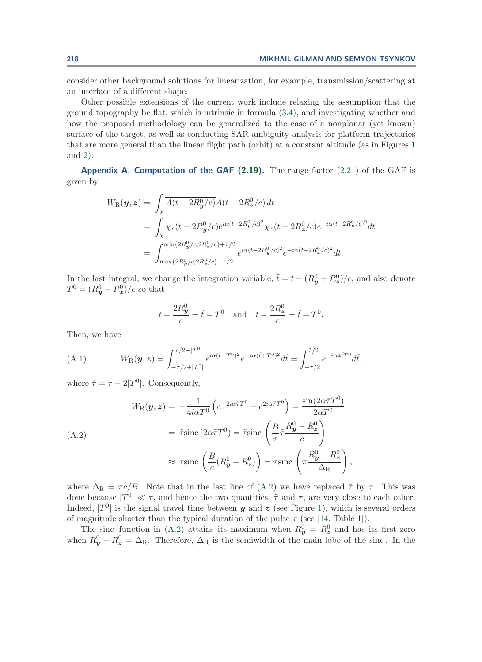consider other background solutions for linearization, for example, transmission/scattering at an interface of a different shape.

Other possible extensions of the current work include relaxing the assumption that the ground topography be flat, which is intrinsic in formula [\(3.4\)](#page-12-1), and investigating whether and how the proposed methodology can be generalized to the case of a nonplanar (yet known) surface of the target, as well as conducting SAR ambiguity analysis for platform trajectories that are more general than the linear flight path (orbit) at a constant altitude (as in Figures [1](#page-4-0) and [2\)](#page-11-0).

<span id="page-32-0"></span>**Appendix A. Computation of the GAF [\(2.19\)](#page-7-2).** The range factor [\(2.21\)](#page-7-1) of the GAF is given by

$$
W_{\rm R}(\mathbf{y}, \mathbf{z}) = \int_{\chi} \overline{A(t - 2R_{\mathbf{y}}^0/c)} A(t - 2R_{\mathbf{z}}^0/c) dt
$$
  
= 
$$
\int_{\chi} \chi_{\tau}(t - 2R_{\mathbf{y}}^0/c) e^{i\alpha(t - 2R_{\mathbf{y}}^0/c)^2} \chi_{\tau}(t - 2R_{\mathbf{z}}^0/c) e^{-i\alpha(t - 2R_{\mathbf{z}}^0/c)^2} dt
$$
  
= 
$$
\int_{\max\{2R_{\mathbf{y}}^0/c, 2R_{\mathbf{z}}^0/c\} - \tau/2}^{\min\{2R_{\mathbf{y}}^0/c, 2R_{\mathbf{z}}^0/c\} + \tau/2} e^{i\alpha(t - 2R_{\mathbf{y}}^0/c)^2} e^{-i\alpha(t - 2R_{\mathbf{z}}^0/c)^2} dt.
$$

In the last integral, we change the integration variable,  $\tilde{t} = t - (R_y^0 + R_z^0)/c$ , and also denote  $T^{0} = (R_{y}^{0} - R_{z}^{0})/c$  so that

<span id="page-32-2"></span><span id="page-32-1"></span>
$$
t - \frac{2R_y^0}{c} = \tilde{t} - T^0
$$
 and  $t - \frac{2R_z^0}{c} = \tilde{t} + T^0$ .

Then, we have

(A.1) 
$$
W_{\mathcal{R}}(\mathbf{y}, \mathbf{z}) = \int_{-\tau/2+|T^0|}^{\tau/2-|T^0|} e^{i\alpha(\tilde{t}-T^0)^2} e^{-i\alpha(\tilde{t}+T^0)^2} d\tilde{t} = \int_{-\tilde{\tau}/2}^{\tilde{\tau}/2} e^{-i\alpha 4\tilde{t}T^0} d\tilde{t},
$$

where  $\tilde{\tau} = \tau - 2|T^0|$ . Consequently,

$$
W_{\rm R}(\mathbf{y}, \mathbf{z}) = -\frac{1}{4i\alpha T^{0}} \left( e^{-2i\alpha \tilde{\tau} T^{0}} - e^{2i\alpha \tilde{\tau} T^{0}} \right) = \frac{\sin(2\alpha \tilde{\tau} T^{0})}{2\alpha T^{0}}
$$
  
\n
$$
= \tilde{\tau} \operatorname{sinc} (2\alpha \tilde{\tau} T^{0}) = \tilde{\tau} \operatorname{sinc} \left( \frac{B}{\tau} \tilde{\tau} \frac{R_{\mathbf{y}}^{0} - R_{\mathbf{z}}^{0}}{c} \right)
$$
  
\n
$$
\approx \tau \operatorname{sinc} \left( \frac{B}{c} (R_{\mathbf{y}}^{0} - R_{\mathbf{z}}^{0}) \right) = \tau \operatorname{sinc} \left( \pi \frac{R_{\mathbf{y}}^{0} - R_{\mathbf{z}}^{0}}{\Delta_{\rm R}} \right),
$$

where  $\Delta_{\rm R} = \pi c/B$ . Note that in the last line of [\(A.2\)](#page-32-1) we have replaced  $\tilde{\tau}$  by  $\tau$ . This was done because  $|T^0| \ll \tau$ , and hence the two quantities,  $\tilde{\tau}$  and  $\tau$ , are very close to each other. Indeed,  $|T^0|$  is the signal travel time between *y* and *z* (see Figure [1\)](#page-4-0), which is several orders of magnitude shorter than the typical duration of the pulse  $\tau$  (see [\[14,](#page-38-4) Table 1]).

The sinc function in [\(A.2\)](#page-32-1) attains its maximum when  $R_y^0 = R_z^0$  and has its first zero when  $R_y^0 - R_z^0 = \Delta_{\rm R}$ . Therefore,  $\Delta_{\rm R}$  is the semiwidth of the main lobe of the sinc. In the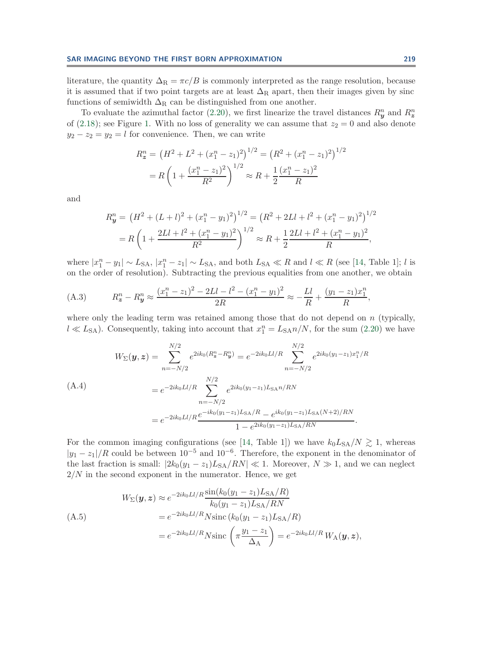literature, the quantity  $\Delta_R = \pi c/B$  is commonly interpreted as the range resolution, because it is assumed that if two point targets are at least  $\Delta_R$  apart, then their images given by sinc functions of semiwidth  $\Delta_R$  can be distinguished from one another.

To evaluate the azimuthal factor [\(2.20\)](#page-7-0), we first linearize the travel distances  $R_y^n$  and  $R_z^n$ of [\(2.18\)](#page-6-4); see Figure [1.](#page-4-0) With no loss of generality we can assume that  $z_2 = 0$  and also denote  $y_2 - z_2 = y_2 = l$  for convenience. Then, we can write

<span id="page-33-2"></span><span id="page-33-0"></span>
$$
R_z^n = (H^2 + L^2 + (x_1^n - z_1)^2)^{1/2} = (R^2 + (x_1^n - z_1)^2)^{1/2}
$$

$$
= R\left(1 + \frac{(x_1^n - z_1)^2}{R^2}\right)^{1/2} \approx R + \frac{1}{2}\frac{(x_1^n - z_1)^2}{R}
$$

and

$$
R_y^n = (H^2 + (L+l)^2 + (x_1^n - y_1)^2)^{1/2} = (R^2 + 2Ll + l^2 + (x_1^n - y_1)^2)^{1/2}
$$
  
=  $R \left(1 + \frac{2Ll + l^2 + (x_1^n - y_1)^2}{R^2}\right)^{1/2} \approx R + \frac{1}{2} \frac{2Ll + l^2 + (x_1^n - y_1)^2}{R},$ 

where  $|x_1^n - y_1| \sim L_{SA}$ ,  $|x_1^n - z_1| \sim L_{SA}$ , and both  $L_{SA} \ll R$  and  $l \ll R$  (see [\[14,](#page-38-4) Table 1]; l is on the order of resolution). Subtracting the previous equalities from one another, we obtain

(A.3) 
$$
R_z^n - R_y^n \approx \frac{(x_1^n - z_1)^2 - 2Ll - l^2 - (x_1^n - y_1)^2}{2R} \approx -\frac{Ll}{R} + \frac{(y_1 - z_1)x_1^n}{R},
$$

where only the leading term was retained among those that do not depend on  $n$  (typically,  $l \ll L_{SA}$ ). Consequently, taking into account that  $x_1^n = L_{SA}n/N$ , for the sum [\(2.20\)](#page-7-0) we have

$$
W_{\Sigma}(\mathbf{y}, \mathbf{z}) = \sum_{n=-N/2}^{N/2} e^{2ik_0(R_{\mathbf{z}}^n - R_{\mathbf{y}}^n)} = e^{-2ik_0Ll/R} \sum_{n=-N/2}^{N/2} e^{2ik_0(y_1 - z_1)x_1^n/R}
$$
  
\n(A.4)  
\n
$$
= e^{-2ik_0Ll/R} \sum_{n=-N/2}^{N/2} e^{2ik_0(y_1 - z_1)L_{\text{SA}}n/RN}
$$
  
\n
$$
= e^{-2ik_0Ll/R} \frac{e^{-ik_0(y_1 - z_1)L_{\text{SA}}/R} - e^{ik_0(y_1 - z_1)L_{\text{SA}}/RN}}{1 - e^{2ik_0(y_1 - z_1)L_{\text{SA}}/RN}}.
$$

For the common imaging configurations (see [\[14,](#page-38-4) Table 1]) we have  $k_0L_{SA}/N \geq 1$ , whereas  $|y_1 - z_1|/R$  could be between  $10^{-5}$  and  $10^{-6}$ . Therefore, the exponent in the denominator of the last fraction is small:  $|2k_0(y_1 - z_1)L_{SA}/RN| \ll 1$ . Moreover,  $N \gg 1$ , and we can neglect  $2/N$  in the second exponent in the numerator. Hence, we get

<span id="page-33-1"></span>
$$
W_{\Sigma}(\mathbf{y}, \mathbf{z}) \approx e^{-2ik_0Ll/R} \frac{\sin(k_0(y_1 - z_1)L_{SA}/R)}{k_0(y_1 - z_1)L_{SA}/RN}
$$
  
\n(A.5)  
\n
$$
= e^{-2ik_0Ll/R} N \operatorname{sinc} (k_0(y_1 - z_1)L_{SA}/R)
$$
  
\n
$$
= e^{-2ik_0Ll/R} N \operatorname{sinc} \left( \pi \frac{y_1 - z_1}{\Delta_A} \right) = e^{-2ik_0Ll/R} W_A(\mathbf{y}, \mathbf{z}),
$$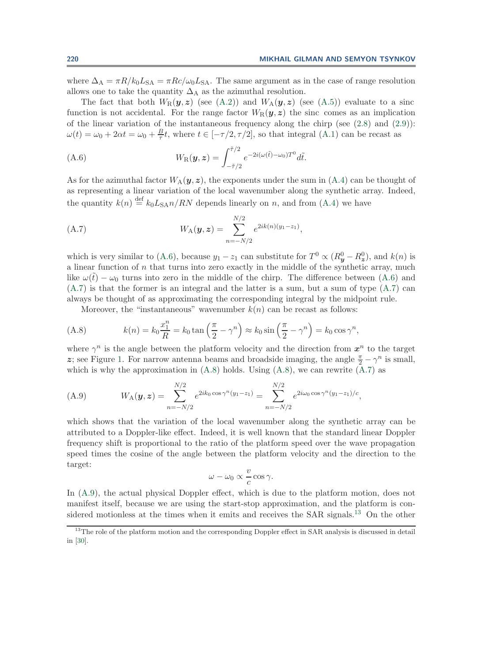where  $\Delta_A = \pi R/k_0 L_{SA} = \pi R c/\omega_0 L_{SA}$ . The same argument as in the case of range resolution allows one to take the quantity  $\Delta_A$  as the azimuthal resolution.

The fact that both  $W_R(\boldsymbol{y}, \boldsymbol{z})$  (see [\(A.2\)](#page-32-1)) and  $W_A(\boldsymbol{y}, \boldsymbol{z})$  (see [\(A.5\)](#page-33-1)) evaluate to a sinc function is not accidental. For the range factor  $W_R(\mathbf{y}, \mathbf{z})$  the sinc comes as an implication of the linear variation of the instantaneous frequency along the chirp (see [\(2.8\)](#page-3-4) and [\(2.9\)](#page-3-6)):  $\omega(t) = \omega_0 + 2\alpha t = \omega_0 + \frac{B}{\tau}t$ , where  $t \in [-\tau/2, \tau/2]$ , so that integral [\(A.1\)](#page-32-2) can be recast as

<span id="page-34-0"></span>(A.6) 
$$
W_{\mathcal{R}}(\boldsymbol{y},\boldsymbol{z}) = \int_{-\tilde{\tau}/2}^{\tilde{\tau}/2} e^{-2i(\omega(\tilde{t}) - \omega_0)T^0} d\tilde{t}.
$$

As for the azimuthal factor  $W_A(\mathbf{y}, \mathbf{z})$ , the exponents under the sum in [\(A.4\)](#page-33-2) can be thought of as representing a linear variation of the local wavenumber along the synthetic array. Indeed, the quantity  $k(n) \stackrel{\text{def}}{=} k_0 L_{SA} n / RN$  depends linearly on n, and from [\(A.4\)](#page-33-2) we have

<span id="page-34-1"></span>(A.7) 
$$
W_{A}(\mathbf{y}, \mathbf{z}) = \sum_{n=-N/2}^{N/2} e^{2ik(n)(y_1 - z_1)},
$$

which is very similar to [\(A.6\)](#page-34-0), because  $y_1 - z_1$  can substitute for  $T^0 \propto (R_y^0 - R_z^0)$ , and  $k(n)$  is a linear function of  $n$  that turns into zero exactly in the middle of the synthetic array, much like  $\omega(\tilde{t}) - \omega_0$  turns into zero in the middle of the chirp. The difference between [\(A.6\)](#page-34-0) and [\(A.7\)](#page-34-1) is that the former is an integral and the latter is a sum, but a sum of type [\(A.7\)](#page-34-1) can always be thought of as approximating the corresponding integral by the midpoint rule.

Moreover, the "instantaneous" wavenumber  $k(n)$  can be recast as follows:

(A.8) 
$$
k(n) = k_0 \frac{x_1^n}{R} = k_0 \tan\left(\frac{\pi}{2} - \gamma^n\right) \approx k_0 \sin\left(\frac{\pi}{2} - \gamma^n\right) = k_0 \cos\gamma^n,
$$

where  $\gamma^n$  is the angle between the platform velocity and the direction from  $x^n$  to the target z; see Figure [1.](#page-4-0) For narrow antenna beams and broadside imaging, the angle  $\frac{\pi}{2} - \gamma^n$  is small, which is why the approximation in  $(A.8)$  holds. Using  $(A.8)$ , we can rewrite  $(A.7)$  as

(A.9) 
$$
W_{A}(\mathbf{y}, \mathbf{z}) = \sum_{n=-N/2}^{N/2} e^{2ik_0 \cos \gamma^n (y_1 - z_1)} = \sum_{n=-N/2}^{N/2} e^{2i\omega_0 \cos \gamma^n (y_1 - z_1)/c},
$$

which shows that the variation of the local wavenumber along the synthetic array can be attributed to a Doppler-like effect. Indeed, it is well known that the standard linear Doppler frequency shift is proportional to the ratio of the platform speed over the wave propagation speed times the cosine of the angle between the platform velocity and the direction to the target:

<span id="page-34-3"></span><span id="page-34-2"></span>
$$
\omega - \omega_0 \propto \frac{v}{c} \cos \gamma.
$$

In [\(A.9\)](#page-34-3), the actual physical Doppler effect, which is due to the platform motion, does not manifest itself, because we are using the start-stop approximation, and the platform is con-sidered motionless at the times when it emits and receives the SAR signals.<sup>[13](#page-34-4)</sup> On the other

<span id="page-34-4"></span><sup>&</sup>lt;sup>13</sup>The role of the platform motion and the corresponding Doppler effect in SAR analysis is discussed in detail in [\[30\]](#page-39-1).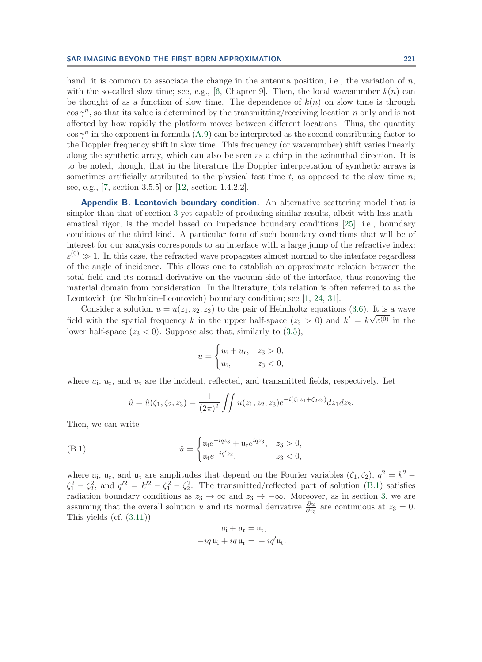hand, it is common to associate the change in the antenna position, i.e., the variation of  $n$ , with the so-called slow time; see, e.g., [\[6,](#page-38-1) Chapter 9]. Then, the local wavenumber  $k(n)$  can be thought of as a function of slow time. The dependence of  $k(n)$  on slow time is through  $\cos \gamma^n$ , so that its value is determined by the transmitting/receiving location n only and is not affected by how rapidly the platform moves between different locations. Thus, the quantity  $\cos \gamma^n$  in the exponent in formula [\(A.9\)](#page-34-3) can be interpreted as the second contributing factor to the Doppler frequency shift in slow time. This frequency (or wavenumber) shift varies linearly along the synthetic array, which can also be seen as a chirp in the azimuthal direction. It is to be noted, though, that in the literature the Doppler interpretation of synthetic arrays is sometimes artificially attributed to the physical fast time t, as opposed to the slow time  $n$ ; see, e.g., [\[7,](#page-38-21) section 3.5.5] or [\[12,](#page-38-22) section 1.4.2.2].

<span id="page-35-0"></span>**Appendix B. Leontovich boundary condition.** An alternative scattering model that is simpler than that of section [3](#page-10-0) yet capable of producing similar results, albeit with less mathematical rigor, is the model based on impedance boundary conditions [\[25\]](#page-38-23), i.e., boundary conditions of the third kind. A particular form of such boundary conditions that will be of interest for our analysis corresponds to an interface with a large jump of the refractive index:  $\varepsilon^{(0)} \gg 1$ . In this case, the refracted wave propagates almost normal to the interface regardless of the angle of incidence. This allows one to establish an approximate relation between the total field and its normal derivative on the vacuum side of the interface, thus removing the material domain from consideration. In the literature, this relation is often referred to as the Leontovich (or Shchukin–Leontovich) boundary condition; see [\[1,](#page-38-24) [24,](#page-38-25) [31\]](#page-39-2).

Consider a solution  $u = u(z_1, z_2, z_3)$  to the pair of Helmholtz equations [\(3.6\)](#page-12-4). It is a wave field with the spatial frequency k in the upper half-space  $(z_3 > 0)$  and  $k' = k\sqrt{\varepsilon^{(0)}}$  in the lower half-space  $(z_3 < 0)$ . Suppose also that, similarly to  $(3.5)$ ,

$$
u = \begin{cases} u_{i} + u_{r}, & z_{3} > 0, \\ u_{i}, & z_{3} < 0, \end{cases}
$$

where  $u_i$ ,  $u_r$ , and  $u_t$  are the incident, reflected, and transmitted fields, respectively. Let

<span id="page-35-1"></span>
$$
\hat{u} = \hat{u}(\zeta_1, \zeta_2, z_3) = \frac{1}{(2\pi)^2} \iint u(z_1, z_2, z_3) e^{-i(\zeta_1 z_1 + \zeta_2 z_2)} dz_1 dz_2.
$$

Then, we can write

(B.1) 
$$
\hat{u} = \begin{cases} u_1 e^{-iqz_3} + u_1 e^{iqz_3}, & z_3 > 0, \\ u_1 e^{-iq'z_3}, & z_3 < 0, \end{cases}
$$

where  $u_i$ ,  $u_r$ , and  $u_t$  are amplitudes that depend on the Fourier variables  $(\zeta_1, \zeta_2)$ ,  $q^2 = k^2 \zeta_1^2 - \zeta_2^2$ , and  $q'^2 = k'^2 - \zeta_1^2 - \zeta_2^2$ . The transmitted/reflected part of solution [\(B.1\)](#page-35-1) satisfies radiation boundary conditions as  $z_3 \to \infty$  and  $z_3 \to -\infty$ . Moreover, as in section [3,](#page-10-0) we are assuming that the overall solution u and its normal derivative  $\frac{\partial u}{\partial z_3}$  are continuous at  $z_3 = 0$ . This yields (cf. [\(3.11\)](#page-13-1))

$$
u_i + u_r = u_t,
$$
  
-
$$
-iq u_i + iq u_r = -i q' u_t.
$$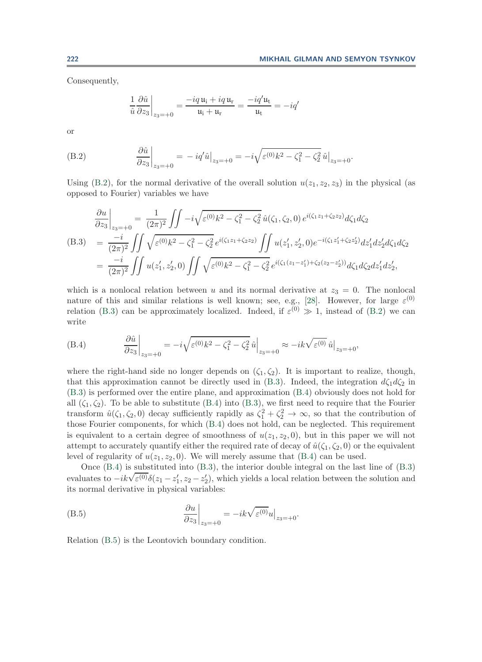Consequently,

<span id="page-36-1"></span>
$$
\frac{1}{\hat{u}} \frac{\partial \hat{u}}{\partial z_3}\bigg|_{z_3 = +0} = \frac{-iq \mathfrak{u}_i + iq \mathfrak{u}_r}{\mathfrak{u}_i + \mathfrak{u}_r} = \frac{-iq' \mathfrak{u}_t}{\mathfrak{u}_t} = -iq'
$$

or

<span id="page-36-0"></span>(B.2) 
$$
\frac{\partial \hat{u}}{\partial z_3}\Big|_{z_3=+0} = -iq'\hat{u}\Big|_{z_3=+0} = -i\sqrt{\varepsilon^{(0)}k^2 - \zeta_1^2 - \zeta_2^2}\hat{u}\Big|_{z_3=+0}.
$$

Using [\(B.2\)](#page-36-0), for the normal derivative of the overall solution  $u(z_1, z_2, z_3)$  in the physical (as opposed to Fourier) variables we have

$$
\frac{\partial u}{\partial z_3}\Big|_{z_3=+0} = \frac{1}{(2\pi)^2} \iint -i\sqrt{\varepsilon^{(0)}k^2 - \zeta_1^2 - \zeta_2^2} \,\hat{u}(\zeta_1, \zeta_2, 0) e^{i(\zeta_1 z_1 + \zeta_2 z_2)} d\zeta_1 d\zeta_2
$$
\n(B.3) 
$$
= \frac{-i}{(2\pi)^2} \iint \sqrt{\varepsilon^{(0)}k^2 - \zeta_1^2 - \zeta_2^2} e^{i(\zeta_1 z_1 + \zeta_2 z_2)} \iint u(z_1', z_2', 0) e^{-i(\zeta_1 z_1' + \zeta_2 z_2')} dz_1' dz_2' d\zeta_1 d\zeta_2
$$
\n
$$
= \frac{-i}{(2\pi)^2} \iint u(z_1', z_2', 0) \iint \sqrt{\varepsilon^{(0)}k^2 - \zeta_1^2 - \zeta_2^2} e^{i(\zeta_1(z_1 - z_1') + \zeta_2(z_2 - z_2'))} d\zeta_1 d\zeta_2 dz_1' dz_2',
$$

which is a nonlocal relation between u and its normal derivative at  $z_3 = 0$ . The nonlocal nature of this and similar relations is well known; see, e.g., [\[28\]](#page-39-4). However, for large  $\varepsilon^{(0)}$ relation [\(B.3\)](#page-36-1) can be approximately localized. Indeed, if  $\varepsilon^{(0)} \gg 1$ , instead of [\(B.2\)](#page-36-0) we can write

<span id="page-36-2"></span>(B.4) 
$$
\frac{\partial \hat{u}}{\partial z_3}\Big|_{z_3=+0} = -i\sqrt{\varepsilon^{(0)}k^2 - \zeta_1^2 - \zeta_2^2} \hat{u}\Big|_{z_3=+0} \approx -ik\sqrt{\varepsilon^{(0)}} \hat{u}\Big|_{z_3=+0},
$$

where the right-hand side no longer depends on  $(\zeta_1, \zeta_2)$ . It is important to realize, though, that this approximation cannot be directly used in [\(B.3\)](#page-36-1). Indeed, the integration  $d\zeta_1 d\zeta_2$  in [\(B.3\)](#page-36-1) is performed over the entire plane, and approximation [\(B.4\)](#page-36-2) obviously does not hold for all  $(\zeta_1, \zeta_2)$ . To be able to substitute [\(B.4\)](#page-36-2) into [\(B.3\)](#page-36-1), we first need to require that the Fourier transform  $\hat{u}(\zeta_1,\zeta_2,0)$  decay sufficiently rapidly as  $\zeta_1^2 + \zeta_2^2 \to \infty$ , so that the contribution of those Fourier components, for which [\(B.4\)](#page-36-2) does not hold, can be neglected. This requirement is equivalent to a certain degree of smoothness of  $u(z_1, z_2, 0)$ , but in this paper we will not attempt to accurately quantify either the required rate of decay of  $\hat{u}(\zeta_1, \zeta_2, 0)$  or the equivalent level of regularity of  $u(z_1, z_2, 0)$ . We will merely assume that [\(B.4\)](#page-36-2) can be used.

<span id="page-36-3"></span>Once  $(B.4)$  is substituted into  $(B.3)$ , the interior double integral on the last line of  $(B.3)$ Once (B.4) is substituted mto (B.3), the interior double integral on the last line of (B.3)<br>evaluates to  $-ik\sqrt{\varepsilon^{(0)}}\delta(z_1 - z'_1, z_2 - z'_2)$ , which yields a local relation between the solution and its normal derivative in physical variables:

(B.5) 
$$
\frac{\partial u}{\partial z_3}\bigg|_{z_3=+0} = -ik\sqrt{\varepsilon^{(0)}}u\big|_{z_3=+0}.
$$

Relation [\(B.5\)](#page-36-3) is the Leontovich boundary condition.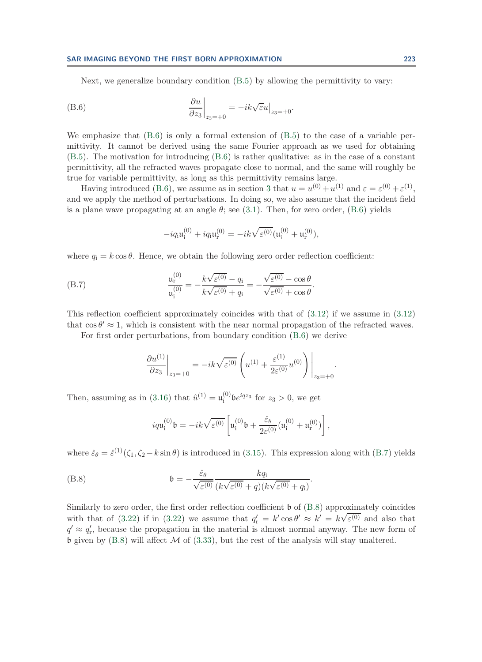Next, we generalize boundary condition [\(B.5\)](#page-36-3) by allowing the permittivity to vary:

(B.6) 
$$
\left.\frac{\partial u}{\partial z_3}\right|_{z_3=+0} = -ik\sqrt{\varepsilon}u\big|_{z_3=+0}.
$$

We emphasize that  $(B.6)$  is only a formal extension of  $(B.5)$  to the case of a variable permittivity. It cannot be derived using the same Fourier approach as we used for obtaining [\(B.5\)](#page-36-3). The motivation for introducing [\(B.6\)](#page-37-1) is rather qualitative: as in the case of a constant permittivity, all the refracted waves propagate close to normal, and the same will roughly be true for variable permittivity, as long as this permittivity remains large.

Having introduced [\(B.6\)](#page-37-1), we assume as in section [3](#page-10-0) that  $u = u^{(0)} + u^{(1)}$  and  $\varepsilon = \varepsilon^{(0)} + \varepsilon^{(1)}$ , and we apply the method of perturbations. In doing so, we also assume that the incident field is a plane wave propagating at an angle  $\theta$ ; see [\(3.1\)](#page-11-1). Then, for zero order, [\(B.6\)](#page-37-1) yields

<span id="page-37-2"></span><span id="page-37-1"></span>
$$
-iq_{{\bf i}}{\bf u}_{\bf i}^{(0)}+iq_{{\bf i}}{\bf u}_{\bf r}^{(0)}=-ik\sqrt{\varepsilon^{(0)}}({\bf u}_{\bf i}^{(0)}+{\bf u}_{\bf r}^{(0)}),
$$

where  $q_i = k \cos \theta$ . Hence, we obtain the following zero order reflection coefficient:

(B.7) 
$$
\frac{\mathfrak{u}_{\mathbf{r}}^{(0)}}{\mathfrak{u}_{\mathbf{i}}^{(0)}} = -\frac{k\sqrt{\varepsilon^{(0)}} - q_{\mathbf{i}}}{k\sqrt{\varepsilon^{(0)}} + q_{\mathbf{i}}} = -\frac{\sqrt{\varepsilon^{(0)}} - \cos\theta}{\sqrt{\varepsilon^{(0)}} + \cos\theta}.
$$

This reflection coefficient approximately coincides with that of  $(3.12)$  if we assume in  $(3.12)$ that  $\cos \theta' \approx 1$ , which is consistent with the near normal propagation of the refracted waves.

For first order perturbations, from boundary condition [\(B.6\)](#page-37-1) we derive

$$
\left. \frac{\partial u^{(1)}}{\partial z_3} \right|_{z_3 = +0} = -ik\sqrt{\varepsilon^{(0)}} \left( u^{(1)} + \frac{\varepsilon^{(1)}}{2\varepsilon^{(0)}} u^{(0)} \right) \Big|_{z_3 = +0}.
$$

Then, assuming as in [\(3.16\)](#page-14-0) that  $\hat{u}^{(1)} = \mathfrak{u}_{i}^{(0)} \mathfrak{b} e^{iqz_{3}}$  for  $z_{3} > 0$ , we get

<span id="page-37-0"></span>
$$
iq\mathfrak{u}_{i}^{(0)}\mathfrak{b}=-ik\sqrt{\varepsilon^{(0)}}\left[\mathfrak{u}_{i}^{(0)}\mathfrak{b}+\frac{\hat{\varepsilon}_{\theta}}{2\varepsilon^{(0)}}(\mathfrak{u}_{i}^{(0)}+\mathfrak{u}_{r}^{(0)})\right],
$$

where  $\hat{\varepsilon}_{\theta} = \hat{\varepsilon}^{(1)}(\zeta_1, \zeta_2 - k \sin \theta)$  is introduced in [\(3.15\)](#page-14-1). This expression along with [\(B.7\)](#page-37-2) yields

(B.8) 
$$
\mathfrak{b} = -\frac{\hat{\varepsilon}_{\theta}}{\sqrt{\varepsilon^{(0)}}} \frac{kq_i}{(k\sqrt{\varepsilon^{(0)}} + q)(k\sqrt{\varepsilon^{(0)}} + q_i)}.
$$

Similarly to zero order, the first order reflection coefficient  $\mathfrak b$  of [\(B.8\)](#page-37-0) approximately coincides with that of [\(3.22\)](#page-16-0) if in (3.22) we assume that  $q'_r = k' \cos \theta' \approx k' = k \sqrt{\varepsilon^{(0)}}$  and also that  $q' \approx q'_{\rm r}$ , because the propagation in the material is almost normal anyway. The new form of b given by  $(B.8)$  will affect  $\mathcal M$  of  $(3.33)$ , but the rest of the analysis will stay unaltered.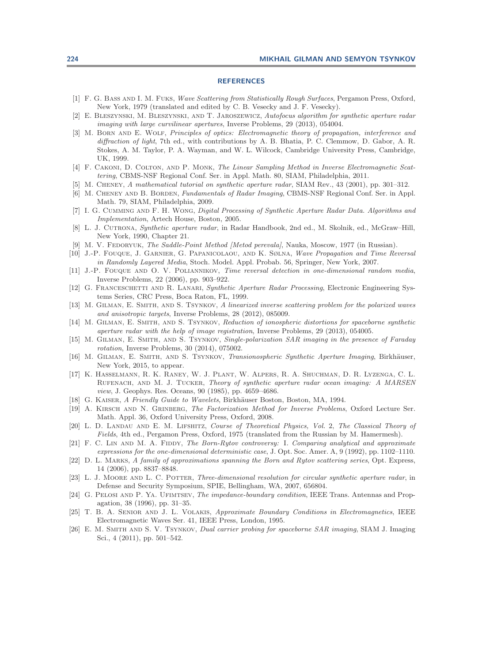## **REFERENCES**

- <span id="page-38-24"></span>[1] F. G. Bass and I. M. Fuks, Wave Scattering from Statistically Rough Surfaces, Pergamon Press, Oxford, New York, 1979 (translated and edited by C. B. Vesecky and J. F. Vesecky).
- <span id="page-38-20"></span>[2] E. Bleszynski, M. Bleszynski, and T. Jaroszewicz, Autofocus algorithm for synthetic aperture radar imaging with large curvilinear apertures, Inverse Problems, 29 (2013), 054004.
- <span id="page-38-3"></span>[3] M. BORN AND E. WOLF, Principles of optics: Electromagnetic theory of propagation, interference and diffraction of light, 7th ed., with contributions by A. B. Bhatia, P. C. Clemmow, D. Gabor, A. R. Stokes, A. M. Taylor, P. A. Wayman, and W. L. Wilcock, Cambridge University Press, Cambridge, UK, 1999.
- <span id="page-38-8"></span>[4] F. CAKONI, D. COLTON, AND P. MONK, The Linear Sampling Method in Inverse Electromagnetic Scattering, CBMS-NSF Regional Conf. Ser. in Appl. Math. 80, SIAM, Philadelphia, 2011.
- <span id="page-38-1"></span><span id="page-38-0"></span>[5] M. Cheney, A mathematical tutorial on synthetic aperture radar, SIAM Rev., 43 (2001), pp. 301–312.
- [6] M. CHENEY AND B. BORDEN, Fundamentals of Radar Imaging, CBMS-NSF Regional Conf. Ser. in Appl. Math. 79, SIAM, Philadelphia, 2009.
- <span id="page-38-21"></span>[7] I. G. Cumming and F. H. Wong, Digital Processing of Synthetic Aperture Radar Data. Algorithms and Implementation, Artech House, Boston, 2005.
- <span id="page-38-2"></span>[8] L. J. CUTRONA, Synthetic aperture radar, in Radar Handbook, 2nd ed., M. Skolnik, ed., McGraw-Hill, New York, 1990, Chapter 21.
- <span id="page-38-16"></span><span id="page-38-13"></span>[9] M. V. FEDORYUK, The Saddle-Point Method [Metod perevala], Nauka, Moscow, 1977 (in Russian).
- [10] J.-P. Fouque, J. Garnier, G. Papanicolaou, and K. Sølna, Wave Propagation and Time Reversal in Randomly Layered Media, Stoch. Model. Appl. Probab. 56, Springer, New York, 2007.
- <span id="page-38-17"></span>[11] J.-P. Fouque and O. V. Poliannikov, Time reversal detection in one-dimensional random media, Inverse Problems, 22 (2006), pp. 903–922.
- <span id="page-38-22"></span>[12] G. FRANCESCHETTI AND R. LANARI, Synthetic Aperture Radar Processing, Electronic Engineering Systems Series, CRC Press, Boca Raton, FL, 1999.
- <span id="page-38-5"></span>[13] M. GILMAN, E. SMITH, AND S. TSYNKOV, A linearized inverse scattering problem for the polarized waves and anisotropic targets, Inverse Problems, 28 (2012), 085009.
- <span id="page-38-4"></span>[14] M. GILMAN, E. SMITH, AND S. TSYNKOV, Reduction of ionospheric distortions for spaceborne synthetic aperture radar with the help of image registration, Inverse Problems, 29 (2013), 054005.
- <span id="page-38-6"></span>[15] M. GILMAN, E. SMITH, AND S. TSYNKOV, Single-polarization SAR imaging in the presence of Faraday rotation, Inverse Problems, 30 (2014), 075002.
- <span id="page-38-18"></span>[16] M. GILMAN, E. SMITH, AND S. TSYNKOV, Transionospheric Synthetic Aperture Imaging, Birkhäuser, New York, 2015, to appear.
- <span id="page-38-14"></span>[17] K. Hasselmann, R. K. Raney, W. J. Plant, W. Alpers, R. A. Shuchman, D. R. Lyzenga, C. L. RUFENACH, AND M. J. TUCKER, Theory of synthetic aperture radar ocean imaging: A MARSEN view, J. Geophys. Res. Oceans, 90 (1985), pp. 4659–4686.
- <span id="page-38-15"></span><span id="page-38-9"></span>[18] G. KAISER, A Friendly Guide to Wavelets, Birkhäuser Boston, Boston, MA, 1994.
- [19] A. KIRSCH AND N. GRINBERG, The Factorization Method for Inverse Problems, Oxford Lecture Ser. Math. Appl. 36, Oxford University Press, Oxford, 2008.
- <span id="page-38-10"></span>[20] L. D. LANDAU AND E. M. LIFSHITZ, Course of Theoretical Physics, Vol. 2, The Classical Theory of Fields, 4th ed., Pergamon Press, Oxford, 1975 (translated from the Russian by M. Hamermesh).
- <span id="page-38-11"></span>[21] F. C. LIN AND M. A. FIDDY, The Born-Rytov controversy: I. Comparing analytical and approximate expressions for the one-dimensional deterministic case, J. Opt. Soc. Amer. A, 9 (1992), pp. 1102–1110.
- <span id="page-38-12"></span>[22] D. L. MARKS, A family of approximations spanning the Born and Rytov scattering series, Opt. Express, 14 (2006), pp. 8837–8848.
- <span id="page-38-19"></span>[23] L. J. MOORE AND L. C. POTTER, Three-dimensional resolution for circular synthetic aperture radar, in Defense and Security Symposium, SPIE, Bellingham, WA, 2007, 656804.
- <span id="page-38-25"></span>[24] G. PELOSI AND P. YA. UFIMTSEV, The impedance-boundary condition, IEEE Trans. Antennas and Propagation, 38 (1996), pp. 31–35.
- <span id="page-38-23"></span>[25] T. B. A. SENIOR AND J. L. VOLAKIS, Approximate Boundary Conditions in Electromagnetics, IEEE Electromagnetic Waves Ser. 41, IEEE Press, London, 1995.
- <span id="page-38-7"></span>[26] E. M. SMITH AND S. V. TSYNKOV, Dual carrier probing for spaceborne SAR imaging, SIAM J. Imaging Sci., 4 (2011), pp. 501–542.